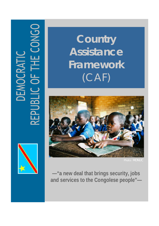# EPUBLIC OF THE CONGO DEMOCRATI



**Country Assistance Framework**  (CAF)



**—"a new deal that brings security, jobs and services to the Congolese people"—**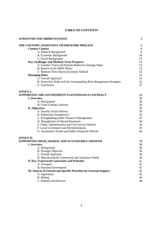# **TABLE OF CONTENTS**

| <b>ACRONYMS AND ABBREVIATIONS</b>                                   | 4         |
|---------------------------------------------------------------------|-----------|
| THE COUNTRY ASSISTANCE FRAMEWORK PROCESS                            | 6         |
| <b>Country Context</b>                                              | $\,$ $\,$ |
| A. Political Background                                             | 8         |
| <b>B.</b> Economic Background                                       | 10        |
| C. Social Background                                                | 12        |
| <b>Key Challenges and Medium-Term Prospects</b>                     | 14        |
| A. Country Vision and Poverty Reduction Strategy Paper              | 14        |
| B. Review of the PRSP Pillars                                       | 15        |
| C. Medium-Term Macro-Economic Outlook                               | 22        |
| <b>Managing Risks</b>                                               | 23        |
| A. Overall Approach                                                 | 23        |
| B. Seven Key Risks and the Corresponding Risk Management Strategies | 23        |
| C. Conclusion                                                       | 27        |
| <b>ANNEX I:</b>                                                     |           |
| <b>SUPPORTING THE GOVERNMENT'S GOVERNANCE CONTRACT</b>              | 28        |
| I. Overview                                                         | 28        |
| A. Background                                                       | 28        |
| <b>B. Cross-Cutting Concerns</b>                                    | 28        |
| II. Objectives                                                      | 29        |
| A. Security Sector Reform                                           | 29        |
| <b>B.</b> Enhancing Transparency                                    | 32        |
| C. Strengthening Public Financial Management                        | 33        |
| D. Management of Natural Resources                                  | 34        |
| E. Public Administration and Civil Service Reform                   | 34        |
| F. Local Governance and Decentralization                            | 35        |
| G. Investment Climate and Public Enterprise Reform                  | 36        |
| <b>ANNEX II:</b>                                                    |           |
| SUPPORTING HIGH, SHARED, AND SUSTAINABLE GROWTH                     | 38        |
| I. Overview                                                         | 38        |
| A. Background                                                       | 38        |
| <b>B.</b> Strategic Objective                                       | 38        |
| C. Overall Approach                                                 | 39        |
| D. Macroeconomic Framework and Assistance Needs                     | 40        |
| <b>II. Key Transversal Constraints and Priorities</b>               | 41        |
| A. Transport                                                        | 41        |
| <b>B.</b> Business Environment                                      | 41        |
| III. Sources of Growth and Specific Priorities for External Support | 42        |
| A. Agriculture                                                      | 42        |
| <b>B.</b> Mining                                                    | 44        |
| C. Industry and Services                                            | 48        |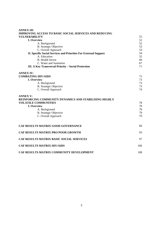| <b>ANNEX III:</b>                                                                                                                                                                               |                            |  |  |
|-------------------------------------------------------------------------------------------------------------------------------------------------------------------------------------------------|----------------------------|--|--|
| <b>IMPROVING ACCESS TO BASIC SOCIAL SERVICES AND REDUCING</b>                                                                                                                                   |                            |  |  |
| <b>VULNERABILITY</b>                                                                                                                                                                            | 52                         |  |  |
| I. Overview                                                                                                                                                                                     | 52                         |  |  |
| A. Background                                                                                                                                                                                   | 52                         |  |  |
| <b>B.</b> Strategic Objective                                                                                                                                                                   | 53                         |  |  |
| C. Overall Approach                                                                                                                                                                             | 53                         |  |  |
| <b>II. Specific Social Services and Priorities For External Support</b>                                                                                                                         |                            |  |  |
| A. Education                                                                                                                                                                                    | 55                         |  |  |
| <b>B.</b> Health Sector                                                                                                                                                                         | 60                         |  |  |
| C. Water and Sanitation                                                                                                                                                                         | 67                         |  |  |
| III. A Key Transversal Priority - Social Protection                                                                                                                                             |                            |  |  |
| <b>ANNEX IV:</b>                                                                                                                                                                                |                            |  |  |
| <b>COMBATING HIV/AIDS</b>                                                                                                                                                                       | 73                         |  |  |
| I. Overview                                                                                                                                                                                     | 73                         |  |  |
| A. Background                                                                                                                                                                                   | 73                         |  |  |
| <b>B.</b> Strategic Objective                                                                                                                                                                   | 73                         |  |  |
| C. Overall Approach                                                                                                                                                                             | 74                         |  |  |
| <b>ANNEX V:</b><br>REINFORCING COMMUNITY DYNAMICS AND STABILISING HIGHLY<br><b>VOLATILE COMMUNITIES</b><br>I. Overview<br>A. Background<br><b>B.</b> Strategic Objective<br>C. Overall Approach | 78<br>78<br>78<br>79<br>79 |  |  |
| CAF RESULTS MATRIX GOOD GOVERNANCE                                                                                                                                                              | 84                         |  |  |
| <b>CAF RESULTS MATRIX PRO POOR GROWTH</b>                                                                                                                                                       | 93                         |  |  |
| CAF RESULTS MATRIX BASIC SOCIAL SERVICES                                                                                                                                                        | 97                         |  |  |
| <b>CAF RESULTS MATRIX HIV/AIDS</b>                                                                                                                                                              | 106                        |  |  |
| CAF RESULTS MATRIX COMMUNITY DEVELOPMENT                                                                                                                                                        | 108                        |  |  |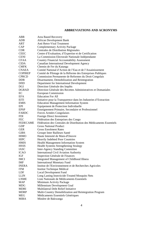# **ABBREVIATIONS AND ACRONYMS**

| ABR                       | <b>Area Based Recovery</b>                                          |
|---------------------------|---------------------------------------------------------------------|
| ADB                       | <b>African Development Bank</b>                                     |
| ART                       | Anti Retro-Viral Treatment                                          |
| CAP                       | <b>Complementary Activity Package</b>                               |
| <b>CDR</b>                | Centrales de Distribution Régionales                                |
| <b>CEEC</b>               | Centre d'Evaluation, d'Expertise et de Certification                |
| <b>CENI</b>               | La Commission Electorale Nationale Indépendante                     |
| <b>CFAA</b>               | <b>Country Financial Accountability Assessment</b>                  |
| <b>CIDA</b>               | Canadian International Development Agency                           |
| <b>CMFK</b>               | Chemin de Fer du Katanga                                            |
| <b>CNAEA</b>              | Comité National d'Action de l'Eau et de l'Assainissement            |
| <b>COPIREP</b>            | Comité de Pilotage de la Réforme des Entreprises Publiques          |
| <b>CPRCD</b>              | Commission Permanente de Reformes du Droit Congolais                |
| <b>DDR</b>                | Disarmament, Demobilization and Reintegration                       |
| <b>DfID</b>               | Department for International Development                            |
| DGI                       | Direction Générale des Impôts                                       |
| <b>DGRAD</b>              | Direction Générale des Recettes Administratives et Domaniales       |
| EC                        | <b>European Commission</b>                                          |
| <b>EFA</b>                | <b>Education For All</b>                                            |
| <b>EITI</b>               | Initiative pour la Transparence dans les Industries d'Extraction    |
| <b>EMIS</b>               | <b>Education Management Information System</b>                      |
| EPI                       | Equipement de Protection Individuelle                               |
| <b>EPSP</b>               | Enseignement Primaire, Secondaire et Professionnel                  |
| <b>FARDC</b>              | Forces Armées Congolaises                                           |
| <b>FDI</b>                | Foreign Direct Investment                                           |
|                           |                                                                     |
|                           |                                                                     |
| <b>FEC</b>                | Fédération des Entreprises des Congo                                |
| <b>FEDECAME</b>           | Fédération des Centrales de Distribution des Médicaments Essentiels |
| <b>GDP</b>                | <b>Gross National Product</b>                                       |
| <b>GER</b>                | <b>Gross Enrolment Rates</b>                                        |
| <b>GIBS</b>               | Groupe Inter Bailleurs Santé                                        |
| <b>HIMO</b>               | Haute Intensité de Main-d'Oeuvre                                    |
| <b>HIPC</b>               | Heavily Indebted Poor Countries                                     |
| <b>HMIS</b>               | <b>Health Management Information System</b>                         |
| <b>HSSS</b>               | <b>Health Systems Strengthening Strategy</b>                        |
| <b>IASC</b>               | <b>Inter-Agency Standing Committee</b>                              |
| <b>ICAO</b>               | <b>International Civil Aviation Authority</b>                       |
| <b>IGF</b>                | Inspection Générale de Finances                                     |
| <b>IMCI</b>               | <b>Integrated Management of Childhood Illness</b>                   |
| <b>IMF</b>                | <b>International Monetary Fund</b>                                  |
| <b>INERA</b>              | Institut de l'Environnement et de Recherches Agricoles              |
| <b>ITM</b>                | Institut Technique Médical                                          |
| LDF                       | <b>Local Development Fund</b>                                       |
| <b>LLIN</b>               | Long Lasting Insecticide-Treated Mosquito Nets                      |
| <b>LNME</b>               | Liste Nationale de Médicaments Essentiels                           |
| <b>MAP</b>                | Minimum Activity Package                                            |
| <b>MDG</b>                | Millennium Development Goal                                         |
| <b>MDRI</b>               | Multilateral Debt Relief Initiative                                 |
| <b>MDRP</b>               | Multi-Country Demobilization and Reintegration Program              |
| <b>MEG</b><br><b>MIBA</b> | Médicaments Essentiels Génériques<br>Minière de Bakwanga            |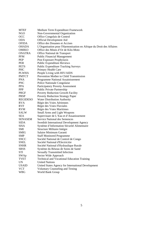| <b>MTEF</b>     | Medium Term Expenditure Framework                                    |
|-----------------|----------------------------------------------------------------------|
| NGO             | Non-Governmental Organization                                        |
| <b>OCC</b>      | Office Congolais de Control                                          |
| <b>ODA</b>      | <b>Official Development Aid</b>                                      |
| <b>OFIDA</b>    | Office des Douanes et Accises                                        |
| OHADA           | L'Organisation pour l'Harmonisation en Afrique du Droit des Affaires |
| <b>OMIKO</b>    | Office des Mines d'Or de Kilo-Moto                                   |
| ONATRA          | Office National de Transport                                         |
| <b>PFM</b>      | <b>Public Financial Management</b>                                   |
| <b>PEP</b>      | Post Exposure Prophylaxis                                            |
| <b>PER</b>      | <b>Public Expenditure Reviews</b>                                    |
| <b>PETS</b>     | <b>Public Expenditure Tracking Surveys</b>                           |
| PHC             | Primary Health Care                                                  |
| <b>PLWHA</b>    | People Living with HIV/AIDS                                          |
| <b>PMTCT</b>    | Prevention Mother to Child Transmission                              |
| <b>PNA</b>      | Programme National Assainissement                                    |
| <b>PNC</b>      | Police Nationale Congolaise                                          |
| <b>PPA</b>      | Participatory Poverty Assessment                                     |
| <b>PPP</b>      | <b>Public Private Partnership</b>                                    |
| <b>PRGF</b>     | Poverty Reduction Growth Facility                                    |
| <b>PRSP</b>     | <b>Poverty Reduction Strategy Paper</b>                              |
| <b>REGIDESO</b> | Water Distribution Authority                                         |
| <b>RVA</b>      | Régie des Voies Aériennes                                            |
| <b>RVF</b>      | Régie des Voies Fluviales                                            |
| <b>RVM</b>      | Régie des Voies Maritimes                                            |
| SALW            | <b>Small Arms and Light Weapons</b>                                  |
| <b>SEA</b>      | Supervisuer de L'Eau et d'Assanissement                              |
| SENASEM         | <b>Service National des Semences</b>                                 |
| SIDA            | <b>Swedish International Development Agency</b>                      |
| SISA            | Système d'Information Sécurité Alimentaire                           |
| SMI             | Structure Militaire Intègre                                          |
| SMIG            | Salaire Minimum Garanti                                              |
| SMP             | <b>Staff Monitored Programme</b>                                     |
| <b>SNCC</b>     | Société National de Control de Congo                                 |
| <b>SNEL</b>     | Société National d'Electricitie                                      |
| <b>SNHR</b>     | Société National d'Hydraulique Rurale                                |
| SRSS            | Système du Réseau de Soins de Santé                                  |
| STI             | <b>Sexually Transmitted Infection</b>                                |
| SWAp            | Sector Wide Approach                                                 |
| <b>TVET</b>     | Technical and Vocational Education Training                          |
| UN              | <b>United Nations</b>                                                |
| <b>USAID</b>    | United States Agency for International Development                   |
| <b>VCT</b>      | Voluntary Counseling and Testing                                     |
| <b>WBG</b>      | World Bank Group                                                     |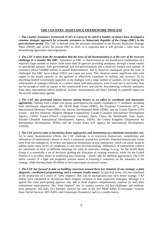# **THE COUNTRY ASSISTANCE FRAMEWORK PROCESS**

1. *The Country Assistance Framework (CAF) is a process by which a number of donors have developed a common strategic approach for economic assistance to Democratic Republic of the Congo (DRC) in the post-elections period*. The CAF is derived from the priorities articulated in the Poverty Reduction Strategy Paper (PRSP) and covers the period 2007 to 2010. It is expected that it will provide a solid basis for harmonizing approaches and programmes.

2. *The CAF is born from the recognition that the issue of aid harmonization is at the core of the recovery challenge in a country like DRC*. Assistance to DRC is characterized by the paradoxical combination of a relatively large number of donors (with more than 20 agencies providing assistance, through a broad variety of operational partners, both governmental and non-governmental) and a relatively limited total amount of assistance (about US\$800 million in annual disbursements). Aid is, however, inadequate given the scale of challenges that DRC faces (about US\$15 per capita per year). This situation carries significant risks with regard to the actual capacity of aid agencies to effectively contribute to stability and recovery: (i) by absorbing limited Government capacities in the dialogue with a large number of partners; (ii) by making the achievement of synergies difficult, in a context where individual projects, even if each one is successful, may not be enough to yield an impact at the countrywide level; and (iii) by disconnecting economic assistance from other international efforts (political, security, humanitarian) and hence limiting its potential impact on the overall stabilization agenda.

3. *The CAF has generated intense interest among donors as an effort to coordinate and harmonize approaches*. Starting from a small core group, participation has rapidly expanded to 17 members, including both multilateral organizations – the World Bank Group (WBG), the European Commission (EC), the International Monetary Fund (IMF), the African Development Bank (ADB), and the United Nations (UN) system – and key bilaterals: Belgium (Belgian Cooperation), Canada (Canadian International Development Agency, CIDA), France (French Cooperation), Germany, Japan, China, the Netherlands, Italy, Spain, Sweden (Swedish International Development Agency, SIDA), the United Kingdom (Department for International Development, DFID), and the United States (US Agency for International Development, USAID).

4. *The CAF process aims to harmonize donor approaches and instruments at a minimum transaction cost*. As in many harmonization efforts, the CAF challenge is to overcome bureaucratic complexities and differences of institutional cultures to reach a consensus around key priorities. Potential bureaucratic issues stem from the multiplicity of review and approval mechanisms across institutions, which can easily result in adding layers upon layers of complexity to any joint decision-making. Differences of institutional cultures are sometimes as basic as different meanings for what an assistance strategy is (e.g., for the World Bank Group it is essentially a set of decisions guiding the allocation of existing resources, while for the United Nations it is an effort aimed at mobilizing new financing – which calls for different approaches). The CAF hence consists of a light and pragmatic process aimed at ensuring a consensus on the substance of the strategy, while leaving ample flexibility to each participant on process issues.

5. *The CAF has focused to date on building consensus around three key elements of any strategy: a joint diagnosis, coordinated programming, and a common results matrix*. In practical terms, this has translated in the production of a series of "joint chapters" that will be incorporated into each donor strategy. CAF donors have committed to incorporate these chapters *verbatim* in their respective strategies, although it is agreed that some participating agencies may add to these chapters complementary material (to meet their institutional requirements). The "joint chapters" are: (i) country context; (ii) key challenges and mediumterm prospects; (iii) risks; (iv) thematic annexes for each of the five PRSP pillars (Governance, Growth, Basic Social Services, HIV/AIDS, and Community Dynamics); and (v) a results matrix.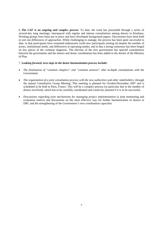6. *The CAF is an ongoing and complex process*. To date, the work has proceeded through a series of several-day long meetings, interspaced with regular and intense consultations among donors in Kinshasa. Working groups have been put in place and have developed background papers. Discussions have been held to sort out differences of approaches. While challenging to manage, the process has been quite successful to date, in that participants have remained enthusiastic (with new participants joining in) despite the number of actors, institutional needs, and differences in operating modes, and in that a strong consensus has been forged on key pieces of the common diagnosis. The election of the new government has spurred consultations between the government and the donors and donor coordination has been added to the docket of the Ministry of Plan.

### 7. *Looking forward, next steps in the donor harmonization process include:*

- *The finalization of "common chapters" and "common annexes"* after in-depth consultations with the Government.
- *The organization of a joint consultation process with the new authorities and other stakeholders*, through the annual Consultative Group Meeting. This meeting is planned for October/November 2007 and is scheduled to be held in Paris, France. This will be a complex process (in particular due to the number of donors involved), which has to be carefully coordinated and creatively planned if it is to be successful.
- *Discussions regarding joint mechanisms for managing project implementation* (a joint monitoring and evaluation matrix) and discussions on the most effective way for further harmonization of donors in DRC and the strengthening of the Government's own coordination capacities.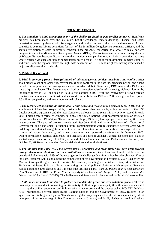### **COUNTRY CONTEXT**

1. *The situation in DRC exemplifies many of the challenges faced by post-conflict countries*. Significant progress has been made over the last years, but the challenges remain daunting. Physical and social devastation caused by decades of mismanagement and conflict in one of the most richly-endowed African countries is extreme. Living conditions for most of the 58 million Congolese are extremely difficult, and the sharp deterioration of social indicators jeopardizes the prospects for Africa as a whole to make decisive progress towards the Millennium Development Goals (MDGs). The contrasts are stark, in a country the size of Western Europe, between districts where the situation is comparable to other African countries and areas where extreme violence and urgent humanitarian needs persist. The political environment remains complex and fluid – and the regional stakes are high, with seven out of DRC's nine neighbors having experienced a major conflict over the last decade.

### **A. Political Background**

2. *DRC is emerging from a dreadful period of mismanagement, political instability, and conflict*. After about eighty years of colonial rule, several secessionist conflicts in the post-independence period, and a long period of corruption and mismanagement under President Mobutu Sese Seko, DRC entered the 1990s in a state of quasi-collapse. That decade was marked by successive episodes of increasing violence: looting by the armed forces in 1991 and again in 1993, a first conflict in 1997 (with the involvement of seven foreign countries and a number of militias), and a second conflict between 1998 and 2003 during which a reported 3.5 million people died, and many more were displaced.

3. *The recent elections mark the culmination of the peace and reconciliation process*. Since 2001, and the appointment of President Joseph Kabila, considerable progress has been made, within the context of the 1999 Lusaka ceasefire agreement and the inter-Congolese dialogue. Large-scale military activity ceased in early 2001. Foreign forces formally withdrew in 2002. The United Nations (UN) peacekeeping mission (*Mission des Nations Unies en République Démocratique du Congo,* MONUC) has deployed more than 17,000 troops in the country. The pace of progress accelerated after June 2003 and the establishment of a Transitional Government (and a Parliament) of national unity: communications were re-established between areas which had long been divided along frontlines, key technical institutions were re-unified, exchange rates were harmonized across the country, and a new constitution was approved by referendum in December 2005. Despite formidable logistical challenges (and localized episodes of violence), general elections took place in a satisfactory manner on July 30, 2006 (first round of Presidential election and Parliamentary elections) and October 29, 2006 (second round of Presidential elections and local elections).

4. *For the first time since 1960, the Government, Parliament, and local authorities have been selected through democratic elections, and new institutions are now in place.* President Joseph Kabila won the presidential elections with 58% of the vote against his challenger Jean-Pierre Bemba who obtained 42% of the vote. President Kabila announced the composition of his government on February 5, 2007. Led by Prime Minister Gizenga, this government comprises 60 members, including six ministers of state, 34 ministers and 20 deputy ministers. It is a coalition representing the broad political platform which supported President Kabila during the 2006 elections and it includes the Presidents party (*Parti du Peuple pour la Reconstruction et la Démocratie*, PPRD), the Prime Minister's party (*Parti Lumumbiste Unifié*, PALU), and the *Union des Démocrates Mobutistes* (UDEMO). The Parliament and Senate are in place as well as Provincial Assemblies.

5. *Still, much remains to be done to further consolidate the peace and reconciliation process*. There is insecurity in the east due to remaining militia activity. In Ituri, approximately 4,500 militia members are still harassing the civilian population and fighting with the weak army and the over-stretched MONUC. In North Kivu, negotiations between rebel leader Laurent Nkunda and the Government of DRC resulted in an agreement to mix brigades loyal to Nkunda with regular army brigades. Localized riots sporadically affect other parts of the country (e.g., in Bas Congo, at the end of January) and deadly clashes occurred in Kinshasa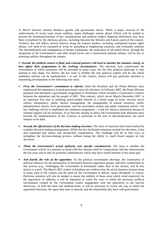in March between Senator Bemba's guards and government forces. While a major reversal of the achievements of recent years seems unlikely, major challenges remain ahead. Efforts will be needed to prevent the disenfranchisement of key constituencies and political leaders. Regional differences may have been crystallized by the elections process, including between the Western and Eastern parts of the country. Violence that still affects several districts along the Eastern borders, including widespread human rights abuses, will need to be contained to avoid its spreading to neighboring countries, and eventually reduced. The demobilization and reintegration of former combatants, the unification of all armed forces, through the integration of the Government's and rebel armed forces into a restructured national military will be key to restoring stability throughout the country.

6. *Overall, the political context is fluid, and external partners will need to monitor the situation closely, to best adjust their programmes to the evolving circumstances*. The elections have transformed the environment in which assistance will be provided in many ways, but the new political landscape is only starting to take shape. For donors, the key issue is whether the new political context will be one where ambitious reforms can be implemented – or not. In this context, donors will pay particular attention to monitoring developments in the following four areas:

- *First, the Government's commitment to reforms*. Both the President and the Prime Minister have emphasized the importance of good governance since the elections. In February 2007, the Prime Minister prepared and presented a government programme to Parliament which included a Governance Contract between the authorities and the people of DRC. This contract, which covers March–December 2007, is an important first step in outlining much-needed reforms in a broad range of areas: security sector reform, transparency, public finance management, the management of natural resources, public administration reform, local government, and the investment climate and public enterprise reform. The key challenge will be to implement this ambitious programme – a task for which a substantial amount of external support will be necessary. In its first few months in office, the Government took important steps towards the implementation of the Contract, in particular in the area of decentralization, but much remains to be done.
- *Second, the effectiveness of the decision-making structure*. The years of transition have been marked by complex decision-making arrangements. While this has facilitated consensus around key decisions, it has also translated into delays and second-best compromises. The challenge will be to find ways to strengthen the decision-making process, without losing the ability to reach broad support on key decisions.
- *Third, the Government's actual authority over specific constituencies*. The issue is whether the Government will be in a position to break with the constant need for compromises that has characterized the last years and to take on powerful constituencies which may have vested interests in the status quo*.*
- *And fourth, the role of the opposition*. As the political environment develops, the constitution of political alliances (or the permanence of divisions) between opposition groups, and their commitment to due process (e.g., challenging the Government in Parliament rather than in the streets), will be key factors to watch. The March 2007 clashes in Kinshasa are evidence that the social situation remains tense in many parts of the country and the need for the Government to deliver "peace dividends" is critical. Particular attention will also be needed to ensure the stability of those areas which voted massively for the opposition. In addition, it will be important to watch the ways in which the necessary political environment created by the Government fosters engagement with the opposition in the nascent democracy. In both the short and medium-terms, it will be necessary to review the way in which the opposition functions, the space they have to operate, and the relationship they have with government.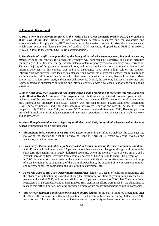### **B. Economic Background**

7. *DRC is one of the poorest countries in the world, with a Gross Domestic Product (GDP) per capita at about US\$120 in 2005*. Despite its rich endowments in natural resources and the dynamism and entrepreneurship of its population, DRC has been affected by a series of economic crises since independence, which were exasperated during the years of conflict. GDP per capita dropped from US\$380 in 1960 to US\$224 in 1990 to the current US\$120 (in constant dollars).

8. *The decade of conflict, compounded by the legacy of sustained mismanagement, has had devastating effects*. Prior to the conflict, the Congolese economy was dominated by extractive and export activities (mining, agriculture, forestry, energy), which fueled a system of poor governance and large-scale corruption. The vast majority of the population remained poor, and derived its income from traditional agriculture and informal activities. In this context, war and civil disturbance have taken a high toll on the country. Infrastructure has suffered from lack of maintenance and considerable physical damage. Many institutions are in shambles. Millions of people have lost their assets – whether buildings, livestock, or tools. Many enterprises have lost assets, staff, and commercial networks. Overall, the economy has been transformed, and is now centered on subsistence agriculture and informal activities, with a collapse of export and value-adding activities.

9. *Since April 2001, the Government has implemented a solid programme of economic reforms, supported by the Bretton Woods Institutions*. This programme aims both to spur private-led economic growth and to tackle some of the deep-rooted structural issues which have hampered DRC's economic development in the past. International Monetary Fund (IMF) support was provided through a Staff Monitored Programme (SMP), between June 2001 and April 2002, access to the Poverty Reduction and Growth Facility (PRGF) for the period July 2002 to June 2006, and a new SMP between June and December 2006; Bank support was provided through a series of budget support and investment operations, as well as substantial analytical work and policy advice.

# 10. *Overall, implementation was satisfactory until about mid-2005, but gradually deteriorated as elections neared*. Four periods can be distinguished:

- *Throughout 2001, vigorous measures were taken* to break hyper-inflation, stabilize the exchange rate (following the decision to float the Congolese Franc in April 2001), restart collecting revenues and launch key structural reforms.
- *From early 2002 to mid-2005, efforts succeeded in further stabilizing the macro-economic situation* with 12-month inflation at about 12 percent, a relatively stable exchange (although with substantial short-term fluctuations, in a largely dollarized economy, where the monetary basis is very small), and a gradual increase of fiscal revenues from about 5.9 percent of GDP in 2001 to about 11.4 percent of GDP in 2005. Parallel efforts were made on the structural side, with significant achievements in a broad range of areas including the strengthening of the chain of expenditure, the adoption of new investment, mining, and forestry codes, the completion of audits of public enterprises, etc.
- *From mid-2005 to end-2006, performance deteriorated*, largely as a result of political uncertainties and the absence of a functioning executive during the election period. End of year inflation reached 21.3 percent at the end of 2005, and declined slightly to 18.2 percent at the end of 2006. The Congolese Franc registered a 17 percent depreciation during 2006. Still, significant efforts were made by the authorities to manage this difficult period, including enforcing a moratorium on key transactions by public companies.
- *The new Government is in discussions to agree on new targets* for the Staff Monitored Programme after the March 2007 review found that most quantitative and structural benchmarks for April-December 2006 were not met. The new SMP offers the Government an opportunity to demonstrate its determination to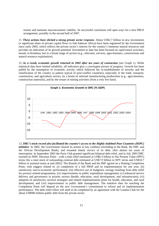restore and maintain macroeconomic stability. Its successful conclusion will open ways for a new PRGF arrangement, possibly in the second half of 2007.

11. *These actions have elicited a strong private sector response*. About US\$2.7 billion in new investments (a significant share of private capital flows to Sub-Saharan Africa) have been registered by the Government since early 2003, which reflects the private sector's interest for the country's immense natural resources and provides an indication of its growth potential. Investment to date has been focused on rapid-return activities, mostly in Kinshasa, but in a broad range of sectors (e.g., telecoms, services, agro-business, constructions and natural resource exploitation).

12. *As a result, economic growth returned in 2002 after ten years of contraction* (see Graph 1). While statistical data have limited reliability, all indicators give a convergent picture of progress. Growth has been pulled by the resumption of economic activity which followed the re-establishment of security and the reunification of the country (a pattern typical of post-conflict countries), especially in the trade, transport, construction, and agriculture sectors, by a boom of selected manufacturing productions (e.g., agro-business, construction materials), and by the restart of mining activities (from a very low base).



13. *DRC's track record also facilitated the country's access to the Highly Indebted Poor Countries (HIPC) initiative*. In 2002, the Government cleared its arrears to key creditors (including to the Bank, the IMF, and the African Development Bank), and resumed timely service of its debt, after almost ten years of interruption. In September 2002 the Paris Club granted significant bilateral debt relief, and in July 2003 DRC reached its HIPC Decision Point – with a total relief estimated at US\$6.3 billion in Net Present Value (NPV) terms (for a total stock of outstanding external debt estimated at US\$7.9 billion in NPV terms and US\$10.7 billion in nominal terms at end-2002). The Boards of the Bank and the IMF agreed on a floating Completion Point, with triggers related to: (i) completion of a full PRSP and its implementation for one year; (ii) satisfactory macro-economic performance; (iii) effective use of budgetary savings resulting from debt relief for poverty-related programmes; (iv) improvements in public expenditure management; (v) enhanced service delivery and governance in priority sectors (health, education, rural development, and infrastructure); (vi) adoption of satisfactory sectoral strategies and related implementation plans for health, education, and rural development; and (vii) improvements in public debt management. The tentative date for reaching the Completion Point will depend on the new Government's commitment to reform and its implementation performance. The debt relief effort will need to be completed by an agreement with the London Club for the about US\$900 million public debt from the private sector.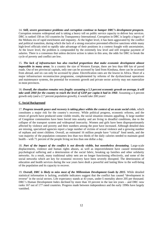14. *Still, severe governance problems and corruption continue to hamper DRC's development prospects.*  Corruption remains widespread and is taking a heavy toll on public service capacity to deliver key services. DRC is ranked 158 on 163 countries by Transparency International. Corruption in DRC is largely a legacy of the Mobutu era of rapid enrichment and impunity. At the higher level, it has been aggravated by the conflict and political transition, during which the lack of a strong executive prevented effective sanctions while many high-level officials tried to rapidly take advantage of their positions in a context fraught with uncertainties. At the lower level, the problem is compounded by the extremely low level and still irregular payment of salaries. There is a consensus that unless decisive action is taken in this area, the odds for DRC to break the cycle of poverty and conflict are low.

15. *The lack of infrastructure has also reached proportions that make economic development almost impossible in many areas*. In a country the size of Western Europe, there are less than 600 km of paved roads. Out of ten provincial capitals, only one can be accessed by land from Kinshasa, three can be accessed from abroad, and six can only be accessed by plane. Electrification rates are the lowest in Africa. Short of a major infrastructure reconstruction programme, complemented by reforms of the dysfunctional operations and maintenance systems, the potential for economic growth and private sector activity may not materialize in most provinces.

16. *Overall, the situation remains very fragile: assuming a 5.3 percent economic growth on average, it will take until 2060 for the country to reach the level of GDP per capita it had in 1960. Assuming a 4 percent* growth only (and a 2.7 percent population growth), it would take 200 years!

### **C. Social Background**

17. *Progress towards peace and recovery is taking place within the context of an acute social crisis*, which constitutes a major risk for the country's recovery. While political progress, economic reforms, and the return of growth have produced some visible results, the social situation remains appalling. A large number of Congolese communities have been forced into autarky and are living in dreadful conditions, due to the collapse of the transport system and widespread insecurity. Women and girls have been disproportionately affected by violence and poverty and their numbers among the poor have increased. Although detailed data are missing, specialized agencies report a large number of victims of sexual violence and a growing number of orphans and street children. Overall, an estimated 16 million people have "critical" food needs, and the vast majority of the population consumes less than two thirds of the daily calories needed to maintain good health – with 71 percent of the people living on less than one dollar a day.

18. *Part of the impact of the conflict is not directly visible, but nonetheless devastating*. Large-scale displacements, violence and human rights abuses, as well as impoverishment have caused tremendous psychological suffering and a deterioration of the social fabric, breaking up families and other solidarity networks. As a result, many traditional safety nets are no longer functioning effectively, and some of the social networks which are key for economic recovery have been severely disrupted. The deterioration of education and health services during the war years have dealt a powerful and lasting blow to the well-being of the population and its capacity to recover.

19. *Overall, DRC is likely to miss most of the Millennium Development Goals by 2015*. While detailed statistical information is lacking, available indicators suggest that the conflict has caused "development in reverse" in the social sectors. Life expectancy stands at 43 years, under-5 mortality above 205 per thousand. DRC's Human Development Index declined by more than 10 percent in the last ten years – and DRC now ranks 167 out of 177 rated countries. Progress made between independence and the early 1990s have largely vanished.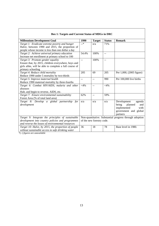| <b>Box 1: Targets and Current Status of MDGs in DRC</b>                                                                                                                 |                                                                                      |               |               |                                                                                                              |  |  |
|-------------------------------------------------------------------------------------------------------------------------------------------------------------------------|--------------------------------------------------------------------------------------|---------------|---------------|--------------------------------------------------------------------------------------------------------------|--|--|
| <b>Millennium Development Goal</b>                                                                                                                                      | 1990                                                                                 | <b>Target</b> | <b>Status</b> | <b>Remark</b>                                                                                                |  |  |
| Target 1: Eradicate extreme poverty and hunger<br>Halve, between 1990 and 2015, the proportion of<br>people whose income is less than one dollar a day                  | $-*$                                                                                 | n/a           | 71%           |                                                                                                              |  |  |
| Target 2: Achieve universal primary education<br>Increase net enrollment at primary school to 100                                                                       | 54.4%                                                                                | 100%          | --            |                                                                                                              |  |  |
| Target 3: Promote gender equality<br>Ensure that, by 2015, children everywhere, boys and<br>girls alike, will be able to complete a full course of<br>primary schooling | $\overline{\phantom{a}}$                                                             | 100%          | $-$           |                                                                                                              |  |  |
| Target 4: Reduce child mortality<br>Reduce 1990 under 5 mortality by two-thirds                                                                                         | 205                                                                                  | 69            | 205           | Per 1,000, (2005 figure)                                                                                     |  |  |
| Target 5: Improve maternal health<br>Reduce 1990 maternal mortality by three-fourths                                                                                    | $-$                                                                                  | $-$           | 990           | Per 100,000 live births                                                                                      |  |  |
| Target 6: Combat HIV/AIDS, malaria and other<br>diseases<br>Halt, and begin to reverse, AIDS, etc.                                                                      | $<$ 4%                                                                               | --            | $<$ 4%        |                                                                                                              |  |  |
| Target 7: Ensure environmental sustainability<br>Forest Area (% of total land area)                                                                                     | 62%                                                                                  | $-$           | 59%           |                                                                                                              |  |  |
| Target 8: Develop a global partnership for<br>development                                                                                                               | n/a                                                                                  | n/a           | n/a           | Development<br>agenda<br>being<br>planned<br>and<br>implemented<br>with<br>government and global<br>partners |  |  |
| Target 9: Integrate the principles of sustainable<br>development into country policies and programmes<br>and reverse the losses of environmental resources              | Non-quantitative. Substantial progress through adoption<br>of the new forestry code. |               |               |                                                                                                              |  |  |
| Target 10: Halve, by 2015, the proportion of people<br>without sustainable access to safe drinking water                                                                | 36                                                                                   | 18            | 78            | Base level in 1980.                                                                                          |  |  |

# \*(--) *figures are unavailable*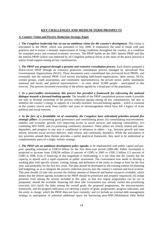# **KEY CHALLENGES AND MEDIUM-TERM PROSPECTS**

# **A. Country Vision and Poverty Reduction Strategy Paper**

1. *The Congolese leadership has set out an ambitious vision for the country's development*. This vision is articulated in the PRSP, which was presented in July 2006. It emphasizes the need to break with past practices and to ensure a dramatic improvement of living conditions throughout the country, as a condition for sustained peace and eventual economic recovery. The PRSP builds on the 2001 Interim PRSP and like the Interim PRSP (which was endorsed by all Congolese political forces at the onset of the peace process) it enjoys broad support among all key constituencies.

2. *The PRSP was prepared through a genuine and extensive consultation process*. Each district prepared a district-level PRSP through an extensive grassroots consultation process managed by specialized Non Governmental Organizations (NGO). These documents were consolidated into provincial-level PRSPs, and eventually into the national PRSP. Civil society (including faith-based organizations, labor unions, NGOs, women groups, youth associations, and community representatives), the private sector, public institutions (national and local), and political representatives – in total, about 35,000 people – participated in this exercise. This process increased ownership of the reform agenda by a broad part of the population.

3. *In a post-conflict environment, this process has provided a framework for refocusing the national dialogue towards a forward-looking agenda*. The breadth of the PRSP consultation process made it possible not only to develop ownership of the poverty reduction agenda among all key constituencies, but also to mobilize the country's energy in support of a socially-oriented, forward-looking agenda – which is essential as the country moves away from conflict and years of mismanagement which have left a legacy of acute political and social tensions.

4. *In the face of a formidable set of constraints, the Congolese have articulated priorities around five strategic pillars*: (i) promoting good governance and consolidating peace; (ii) consolidating macroeconomic stability and economic growth; (iii) improving access to social services and reducing vulnerability; (iv) combating HIV/AIDS; and (v) promoting community dynamics. These pillars are closely related and interdependent, and progress in one area is conditional to advances in others – e.g., between growth and state reform, between social services delivery, state reform, and community dynamics. While the articulation of key priorities around these themes provides a useful analytical framework, they need to be understood as complementary parts of a single, holistic strategy.

5. *The PRSP sets an ambitious development policy agenda***,** to be implemented with public capital and propoor spending estimated at US\$3.4 billion for the first three-year period (2006-08). Public investment is projected to increase from US\$236 million (3 percent of GDP) in 2005 to US\$1.3 billion (13 percent of GDP) in 2008. Even if financing of this magnitude is forthcoming, it is not clear that the country has the capacity to absorb such a rapid expansion in public investment. The Government now needs to develop a working plan with specific actions, costing, timing, and definition of the entity in charge at least for the first year, and preferably for the first few years. The plan should be developed by the existing entities for planning and budgeting, so as to integrate the poverty reduction process into the country's national and local systems. This plan should: (i) take into account the realistic amount of financial and human resources available, which means that the reform agenda included in the PRSP should be prioritized and properly sequenced; (ii) assign priorities even among the actions included in this plan, so that less urgent programmes can be cut or postponed, should the available financing fall short (the Government has already started this prioritizing exercise); (iii) clarify the links among the overall goals, the proposed programmes, the macroeconomic framework, and the progress indicators; (iv) develop a matrix of goals, programmes, progress indicators, and the entity in charge, which the PRSP does not have currently; and (v) include an external debt management strategy in anticipation of potential additional space for borrowing post-HIPC/Multilateral Debt Relief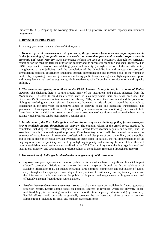Initiative (MDRI). Preparing the working plan will also help prioritize the needed capacity reinforcement programme.

# **B. Review of the PRSP Pillars**

*Promoting good governance and consolidating peace* 

6. *There is a general consensus that a deep reform of the governance framework and major improvements in the functioning of the public sector are needed to consolidate peace and to make progress towards economic and social recovery*. Such governance reforms are seen as a necessary, although not sufficient, condition for the medium-term stability of the country and its successful economic and social recovery. The PRSP proposes to focus on: consolidating peace and stability (through a reform of the security sector, strengthening of the judiciary, and the completion of the demobilization and reintegration process); strengthening political governance (including through decentralization and increased role of the women in public life); improving economic governance (including public finance management, fight against corruption and money laundering); and strengthening administrative capacity (through civil service reform and capacity building).

7. *The governance agenda, as outlined in the PRSP, however, is very broad, in a context of limited capacity*. The challenge here is to turn around many of the institutions and policies inherited from the Mobutu era – in short, to build an effective state, in a country where there has never been one. The Government's Governance Contract released in February 2007, between the Government and the population highlights needed governance reforms. Sequencing, however, is critical, and it would be advisable to concentrate in the first years on measures aimed at securing peace and increasing transparency. The governance reform agenda will need to be supported by a harmonization and monitoring framework to help focus donor efforts (which are currently spread over a broad range of activities – and to provide benchmarks against which progress can be measured on a regular basis.

8. *In this context, the first challenge is to reform the security sector (military, police, justice system)–to help re-establish security throughout the country*. The ongoing reform of the armed forces needs to be completed, including the effective integration of all armed forces (former regulars and rebels), and the associated demobilization/reintegration process. Complementary efforts will be required to ensure the existence of a credible payroll, strengthen professionalism and discipline of both the military and the police, and to put in place an effective civilian oversight of these corps. In parallel, the full implementation of the ongoing reform of the judiciary will be key to fighting impunity and restoring the rule of law: this will require establishing new institutions (as outlined in the 2005 Constitution), strengthening organizational and institutional capacity, and strengthening professionalism of the judiciary (including through pay reform).

### 9. *The second set of challenges is related to the management of public resources*.

- *Improve transparency*—with a focus on public decisions which have a significant financial impact ("grand" corruption). Priorities are: to make decisions transparent through the further publication of available information (e.g., on budget execution, large contracts, completion and publication of audits, etc.); strengthen the capacity of watchdog entities (Parliament, civil society, media) to analyze and use this information; build mechanisms for public participation and engagement with government; and effectively sanction fraud through judicial action.
- *Further increase Government revenues*—so as to make more resources available for financing poverty reduction efforts. Efforts should focus on potential sources of revenues which are currently undermobilized (e.g., in the mining sector) or where mobilization is poorly administered (e.g., customs). Parallel efforts should be made to gradually broaden the tax base and reinforce internal taxation administration (including for small and medium-size enterprises).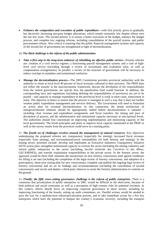• *Enhance the composition and execution of public expenditure*—with first priority given to gradually but decisively increasing pro-poor budget allocations, which remain extremely low despite efforts over the last few years. The second priority is to ensure a better execution of the budget, enhance the budget process, and complete key ongoing reforms, including consolidation of the payroll system, and public procurement reform. Also critical is ensuring that the public financial management systems and capacity of the second tier of government are strengthened in light of decentralization.

### 10. *The third challenge is the reform of the public administration*.

- *Take a first step in the long-term endeavor of rebuilding an effective public service—*Priority reforms are: creation of a civil service register; a functioning payroll management system; and a core of highlevel civil service (including through a review of recruitment and evaluation rules, as well as compensation arrangements). In parallel, a review of the structure of government will be necessary to reduce overlaps in mandates and institutional confusion.
- *Manage the decentralization process—*The 2005 Constitution provides provincial authorities with the authority to retain at local level 40 percent of fiscal revenues collected in their province. The PRSP does not reflect the transfer in the macroeconomic framework, discuss the devolution of the responsibilities from the central government, nor specify how the equalization fund would function. In addition, the corresponding laws and regulations (including defining the responsibilities of provinces) are yet to be passed – and capacity to manage expenditure at the provincial level is weak in most cases, nonexistent in some. The objective is hence to ensure that the process is managed in such a way that it does not further weaken public expenditure management and services delivery. The Government will need to formulate an action plan for eventual decentralization. In this connection, the broad architecture of intergovernmental relations should be appropriately settled before decentralization is initiated – including clear revenue and expenditure assignments and fiscal transfers, the timing and pace of devolution of powers, and the administrative and institutional capacity necessary at sub-national levels. The authorities should first concentrate on improving implementation and monitoring capacity of the local governments. The broad principles and plans to improve local capacity mentioned in the PRSP as well as the survey results from the provinces could serve as a starting point.

11. *The fourth set of challenges revolves around the management of natural resources*. Key objectives underpinning the proposed reforms are: transparency (especially for mining), increased fiscal revenues (especially from mining), and environmental/social sustainability (of both forestry and mining). In the mining sector, priorities include: develop and implement an Extractive Industries Transparency Initiative (EITI) action plan; strengthen institutional capacity to oversee the sector (including the mining cadastre); and reform public enterprises in the sector (including *Société Générale des Carrières et des Mines*, GECAMINES), and transfer exploitation responsibilities to the private sector. In the forestry sector, the approach would be three-fold: maintain the moratorium on new forestry concessions until agreed conditions for lifting it are met (including the completion of the legal review of forestry concessions, and adoption of a participatory, three-year zoning plan for new concessions); complete and publish the ongoing legal review of forestry concessions and act on its findings and recommendations (including the cancellation of invalid concessions); and recruit and deploy a third-party observer to assist the forestry administration in controls on the ground.

12. *Finally, the fifth cross-cutting governance challenge is the reform of public enterprises*. There is a consensus that privatization of public enterprises in DRC would be difficult in the short-term, because of both political and social constraints as well as a perception of high country risks by potential investors. In this context, efforts should focus on improving corporate governance in these sectors, including by improving functioning of the boards, setting up audit committees, etc. Parallel actions would be needed to pave the way for a medium-term reform/privatization process, and to take immediate action for a few key enterprises which have the potential to hamper the country's economic recovery, including the transport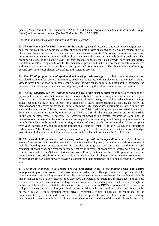giants (*Office National des Transports,* ONATRA and *Société Nationale des Chemins de Fer du Congo*  SNCC) and the power company (*Société Nationale d'Electricité,* SNEL).

*Consolidating macroeconomic stability and economic growth* 

13. *The key challenge for DRC is to ensure the quality of growth*. Research and experience suggest that in post-conflict countries an additional 2 percent of economic growth sustained over ten years reduces the risk of civil war by about one third. In a country as richly endowed as DRC, however, the return of peace and progress towards macro-economic stability almost automatically result in relatively high growth rates. The economic history of the country over the past decades suggests that such growth does not necessarily translate into better living conditions for the majority of people and that a narrow focus on natural resources and extractive industries may contribute to corruption and poor governance. The objective is therefore to go beyond growth, towards shared, diversified, and sustained growth.

14. *The PRSP proposes a multi-fold and balanced growth strategy*. It is built on a strategic vision articulated around a few sectors: agriculture, extractive industries, and manufacturing and services – with a view to providing for short-term gains while paving the way for medium-term sustainability, balancing the interests of the various provinces and social groups, and reducing the risk of predation and corruption.

15. *The first challenge for DRC will be to make the best of the "post-conflict rebound"*. Such rebound is a typical pattern in post-conflict countries and is essentially linked to the resumption of economic activity as security, access, and eventually confidence are restored. Research suggests that it translates into an average annual economic growth of 6 percent for a period of 7 years, before starting to subside. However, the macroeconomic objectives set for the medium-term in the PRSP appear now overambitious, when taking into account the outcome for 2006 and revised projections for 2007. Real GDP grew by an estimated 5 percent in 2006 and is projected to grow by 6.5 percent is 2007. As a result, the average growth rate for 2006-08 is unlikely to be more than 6.5 percent. The Government needs to put greater emphasis on stabilizing the macroeconomic situation in the short-term, and subsequently on preserving it and laying the groundwork for growth. To achieve stability will require bringing down inflation, which rose to more than 20 percent (year over year) in early 2007, and building up international reserves, which fell to only 1½ weeks of imports at end-February 2007. It will be necessary to exercise tighter fiscal discipline and better control of budget execution with the view of avoiding recourse to domestic bank credit to finance the fiscal deficit.

16. *The second challenge consists of ensuring sustained growth in the agriculture sector*. Agriculture, at about 42 percent of GDP has the potential to be a key engine of poverty reduction, as well as a source of well-distributed growth across provinces. In the short-term, growth will be driven by the restart and extension of production, and over the medium-term by an increase of productivity (which even prior to the conflict was below sub-Saharan African average). Priority actions in the PRSP period include the improvement of security in rural areas as well as the deployment of a large-scale investment programme to re-open roads (in particular between provincial capitals and their hinterland) and to help reconstitute farmers' assets.

17. *The third challenge is to restore pre-war production levels in the mining sector and ensure management of revenue streams*. Extractive industries, which currently represent about 13 percent of GDP, have the potential to be a key source of both fiscal revenues and foreign exchange. Since mineral wealth is mostly concentrated in a few districts, they also have the potential to create major imbalances and possibly tensions between provinces and to fuel large-scale corruption. Transparency and redistribution (through the budget) will hence be essential for this sector to truly contribute to DRC's development. In view of the collapse of the sector over the last years, high and sustained growth rates could be achieved relatively easily, however, this will require attracting major private investments, which in turn will be conditional on the improvement of governance and the repair of selected transport infrastructure. It will also require dealing, over time, with a very large informal mining sector where several hundreds of thousands of people are active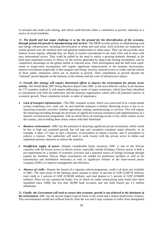in artisanal and small scale mining, and which could become either a contributor to poverty reduction or a source of social instability.

18. *The fourth and last major challenge is to lay the ground for the diversification of the economy, through private-led growth in manufacturing and services*. The PRSP accords priority to rehabilitating road and energy infrastructure, including electrification of urban and rural areas. Such activities are important to sustain growth over the medium-term and generate employment in urban areas. They can also provide some balance across regions, although they are likely to remain concentrated in the main cities and in areas with easy international access. They could be pulled by the need to satisfy a growing domestic demand, in the third most populated country in Africa, by the activity generated by large-scale mining investments, and by competitive advantages on the global market in selected areas. Their development (and the shift from rapidreturn to longer-term investments) will require significant improvements in the business environment, massive investments (especially in the transport and energy sectors), restored access to credit, and the reform of those public enterprises which are an obstacle to growth. Their contribution to growth beyond the "rebound" period depends on the intensity of the reforms and the scale of infrastructure repairs.

19. *Overall, this strategy will require determined efforts to improve the environment for private sector activity.* The World Bank 2007 *Doing Business Report* rates DRC as the most difficult country to do business for 175 countries studied. It will require addressing a series of major constraints, which have been identified in consultation with both the authorities and the business organization, which affect all potential sources of economic growth. These constraints include, in order of importance:

- *Lack of transport infrastructure*—The DRC transport system, which was conceived of as a multi-modal system combining river, road, rail, air and maritime transport is broken. Restoring access is key to relaunching economic activities–whether agriculture, mining, manufacturing, or services. This will require the financing (including through the provision of significant external assistance) and implementation of a massive reconstruction programme, with an initial focus on restoring access to key urban centers across the country, and re-linking these urban centers with their hinterland.
- *Business environment*—DRC has the potential of attracting significant private investment, which would be key to high and sustained growth, but red tape and corruption constitute major obstacles: as an example, it takes 172 days to start a business, 14 procedures to obtain a license, and 51 procedures to enforce a contract. The authorities will need to work closely with the private sector to define and implement priority measures to redress the situation.
- *Insufficient supply of power*—Despite considerable hydro resources, DRC is one of the African countries with the lowest access to electric power, especially outside Kinshasa. Electric power is both a pre-requirement for a number of economic activities and a potential source of foreign exchange through exports (to Southern Africa). Major investments are needed (in production facilities as well as for transmission and distribution networks) as well as significant reforms of the State-owned power company (SNEL) to improve management and efficiency.
- *Absence of credit*—Despite the launch of a vigorous reform programme, credit is *de facto* not available in DRC. The total assets of the banking sector amount to about 10 percent of GDP (US\$770 million), total credit to 2 percent of GDP (US\$180 million), and total deposit to 5 percent of GDP (US\$400 million). There are ten commercial banks, five of which are under restructuring (nine banks have been liquidated since 1998), but less than 30,000 bank accounts, and one bank branch per 1.2 million inhabitants.

20. *Finally, the Government will need to ensure that economic growth is not achieved to the detriment of the environment*. DRC has the second largest tropical forest in the world and a unique biodiversity richness. This environmental wealth has suffered heavily from the war and it may continue to suffer from unregulated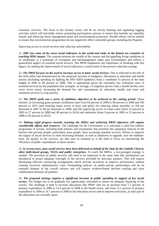economic recovery. The focus in the forestry sector will be on strictly limiting and regulating logging activities which will inevitably restart, promoting participatory process to ensure that benefits are equitably shared, and enforcing forest management plans and environmental protection. Parallel efforts will be needed to ensure that reconstruction programmes do not negatively affect vulnerable groups, including the Pygmies.

### *Improving access to social services and reducing vulnerability*

21. *DRC has some of the worst social indicators in the world and ranks in the bottom ten countries in reaching MDG targets.* The contrast between the wealth of the country and the appalling living conditions of its inhabitants is a testimony of corruption and mismanagement under past Governments and reflects a generalized neglect of essential social services*.* The PRSP emphasizes the importance of breaking with this legacy, by making the improvement of social indicators a central tenet of the poverty reduction strategy.

22. *The PRSP focuses on the need to increase access to basic social services.* This is reflected in the title of the third pillar and demonstrated by the proposed increase in budgetary allocations to education and health sectors (including spending on fighting the HIV/AIDS epidemic) from a combined 15 percent of the state budget in 2006 to 40 percent in 2008*.* This is appropriate given the extremely low utilization rates of essential services by the population (for example, on average, a Congolese person visits a health facility once every seven years). Increasing the demand for, and consumption of, education, health, and water and sanitation services is a top priority.

23. *The PRSP spells out a series of ambitious objectives to be achieved in the coming period.* These include: (i) increasing gross primary enrollment rates from 64 percent in 2006 to 80 percent in 2008 and 100 percent in 2015 (and ensuring equal access to boys and girls); (ii) reducing infant mortality to 104 per thousand in 2007 to 98 per thousand in 2008; and (iii) improving access to clean water (from 22 percent in 2005 to 27 percent in 2008 and 49 percent in 2014) and sanitation (from 9 percent in 2005 to 15 percent in 2008 to 45 percent in 2015).

24. *Making rapid progress towards reaching the MDGs and achieving PRSP objectives will require considerable efforts and resources*. The challenge for the Government is to articulate a solid but realistic programme of actions, including both reforms and investments that prioritise the sequential removal of the barriers that prevent people, particularly poor people, from accessing essential services. Efforts to improve the supply of social services to meet increasing demand, as well as initiatives to upgrade, over the mediumterm, the quality of the services, are also seen as essential as is the need to focus on maximizing the efficiency of public expenditures in these sectors.

25. *In recent years, most social services have been delivered on behalf of the State by the Catholic Church, other faith-based groups, NGOs and public enterprises.* To reach the MDGs, a two-pronged strategy is needed. The provision of public services will need to be improved at the same time that mechanisms are introduced to ensure adequate oversight of the services provided by non-state partners. This will require developing efficient contracting arrangements which provide incentives to improve performance without creating excessive administrative costs. Formulating policies on public-private partnerships will be an essential element of the overall reforms and will require evidence-based decision making and close collaboration between all partners.

26. *The proposed strategy requires a significant increase in public spending in support of key social sectors*. The budget has to be gradually but significantly reoriented to ensure an adequate financing of the sectors. The challenge is both to increase allocations (the PRSP calls for an increase from 7.5 percent of primary expenditure in 2006 to 12.9 percent in 2008 in the health sector, and from 12.2 percent of primary expenditure in 2006 to 16.7 percent in 2008 in the education sector) and to improve execution, as only part of the allocations are currently spent.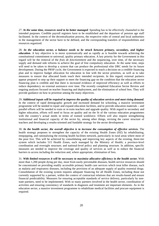27. *At the same time, resources need to be better managed*. Spending has to be effectively channeled to the intended purposes. Credible payroll registers have to be established and the departure of pension age staff facilitated. In the context of the decentralization process, the respective roles of central and local authorities in the management of the sector have to be defined, and the corresponding transfers of responsibilities and resources organized.

28. *In the education sector, a balance needs to be struck between primary, secondary, and higher education.* A key objective is to move systematically and as rapidly as is feasible towards achieving the constitutional commitment to universal, quality primary education. A key priority for the Government in this regard will be the removal of the *frais de fonctionnment* and the sequencing, over time, of the necessary supply and demand side reforms to achieve the goal of free compulsory education. At the same time, steps will need to be taken to develop a system that can produce the professional elite DRC needs for its future development. During the PRSP cycle, the Government is expected to reach a decision on a credible financing plan and to improve budget allocation for education in line with the sector priorities, as well as to take measures to ensure that allocated funds reach their intended recipients. In this regard, external partners appear prepared to step up their support to meet the financing gap on the condition that the education sector financing plan is credible and that there is increased evidence of improved efficiency as well as efforts to reduce dependency on external assistance over time. The recently completed Education Sector Review and ongoing analyses focused on teacher financing and deployment, and the elimination of school fees. They will provide guidance on how to prioritize among the many objectives.

29. *Additional inputs will be required to improve the quality of education services and meet rising demand*. In the context of rapid demographic growth and increased demand for schooling, a massive investment programme will be needed to repair and expand education facilities, and to provide education materials – and parallel efforts will be needed to train or re-train teachers and upgrade quality. With regard to secondary and higher education, efforts will need to focus on quality and on the fit of the various education programmes with the country's actual needs in terms of trained workforce. Efforts will also require strengthening institutional and financial capacity of the sector by, among other things, revising the career structure of teachers and developing a results-oriented and fundable strategy for the sector development.

30. *In the health sector, the overall objective is to increase the consumption of effective services.* The health strategy proposes to strengthen the capacity of the existing Health Zones (HZ) by rehabilitating, reequipping, and rationalizing the existing health facilities network, particularly in rural areas where most of the poor live. This will be achieved by consolidating and improving key aspects of the existing, three-tier system which includes 515 Health Zones, each managed by the Ministry of Health; a province-level coordination and oversight structure; and national-level policy and planning structure. In addition, specific measures are needed to improve the coverage and quality of services as well as to reduce the financial barriers to access including the reduction and, where appropriate, elimination of fees.

31. *With limited resources it will be necessary to maximise allocative efficiency in the health sector.* With more than 1,200 people dying per day, most from easily preventable diseases, health service resources should be concentrated on providing readily accessible primary health care services which treat killer disease, such as malaria and respiratory diseases, including the provision of an adequate supply of quality essential drugs. Consolidation of the existing system requires adequate financing for all Health Zones, including those not currently supported by a partner, within the context of contractual relations that are results-based and ensure financial predictability. Measures for ensuring acceptable standards of service delivery, particularly by nonstate partners, need to be implemented. With so many partners involved in the health sector, coordination of activities and ensuring consistency of standards in diagnosis and treatment are important elements. As in the education sector, a massive investment programme to rehabilitate medical facilities and procure equipment is required.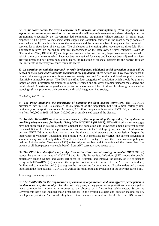32. *In the water sector, the overall objective is to increase the consumption of clean, safe water and expand access to sanitation services*. In rural areas, this will require investment to scale-up already effective programmes (specifically the Government-led community programme Village Assaini). In urban areas, emphasis will be given to increasing water supply and sanitation services in the most densely populated areas, where public health problems are the most acute and the largest number of people can be connected to services for a given level of investment. The challenges to increasing urban coverage are three-fold. First, significant reforms are needed to improve management of the state-owned water company (*Régie de Distribution d'Eau*, REGIDESO) and improve revenue collection. Second, large investments are needed to rehabilitate urban networks which have not been maintained for years and have not been adjusted to a fastgrowing urban and peri-urban population. Third, the reduction of financial barriers for the poorest through life-line tariffs is necessary to ensure equitable access.

33. *In pursuing an equitable approach towards development, additional social protection actions will be needed to assist poor and vulnerable segments of the population.* These actions will have two functions: 1) reduce risks among populations living close to poverty line; and 2) provide additional support to clearly identifiable vulnerable groups. The PRSP identifies four categories of population which should be primary targets of social protection programmes: vulnerable women and children; disabled persons; the elderly; and the displaced. A series of targeted social protection measures will be introduced for these groups aimed at reducing risk and promoting their economic and social integration into society.

### *Combating HIV/AIDS*

34. *The PRSP highlights the importance of pursuing the fight against HIV/AIDS*. The HIV/AIDS prevalence rate in DRC is estimated at 4.5 percent of the population but will almost certainly rise, particularly as transport routes open. At present, 2.6 million people are living with HIV/AIDS, a considerable rise from 700,000 in 1995. Of these, 780,000 are at an advanced stage of the disease.

35. *To date, HIV/AIDS services have not been effective in preventing the spread of the epidemic or providing adequate care for People Living With HIV/AIDS (PLWHA).* HIV/AIDS education messages have not succeeded in raising awareness amongst the population and knowledge among different sectors remains deficient: less than three percent of men and women in the 15-24 age group have correct information on how HIV/AIDS is transmitted and what can be done to avoid exposure and transmission**.** Despite the importance of Voluntary Counseling and Testing (VCT) in combating HIV/AIDS, the current provision of services is very low with only 426 VCT centres in the entire country. To date, there is no national policy on making Anti-Retroviral Treatment (ART) universally accessible, and it is estimated that fewer than five percent of all those people who could benefit from ART currently have access to it.

36. *The PRSP has identified specific objectives in the Governments' strategy to combat HIV/AIDS:* (i) reduce the transmission rates of HIV/AIDS and Sexually Transmitted Infections (STI) among the people, particularly among women and youth; (ii) speed up treatment and improve the quality of life of persons living with HIV/AIDS; (iii) attenuate the negative socioeconomic impact of HIV/AIDS on individuals, families and communities, and (iv) strengthen the mechanisms for coordinating all stakeholders and partners involved in the fight against HIV/AIDS as well as the monitoring and evaluation of the activities carried out.

### *Promoting community dynamics*

37. *The PRSP calls for the empowerment of community organizations and their effective participation in the development of the country*. Over the last forty years, strong grassroots organizations have emerged in many communities, largely as a response to the absence of a functioning public sector. Successive Governments have not included these organizations in the overall dialogue and decision-making on key development priorities. As a result, they have often remained confined to a local role. The PRSP aims to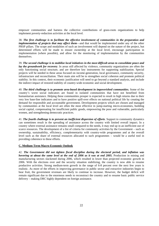empower communities and harness the collective contributions of grass-roots organizations to help implement poverty-reduction activities at the local level.

38. *The first challenge is to facilitate the effective involvement of communities in the preparation and implementation of projects that may affect them—and that would be implemented under any of the other* PRSP pillars. The scope and modalities of such an involvement will depend on the nature of the project, but determined efforts will be made to ensure ownership at the local level, encourage participation in implementation (where possible), and allow for the monitoring of implementation by the communities themselves.

39. *The second challenge is to mobilize local initiatives in the most difficult areas to consolidate peace and lay the groundwork for recovery*. In areas still affected by violence, community organizations are often the only functioning social structure, and are therefore key instruments for supporting stabilization. Special projects will be needed in these areas focused on income-generation, local governance, community security, infrastructure and reconciliation. Their main aim will be to strengthen social cohesion and promote political stability. In this context, their economic justification will need to go beyond a standard analysis, and include the indirect impact of restored stability of country-wide economic and social development.

40. *The third challenge is to promote area-based development in impoverished communities.* Some of the country's worst social indicators are found in isolated communities that have not benefited from humanitarian assistance. Helping these communities prosper is expected to result in high returns due to their very low base-line indicators and to have positive spill-over effects on national political life by creating the demand for responsible and accountable government. Development projects which are chosen and managed by communities at the local level are often the most effective in jump-starting micro-economies, building social capital, compensating for insufficient public goods, empowering the poor and vulnerable, particularly women, and strengthening democratic practices.

41. *The fourth challenge is to prevent an inefficient dispersion of efforts*. Support to community dynamics can sometimes result in the spreading of assistance across the country with limited overall impact. In a country where external assistance remains small compared to the needs, it may end up in an inefficient use of scarce resources. The development of a list of criteria for community activities by the Government – such as ownership, sustainability, efficiency, complementarity with country-wide programmes and at the overall level such as the share of external resources allocated to such programmes – would be a useful tool in providing coherence to these efforts.

# **C. Medium-Term Macro-Economic Outlook**

42. *The Government did not tighten fiscal discipline during the electoral period, and inflation was hovering at about the same level at the end of 2006 as it was at end 2005.* Production in mining and manufacturing sectors slackened during 2006, which resulted in lower than projected economic growth in 2006. With the elections over and the security situation stabilizing, the country is now able to resume productive activities. Strong medium-term growth in the range of 6-8 percent over the next few years is realistic. As more of the efforts in improving governance in public sector and extractive industries begin to bear fruit, the government revenues are likely to continue to increase. However, the budget deficit will remain significant due to the enormous needs to reconstruct the country and to resume basic public service delivery – making DRC highly dependent on foreign assistance.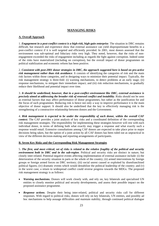# **MANAGING RISKS**

# **A. Overall Approach**

1. *Engagement in a post-conflict context is a high-risk, high-gain enterprise*. The situation in DRC remains difficult, but research and experience show that external assistance can yield disproportionate benefits in a post-conflict context if it is well targeted and efficiently provided. In 2001, most donors assessed that the environment was sub-optimal and fiduciary risks very high. They noted, however, that the risks of nonengagement exceeded the risks of engagement including as regards the fight against corruption. Indeed some of the risks have materialized (including on corruption), but the overall impact of donor programmes on political stabilization and economic reform has been positive.

2. *Consistent with post-2001 donor strategies in DRC, the approach suggested here is based on pro-active*  risk management rather than risk avoidance. It consists of identifying the categories of risk and the main risk factors within those categories, and in designing ways to minimize their potential impact. Typically, the risk management strategy is three-fold: (i) warning mechanisms, to detect problems at an early stage; (ii) response mechanisms, to mitigate their immediate impact; and (iii) risk reduction mechanisms, to gradually reduce their likelihood and potential impact over time.

3. *It should be underlined, however, that in a post-conflict environment like DRC, external assistance is precisely aimed at addressing the broader risk of renewed conflict and instability*. Risks should not be seen as external factors that may affect performance of donor programmes, but rather as the justification for and the focus of such programmes. Reducing risk is hence not only a way to improve performance it is the main objective of donor support. It should also be underlined that the key to effectively managing risk is the strengthening of a constructive relationship between donors and the Government.

4. *Risk management is expected to be under the responsibility of each donor, within the overall CAF context*. The CAF provides a joint analysis of key risks and a coordinated definition of the corresponding risk management strategies. The responsibility for implementing these strategies however will rest with each individual donor, in terms of defining both what exactly may trigger a response and what exactly such a response would entail. Extensive consultations among CAF donors are expected to take place prior to major decisions being taken, but the option of a joint action by all CAF donors has been ruled out as unpractical in view of the different decision-making and reporting arrangements of participants.

### **B. Seven Key Risks and the Corresponding Risk Management Strategies**

5. *The first, and most critical, set of risks is related to the relative fragility of the political and security environment both in DRC and in the sub-region*. Political and security risks are distinct in nature, but closely inter-related. Potential negative events affecting implementation of external assistance include: (i) the deterioration of the security situation in parts or the whole of the country; (ii) armed interventions by foreign groups or foreign armed forces on DRC territory; (iii) social unrest caused or exploited by disenfranchised political figures; (iv) dramatic events which would destabilize the political leadership of the country; and (v) in the worst case, a return to widespread conflict could reverse progress towards the MDGs. The proposed risk management strategy is as follows:

- *Warning mechanisms.* Donors will work closely with, and rely on, key bilaterals and specialized UN entities to closely monitor political and security developments, and assess their possible impact on the proposed assistance programme.
- *Response actions*. Despite their being inter-related, political and security risks call for different responses. With regard to political risks, donors will rely on key bilaterals, UN entities, and possibly ad hoc mechanisms to help assuage difficulties and maintain stability, through continued political dialogue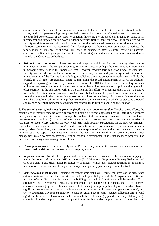and mediation. With regard to security risks, donors will also rely on the Government, external political actors, and UN peacekeeping troops to help re-establish order in affected areas. In case of an uncontrolled deterioration of the security situation, however, the proposed contingency response is an incremental and targeted scaling down of donor activities (rather than withdrawal) in those areas where security conditions are not sufficient for donor staff or donor-financed personnel to travel to and work. In addition, resources may be redirected from development to humanitarian assistance to address the ramifications of violence. Withdrawal will only be considered after a careful review of potential consequences (including on political stability and security) and extensive consultations among donors and with the Congolese authorities.

**Risk reduction mechanisms.** There are several ways in which political and security risks can be minimized. MONUC, the UN peacekeeping mission in DRC, is perhaps the most important investment in managing these risks in the immediate term. However, medium-term reduction hinges on successful security sector reform (including reforms to the army, police and justice systems). Supporting implementation of the Constitution including establishing effective democratic mechanisms will also be crucial, as will other programmes aimed at improving the social environment in DRC. In addition, support to improving the broader governance environment in DRC will be critical, as it underpins many problems that were at the root of past explosions of violence. The continuation of political dialogue with other countries in the sub-region will also be critical in this effort, to encourage them to play a positive role in the DRC stabilization process, as well as possibly the launch of regional projects to encourage and strengthen trade and other cooperation across borders. Last but not least, it includes an intense dialogue with the Congolese authorities to help them strengthen the environment in which assistance is provided and manage potential incidents in a manner that contributes to further stabilizing the situation.

6. *The second group of risks results from the fragile macro-economic situation*. Despite recent efforts, the country's vulnerability remains very significant and could be further aggravated by: (i) lack of decisiveness or capacity by the new Government to rapidly implement the necessary measures to ensure sustained macroeconomic stability; (ii) impact of the decentralization process and the corresponding transfer of resources to levels where controls are very weak; (iii) high popular expectations on the new Government, especially as regards public services wages; and (iv) private sector response in case of political uncertainty or security crises. In addition, the risks of external shocks (prices of agricultural exports such as coffee, or minerals such as copper) may negatively impact the economy and result in an economic crisis. Debt management may also have an adverse effect on economic development if it is not managed properly. The proposed risk management strategy is as follows:

- *Warning mechanisms*. Donors will rely on the IMF to closely monitor the macro-economic situation and assess possible risks on the proposed assistance programme.
- *Response actions*. Overall, the response will be based on an assessment of the severity of slippages, within the context of traditional IMF instruments (Staff Monitored Programme, Poverty Reduction and Growth Facility) and usual donor responses to slippages—which may include redefinition of planned interventions, intensification of the policy dialogue, and possibly partial suspension of activities.
- *Risk reduction mechanisms*. Reducing macroeconomic risks will require the provision of significant external assistance, within the context of a frank and open dialogue with the Congolese authorities on priority reforms. First, significant capacity building and technical assistance will be needed: (i) to strengthen the Government's capacity to implement key macroeconomic measures; (ii) to improve controls for managing public finance; (iii) to help manage complex political processes which have a significant macroeconomic impact (such as decentralization or public service wages negotiations); and (iv) to strengthen Government capacity to raise revenue. Second, until revenue collection efforts yield significant benefits, the Government will continue to face a financing gap and is seeking relatively large amounts of budget support. However, provision of further budget support would require both the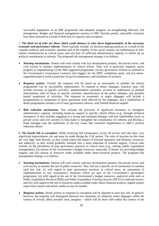successful negotiation of an IMF programme and adequate progress on strengthening fiduciary risk management. Budget and financial management systems in DRC function poorly, and public resources have been misused as a result of both lack of capacity and corruption.

7. *The third set of risks are those which could obstruct or slow down implementation of the necessary economic and governance reforms*. These typically include: (i) decision-making paralysis as a result of the complex political and economic situation and of the fragility of the social context; (ii) mobilization of antireform constituencies in critical areas; and (iii) lack of sufficient administrative capacity to follow up on political commitment to reforms. The proposed risk management strategy is as follows:

- *Warning mechanisms*. Donors will work closely with key development partners, the private sector, and civil society to monitor implementation of critical reform. They will in particular regularly assess progress in implementing: (i) the IMF-supported programme; (ii) key governance reforms as outlined in the Government's Governance Contract; (iii) triggers for the HIPC completion point; and (iv) donorsupported projects (with a particular focus on transparency and timeliness of actions).
- *Response actions*. Overall, the response will be based on an assessment of whether the reform programmes can be successfully implemented. To respond to minor slippages, practical steps will include revisions of specific activities' implementation schedules, revision or redefinition of planned interventions, shift of focus of specific activities, intensification of the policy dialogue, and possibly partial suspension of activities. The response to systematic or major slippages will include a postponement or suspension of those operations most affected by the slippages, and a redefinition of donor programmes around a set of basic governance reforms, with limited financial support.
- *Risk reduction mechanisms*. This includes the provision of significant assistance to strengthen administrative capacity, including hands-on support to specific reform efforts (e.g., through technical assistance). It also includes engaging in a strong and sustained dialogue with key stakeholders (such as private sector and civil society) to help build or strengthen the constituency for reforms and develop a frank dialogue with the authorities on the key issues that constitute impediments to DRC's poverty reduction efforts.

8. *The fourth risk is corruption*. While achieving full transparency across all sectors will take time, very significant improvements can and must be made during the CAF period. The risks of inaction on this front are very high, both directly, as they would reduce the impact of external assistance and domestic resources, and indirectly, as they would gradually translate into a steep reduction of external support. Critical risks include: (i) the persistence of poor governance practices in critical areas (e.g., mining, public expenditure management); (ii) misuse of the Government's budget resources, especially if donors are providing budget support; and (iii) misuse of resources made available under donor-financed projects. The proposed risk management strategy is as follows:

- *Warning mechanisms*. Donors will work closely with key development partners, the private sector, and civil society to monitor the use of public resources. They will use a specific set of instruments to monitor each key risk: (i) with regard to poor governance practices in critical areas, an assessment of implementation of key transparency measures which are part of the Government's governance programme; (ii) with regard to the use of the Government's budget resources, analytical work such as Public Expenditure Reviews (PER) and Public Expenditure Tracking Surveys (PETS) in selected sectors; and (iii) with regard to the use of resources made available under donor-financed projects, regular project supervision reports and ad hoc audits as may be needed.
- *Response actions*. Donor actions in response to corruption will be adjusted to each key risk. In general, however, the response will distinguish between two situations: (i) relatively minor slippages within the context of overall, albeit possibly slow, progress – which will be dealt with within the context of the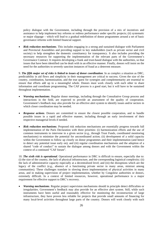policy dialogue with the Government, including through the provision of a mix of incentives and assistance to help implement key reforms or redress performance under specific projects; (ii) systematic or major slippage – which will lead to a gradual redefinition of donor programmes around a set of basic governance reforms with limited financial support.

• *Risk reduction mechanisms*. This includes engaging in a strong and sustained dialogue with Parliament and Provincial Assemblies and providing support to key stakeholders (such as private sector and civil society) to help strengthen the domestic constituency for transparency. It also includes providing the necessary resources for supporting the implementation of the relevant parts of the Government's Governance Contract. It requires developing a frank and trust-based dialogue with the authorities, so that issues that have been identified can be dealt with in an effective manner. Finally, donors will insist on the need for the authorities to severely sanction instances of fraud as a deterrent measure.

9. *The fifth major set of risks is linked to issues of donor coordination*. In as complex a situation as DRC, predictability in aid flows and simplicity in their management are critical to success. Given the size of the country, coordination, harmonization, and the true quest for synergies and complementarity are essential to ensure that efforts add up to a meaningful whole. Donors must work closely with each other to share information and coordinate programming. The CAF process is a good start, but it will have to be sustained throughout implementation.

- *Warning mechanisms*. Regular donor meetings, including through the Consultative Group process and interactions in the field, are expected to provide an assessment of the quality of cooperation. Government's feedback may also provide for an effective alert system to identify issues and/or sectors in which closer coordination may be needed.
- **Response actions.** Donors are committed to ensure the closest possible cooperation, and to handle possible issues in a rapid and effective manner, including through an early involvement of their respective managerial levels if needed.
- *Risk reduction mechanisms*. Proposed risk reduction mechanisms are essentially progress towards full implementation of the Paris Declaration with three priorities: (i) harmonization efforts and the use of common instruments to intervene in a given sector (e.g., through Trust Funds, coordinated monitoring mechanisms) to minimize the potential for uncoordinated action; (ii) development of a solid capacity within the Government to follow up closely on donor programmes and their implementation (and hence to detect any potential issue early on); and (iii) regular coordination mechanisms and the adoption of a shared "code of conduct" to sustain the dialogue among donors and with the Government within the context of a continued "CAF forum".

10. *The sixth risk is operational*. Operational performance in DRC is difficult to ensure, especially due to: (i) the size of the country, the lack of physical infrastructure, and the corresponding logistical complexity; (ii) the lack of administrative capacity especially at a decentralized level; and (iii) the disruptions which are the legacy of the conflict (e.g., absence of a functioning private sector in many areas, mistrust among communities). These challenges translate in slowing down implementation of physical activities in many areas, and in making supervision of project implementation, whether by Congolese authorities or donors, extremely difficult. In a context of limited resources, however, operational performance is a major requirement for effective support to DRC's recovery.

• *Warning mechanisms*. Regular project supervision mechanisms should in principle detect difficulties or irregularities. Government's feedback may also provide for an effective alert system. Still, while such instruments have been useful and reasonably effective for monitoring the reconstruction of large infrastructure, they have proven less reliable for projects that provide small amounts of financing for many local-level activities throughout large parts of the country. Donors will work closely with each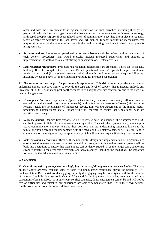other and with the Government to strengthen supervision for such activities, including through: (i) partnership with civil society organizations that have an extensive network even in far-away areas (e.g., faith-based groups); (ii) use of decentralized levels of administration once they are in place to regularly report on effective activities at the local level; and (iii) joint, multi-donor monitoring mechanisms, that may result in reducing the number of missions in the field by tasking one donor to check on all projects in a given area.

- **Response actions.** Response to operational performance issues would be defined within the context of each donor's procedures, and would typically include increased supervision and support to implementation, as well as possibly retrofitting or suspension of selected activities.
- *Risk reduction mechanisms*. Proposed risk reduction mechanisms are essentially linked to: (i) capacity building efforts to strengthen the Government's and operational partners' capacity to implement donorfunded projects; and (ii) increased resources within donor institutions to ensure adequate follow up, including by posting key staff in the field and providing for increased supervision.

11. *The seventh and last major risk for donors is reputational*. This risk is especially relevant as it may undermine donors' effective ability to provide the type and level of support that is needed. Indeed, any involvement in DRC, as in many post-conflict countries, is likely to generate controversy due to the high risk nature of engagement.

- *Warning mechanisms***.** Experience suggests that controversy can come from many different quarters (sometimes with contradictory views or demands), with a focus on a diverse set of issues (reforms in the forestry sector, the involvement of indigenous people, joint-venture agreements in the mining sector, procurement, human rights, etc.). Donors will work together to ensure that reputational risks are identified and managed.
- *Response actions.* Donors' first response will be to review how the quality of their assistance to DRC can be improved in light of the arguments made by critics. They will then systematically adopt a proactive communication strategy to make their positions and the underpinning rationales known to the public, including through regular contacts with the media and key stakeholders, as well as full-fledged communication campaigns as may be appropriate (which will require adequate financing from donors).
- **Risk reduction mechanisms.** These will include careful design and implementation of programmes to ensure that all relevant safeguards are met. In addition, strong monitoring and evaluation systems will be built into operations to ensure that their impact can be demonstrated. Over the longer term, supporting stronger structures for democratic oversight and accountability (including the media) will be important for reducing the risks inherent in working in DRC.

# **C. Conclusion**

12. *Overall, the risks of engagement are high, but the risks of disengagement are even higher*. The risks outlined above are very real and some of them will undoubtedly materialize during the period of CAF implementation. But the risks of disengaging, or partly disengaging, may be even higher, both for the success of the overall stabilization process in Central Africa and for the implementation of key governance and anticorruption reforms in DRC. As in other post-conflict countries, donor engagement cannot be and will not be free of difficulties and mistakes, but experience has amply demonstrated that, left to their own devices, fragile post-conflict countries often fall back into chaos.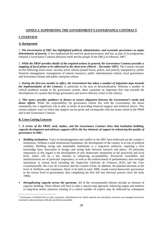# **ANNEX I: SUPPORTING THE GOVERNMENT'S GOVERNANCE CONTRACT**

# **I. OVERVIEW**

# **A. Background**

1. *The Government of DRC has highlighted political, administrative, and economic governance as major determinants of poverty*. It has emphasized the need for good governance and has, as part of its programme, released a Governance Contract (between itself and the people of the DRC) in February 2007.<sup>1</sup>

2. *While the PRSP provides details of the required actions in general, the Governance Contract provides a mapping of focal points to be addressed in the short-term (March – December 2007).* The Contract focuses on the following seven areas: security sector reform (armed forces, police, and justice); transparency; public financial management; management of natural resources; public administration reform; local governance; and investment climate and public enterprise reform.

3. *During the first two months in office, the Government has taken a number of important steps towards the implementation of the Contract*, in particular in the area of decentralization. Whereas a number of critical problems remain in the governance system, these constitute an important first step towards the development of a system that brings governance and service delivery closer to the citizens.

4. *This annex provides guidance to donors to ensure alignment between the Government's needs and donor efforts*. While the responsibility for governance reform lies with the Government, the donor community has a significant role to play in terms of providing financial support and technical advice. This section outlines ways in which that support can be given and corresponds with the issues raised in the PRSP and in the Governance Contract.

# **B. Cross-Cutting Concerns**

1

5. *A review of the PRSP, early studies, and the Governance Contract show that institution building, capacity development and advisory support will be the key elements of support to enhancing the quality of governance in DRC.* 

- *Building institutions.* Years of mismanagement and conflict in the DRC have hollowed out the country's institutions. Without a solid institutional foundation, the development of the country is at risk of political volatility. Building strong and sustainable institutions is a long-term endeavor, requiring a firm knowledge base, innovation in design, and strong links between research and policy. Of particular importance in this regard is the development of new democratic institutions at the provincial and local level, which will be a key element to enhancing accountability. Provincial Assemblies and administrations are of particular importance, as well as the reinforcement of parliamentary and oversight institutions at central level including the *Inspection Générale de Finances* (IGF) and the *Cour Constitutionelle*, the *Cour de Cassation* and the *Conseil d'Etat*. In addition, the planned elections at the level of chefferies and communes, likely to be held in early 2008, would extend democratic governance to the lowest level of government, thus completing the first full free electoral process since the early 1960s.
- *Strengthening capacity across the spectrum.* All of the recommended reforms include an element of capacity building. These efforts will have to take a step-by-step approach, balancing urgent and medium to long-term needs; intensive training of a critical number of experts may be followed by subsequent

<sup>&</sup>lt;sup>1</sup> Governance is defined here as rules, processes, and behaviors by which interests are articulated, resources are managed and power exercised, and government officials are held accountable.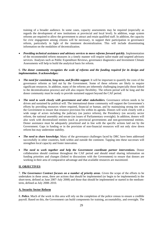training of a broader audience. In some cases, capacity assessments may be required (especially as regards the development of new institutions at provincial and local level). In addition, wage system reforms are required to allow the government to attract and retain qualified staff. In addition, the capacity for civic engagement among citizens will be necessary, to support their participation in governance reform, particularly in light of the imminent decentralization. This will include disseminating information on the modalities of decentralization.

• *Providing technical assistance and advisory services to move reforms forward quickly.* Implementation of the recommended reform measures in a timely manner will require tailor-made and targeted advisory services. Analyses such as Public Expenditure Reviews, governance diagnostics and Investment Climate Assessments will help to build the analytical basis for reform.

# 6. *The donor community recognizes the scale of reforms and the funding required for its design and implementation. It acknowledges:*

- *The need for consistent, long-term, and flexible support*. It will be important to quantify the costs of the governance reforms as laid out by the Government. Some of these reforms are likely to require significant resources. In addition, many of the reforms are inherently challenging (especially those linked to the decentralization process) and will also require flexibility. The reform period will be long and the donor community must be ready to provide sustained support beyond the CAF period.
- The need to work closely with government and other stakeholders. Governance reform needs to be driven and sustained by political will. The international donor community will support the Government's efforts by providing resources where required, financial or human, and by maintaining strong ties with the Government to ensure that resource provision fits within its agenda. Donors will work closely with a wide range of actors including the judiciary (on justice reform), the Presidency (on security sector reform, the national assembly and senate (on issues of Parliamentary oversight). In addition, donors will also work with decentralized entities (such as provincial governments and non-governmental entities. Donor assistance must be adequately prioritized and in line with the specific actions laid out by the Government. Gaps in funding or in the provision of non-financial resources will not only slow down reform but may undermine stability.
- *The need to share knowledge.* Many of the governance challenges faced by DRC have been addressed successfully in other countries, both within and outside the continent. Tapping into these successes will strengthen local capacity and foster innovation.
- *The need to work together and help the Government coordinate partner interventions.* Donor collaboration should continue throughout the CAF period and should entail sharing information on funding priorities and changes (linked to discussions with the Government) to ensure that donors are working in their area of comparative advantage and that available resources are maximized.

# **II. OBJECTIVES**

7. *The Governance Contract focuses on a number of priority areas*. Given the scope of the efforts to be undertaken in these areas, there are actions that should be implemented (or begin to be implemented) in the short-term, defined as June 2007–July 2008) and those that should be implemented or started in the mediumterm, defined as July 2008–2010.

### **A. Security Sector Reform**

8. *Police.* Much of the work in this area will rely on the completion of the police census to ensure a credible payroll. Based on this, the Government can build components for training, accountability, and oversight. The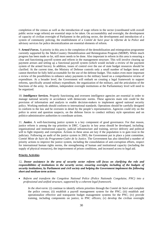completion of the census as well as the introduction of wage reform in the sector (coordinated with overall public sector wage reform) are essential steps to be taken. On accountability and oversight, the development of capacity of civilian oversight of Parliament in the policing sector, the development and introduction of a system of community policing, the establishment of a *Comité de Suivi pour la réforme de la Police* and advisory services for police decentralization are essential elements of reform*.* 

9. *Armed Forces.* A priority in this area is the completion of the demobilization and reintegration programme currently supported by the Multi-Country Demobilization and Reintegration Program (MDRP). While much progress has been made so far, still more needs to be done. Also important in reform in this area is ensuring a clear and functioning payroll system and reform in the management structure. This will involve clearing up payment arrears and setting up a functional payroll system (which would include a review of the payment system of the armed forces). In addition, issues of control over the use of state budget resources should be clarified. At the current time, the Ministry of Defense controls only a small number of budget items and cannot therefore be fully held accountable for the use of the defense budget. This makes even more important a review of the possibilities to enhance salary payments to the military based on a comprehensive review of expenditure. At a broader level, the Government will embark on creating a legal framework to support reforms, specifically around military expenditure, the organization of the military, and the articulation of the functions of the army. In addition, independent oversight institutions at the Parliamentary level will need to be organized.

10. *Intelligence Services.* Properly functioning and overseen intelligence agencies are essential in order to manage national security in accordance with democratic norms. These agencies main role could be the provision of information and analysis to enable decision-makers to implement agreed national security policy. Working methods should conform to international standards. Operations should be carefully designed to conform to the law and be overseen in detail by the people's representatives. Agencies could rely on the police to arrest and question suspects, on the defense forces to conduct military style operations and on politico-administrative authorities to coordinate actions.

11. *Justice.* A well-functioning justice system is a key component of good governance. For that reason, justice reform is among the top priorities in DRC. Capacity in key areas should be developed, including: organizational and institutional capacity, judicial infrastructure and training, service delivery and political will to fight impunity and corruption. Actions in these areas are key if the population is to gain trust in the judiciary. Following an audit of the justice system in 2003, the Government put in place a joint committee, *Comité Mixte de Suivi du Programme-Cadre de la Justice*. The Government has also identified a number of priority actions to improve the justice system, including the consolidation of anti-corruption efforts, respect for international human rights norms, the strengthening of human and institutional capacity (including the supply of physical resources), the improvement of prison conditions, and increased access to legal aid.

### **Priority Activities**

12**.** *Donor assistance in the area of security sector reform will focus on clarifying the role and responsibilities of institutions in the security sector, ensuring oversight, including of the budgets of security institutions, by Parliament and civil society and helping the Government implement the following short and medium-term actions.* 

• *Reform and transform the Congolese National Police (Police Nationale Congolaise, PNC) into a professional and unified structure, supported by a coherent legal framework.* 

*In the short-term:* (i) continue to identify reform priorities through the *Comité de Suivi* and complete the police census; (ii) establish a payroll management system for the PNC; (iii) establish and operationalize effective and transparent budget management systems for the PNC; (iv) provide training, including components on justice, to PNC officers; (v) develop the civilian oversight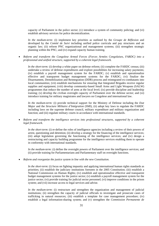capacity of Parliament in the police sector; (v) introduce a system of community policing; and (vi) establish advisory services for police decentralization.

*In the medium-term:* (i) implement key priorities as outlined by the *Groupe de Réflexion* and developed by the *Comité de Suivi* including unified police curricula and pay structures and an organic law; (ii) reform PNC organizational and management systems; (iii) strengthen strategic planning within the PNC; and (iv) expand capacity human training.

• *Reform and transform the Congolese Armed Forces (Forces Armées Congolaises, FARDC) into a professional and unified structure, supported by a coherent legal framework.*

*In the short-term:* (i) develop a white paper on defense reform; (ii) complete the FARDC census; (iii) undertake a review of defense expenditures and explore possibilities for increasing salary payments; (iv) establish a payroll management system for the FARDC; (v) establish and operationalize effective and transparent budget management systems for the FARDC; (vi) finalize the Disarmament, Demobilization and Reintegration (DDR) process and reintegrated ex-combatants into local communities; (vii) establish mechanisms for ensuring that Integrated Brigades receive regular supplies and equipment; (viii) develop community-based Small Arms and Light Weapons (SALW) programmes that reduce the number of arms at the local level; (ix) provide discipline and leadership training; (x) develop the civilian oversight capacity of Parliament over the defense sector; and (xi) introduce training for military magistrates and lawyers on Congolese and international law.

*In the medium-term:* (i) provide technical support for the Ministry of Defense including the *Etat Major* and the *Structure Militaire d'Intégration* (SMI), (ii) adopt key laws to regulate the FARDC including laws on the supreme defense council, military expenditure and military organization and function; and (iii) regulate military courts in accordance with international standards.

• *Reform and transform the intelligence services into professional structures, supported by a coherent legal framework.*

*In the short-term*: (i) re-define the roles of intelligence agencies including a review of their powers of arrest, questioning and detention; (ii) develop a strategy for the financing of the intelligence services; (iii) adopt legislation governing the functioning of the intelligence services; and (iv) design a restructuring and capacity building programme for the intelligence services enabling them to operate in conformity with international standards.

*In the medium-term:* (i) define the oversight powers of Parliament over the intelligence services; and (ii) provide training for Parliamentarians and Parliamentary staff on oversight functions.

• *Reform and reorganize the justice system in line with the new Constitution.* 

*In the short-term*: (i) focus on fighting impunity and applying international human rights standards as priorities; (ii) establish the judiciary institutions foreseen in the 2005 Constitution; (iii) establish a National Commission on Human Rights; (iv) establish and operationalize effective and transparent budget management systems for the justice sector; (v) establish a payroll management system for the justice sector; (vi) provide training for judicial sector personnel; (vi) improve conditions in the prison system; and (vii) increase access to legal services and advise.

*In the medium-term*: (i) restructure and strengthen the organization and management of judicial institutions; (ii) strengthen the capacity of judicial officials to investigate and prosecute cases of trafficking in natural resources; (iii) establish a template for case management procedure; (iv) establish a legal information-sharing system; and (v) strengthen the *Commission Permanente de*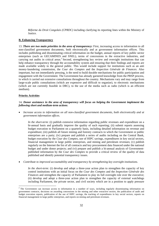*Réforme du Droit Congolais (CPRDC)* including clarifying its reporting lines within the Ministry of Justice.

### **B. Enhancing Transparency**

13. *There are two main priorities in the area of transparency:* First, increasing access to information to all non-classified government documents, both electronically and at government information offices. This includes publishing and disseminating critical information on the budget, annual reports of key public sector enterprises (such as GECAMINES and SNEL), terms of concessions in the extractive industries, and carrying out audits in critical areas.<sup>2</sup> Second, strengthening key review and oversight institutions that can help enhance transparency through the accountability system and ensuring that their findings and reports are made available widely to the general public. This would include support for institutions such as an anti money-laundering commission, the *Cour des Comptes* and the *Inspection Générale de Finances*. Also important, but not immediately pressing, is the need to build durable mechanisms for public participation and engagement with the Government. The Government has already garnered knowledge from the PRSP process, in which it carried out extensive consultations throughout the country. Mechanisms vary and may range from large-scale public consultations (which are expensive and difficult to organize), to electronic mechanisms (which are not currently feasible in DRC), to the use of the media such as radio (which is an efficient medium).

### **Priority Activities**

-

# 14**.** *Donor assistance in the area of transparency will focus on helping the Government implement the following short and medium-term actions.*

• *Increase access to information on all non-classified government documents, both electronically and at government information offices.* 

*In the short-term*: (i) publish extensive information regarding public revenues and expenditure on a bi-annual basis and gradually improve the quality of such reporting; (ii) submit reports assessing budget execution to Parliament on a quarterly basis, including detailed information on revenue and expenditure; (iii) publish all future mining and forestry contracts to which the Government or public enterprises are a party; (iv) prepare and publish a series of audits including on the Central Bank, budget execution by the *Cour des Comptes*, use of HIPC savings, expenditures in key social sectors, financial management in large public enterprises, and mining and petroleum revenues; (v) publish regularly on the Internet the list of all contracts and key procurement data financed under the national budget and under donor projects; and (vi) prepare and publish a bi-annual analysis of Governmentpublished information by the *Cour des Comptes* to provide a critical review of the quality of data published and identify potential transparency issues.

• *Contribute to improved accountability and transparency by strengthening key oversight institutions.* 

*In the short-term:* (i) develop and adopt a three-year action plan to strengthen the capacity of key control institutions with an initial focus on the *Cour des Comptes* and the *Inspection Générale des Finances* and strengthen the capacity of Parliament to play its full oversight role over the executive; (ii) develop and adopt a three-year action plan to strengthen the capacity of external watchdogs including Parliament, the private sector, and civil society which are in a position to apply pressure

 $2$  The Government can increase access to information in a number of ways, including regularly disseminating information on government contracts, decisions on awarding concessions in the mining and other extractive sectors, the publication of audit and budget execution reports, publication of the use of HIPC savings, the tracking of expenditures in key social sectors, reports on financial management in large public enterprises, and reports on mining and petroleum revenues.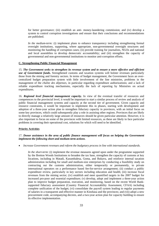for better governance; (iii) establish an anti- money-laundering commission; and (iv) develop a system to control corruption investigations and ensure that their conclusions and recommendations are published.

*In the medium-term:* (i) implement plans to enhance transparency including strengthening formal oversight institutions, supporting, where appropriate, non-governmental oversight structures and monitoring the handling of corruption cases; (ii) provide training for journalists, NGOs and national and local assemblies to develop democratic accountability; and (iii) strengthen the capacity of governmental and non-governmental institutions to monitor anti-corruption efforts.

### **C. Strengthening Public Financial Management**

15. *The Government seeks to strengthen its revenue system and to ensure a more effective and efficient use of Government funds.* Strengthened customs and taxation systems will bolster revenues particularly those from the mining and forestry sectors. In terms of budget management, the Government faces an overcentralized budget preparation system with little involvement of the line ministries, problems in the management of the *chaîne des dépenses*, in particular regarding expenditure authorizations; and a lack of reliable expenditure tracking mechanisms, especially the lack of reporting by Ministries on actual expenditures.

16. *Regional level financial management capacity.* In view of the eventual transfer of resources and competences to the provincial level, it would be important to start a similar process of review and analysis of public financial management systems and capacity at the second tier of government. Given capacity and resource constraints, it would be important to implement this in phases, starting with development and adoption of a three-year action plan to strengthen fiduciary capacity in provinces, with an initial focus on some key provinces, which could subsequently play a role in assisting other regions. Provinces that are likely to directly manage a relatively large amount of resources should be given particular attention. However, it is also important to focus on some of the provinces with limited resources, as these are likely to face particular problems in covering their operational cost, solutions for which will need to be identified.

### **Priority Activities**

# 17. *Donor assistance in the area of public finance management will focus on helping the Government implement the following short and medium-term actions.*

• *Increase Government revenues and reform the budgetary process in line with international standards.* 

*In the short-term*: (i) implement the revenue measures agreed upon under the programme supported by the Bretton Woods Institutions to broaden the tax base, strengthen the capacity of customs at key locations, including in Matadi, Kasumbalesa, Goma, and Bukavu, and reinforce internal taxation administration including for small and medium-size enterprises by conducting a feasibility study on contracting out the customs administration, either temporarily or permanently, to private international operators on a performance based fee-for-service arrangement; (ii) conduct a public expenditure review, particularly in key sectors including education and health; (iii) increase fiscal revenues from the mining sector; (iv) establish and meet quantified targets in the 2007 budget for increased pro-poor and essential expenditure; (v) develop, adopt and implement a three-year action plan to improve budget preparation, execution, and monitoring, based on the recent World Banksupported fiduciary assessment (Country Financial Accountability Assessment, CFAA) including complete unification of the budget; (vi) consolidate the payroll system leading to regular payments of salaries in a transparent and effective manner in Kinshasa and the provinces; and (vii) adopt a new procurement code, accompanying decrees, and a two-year action plan for capacity building to ensure its effective implementation.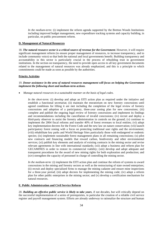*In the medium-term:* (i) implement the reform agenda supported by the Bretton Woods Institutions including improved budget management, new expenditure tracking systems and capacity building, in particular, on public procurement reform.

# **D. Management of Natural Resources**

18. *The natural resource sector is a critical source of revenue for the Government*. However, it will require significant management reform (to ensure proper management of resources, to increase transparency, and to include community voice) so that both the national and local governments benefit. Building transparency and accountability in this sector is particularly crucial in the process of rebuilding trust in government institutions. In the section on transparency, the need to provide open access to all key government documents related to the management of natural resources was already emphasized, and this is a principle to which commitments could be made as soon as possible by the authorities.

# **Priority Activities**

# 19. *Donor assistance in the area of natural resources management will focus on helping the Government implement the following short and medium-term actions.*

• *Manage natural resources in a sustainable manner on the basis of legal codes.* 

*In the short-term:* (i) develop and adopt an EITI action plan as required under the initiative and establish a functional secretariat; (ii) maintain the moratorium on new forestry concessions until agreed conditions for lifting it are met including the completion of the legal review of forestry concessions and adoption of a participatory, three-year zoning plan for new concessions; (iii) complete and publish the ongoing legal review of forestry concessions and implement its findings and recommendations including the cancellation of invalid concessions; (iv) recruit and deploy a third-party observer to assist the forestry administration in controls on the ground; (v) continue to implement the 2004 fiscal reforms and transfer 40% of forest revenues to local entities; (vi) adopt key implementation decrees for the Forest Code and the new law on nature conservation; (vii) launch participatory forest zoning with a focus on protecting traditional user rights and the environment; (viii) rehabilitate key parks and World Heritage Sites particularly those with endangered or endemic species; (ix) implement sustainable forest management plans in all remaining concessions; (x) pilot new contracts and financing models that reward carbon, biodiversity and other environmental services; (xi) publish key elements and analysis of existing contracts in the mining sector and revise relevant agreements in line with international standards; (xii) adopt a business and reform plan for GECAMINES in order to restore its commercial viability; (xiii) develop and adopt adequate and transparent procedures for the award of new mining rights for both exploration and production; and (xiv) strengthen the capacity of personnel in charge of controlling the mining sector.

*In the medium-term:* (i) implement the EITI action plan and continue the reform of systems to award concessions in the mining and forestry sectors as well as the restructuring of state owned enterprises; (ii) recruit and deploy specialized firms to manage the mining cadastre and ensure mine inspections for a three-year period; (iii) adopt decrees for implementing the mining code; (iv) adopt a reform plan for other public enterprises in the mining sector; and (v) develop a certification mechanism for natural resources.

### **E. Public Administration and Civil Service Reform**

20. *Building an effective public service is likely to take years*, if not decades, but will critically depend on the successful implementation of a series of prerequisites, in particular the creation of a reliable civil service register and payroll management system. Efforts are already underway to rationalize the structure and human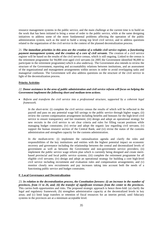resource management systems in the public service, and the main challenge at the current time is to build on the work that has been initiated to bring a sense of order to the public service, while at the same designing initiatives to address some of the more fundamental problems affecting the operation of the public administration system, such as the need to build a strong top level civil service, and to address questions related to the organization of the civil service in the context of the planned decentralization process.

21. *The immediate priorities in this area are the creation of a reliable civil service register, a functioning payment management system, and the creation of a core of civil servants*. The creation of a civil service register will be based on the results of the civil service census, which is still ongoing. Linked to the census is the retirement programme for 94,000 over-aged civil servants (in 2005 the Government identified 96,000 to participate in the retirement programme) which is also underway. The Government also intends to review the structure of the Government, reporting and accountability relations between institutions, and an assessment of the organizational and management arrangements within sectors in order to avoid overlapping tasks and managerial confusion. The Government will also address questions on the structure of the civil service in light of the decentralization process.

# **Priority Activities**

### *22. Donor assistance in the area of public administration and civil service reform will focus on helping the Government implement the following short and medium-term actions.*

• *Reform and transform the civil service into a professional structure, supported by a coherent legal framework.* 

*In the short-term:* (i) complete the civil service census the results of which will be reflected in the payroll and pass on any potential wage bill savings to the public service through higher wages; (ii) review the current compensation arrangement including benefits and bonuses for the high-level civil service to ensure transparency and fair treatment; (iii) design and adopt an operational strategy for new recruits in the civil service to set clear criteria and rules for filling vacant positions while managing budget constraints; (iv) revise and adopt the organic law regarding civil servants; (v) support the human resource section of the Central Bank; and (vi) revise the status of the customs administration and strengthen capacity for the customs administration.

*In the medium-term:* (i) implement the rationalization agenda and clarify the roles and responsibilities of the key institutions and entities with the highest potential impact on economic recovery and governance including the relationship between the central and decentralized levels of government as well as between the Government and non-government service providers; (ii) implement the public service wage reform plan which is currently being designed and create meritbased provincial and local public service systems; (iii) complete the retirement programme for all eligible civil servants; (iv) design and adopt an operational strategy for building a core high-level civil service including recruitment and evaluation rules and compensation arrangements; and (v) monitor closely new recruitments and pay increases taking into account both the needs of a functioning public service and budget constraints.

### **F. Local Governance and Decentralization**

23. *In relation to the decentralization process, the Constitution foresees: (i) an increase in the number of provinces, from 11 to 26, and; (ii) the transfer of significant revenues from the center to the provinces.* This carries both opportunities and risks. The proposed strategic approach is hence three-fold: (a) clarify the legal and regulatory framework; (b) strengthen administrative capacity at the decentralized levels in key areas; and (c) limit large transfers or retention of fiscal resources for an interim period, until fiduciary systems in the provinces are at a minimum acceptable level.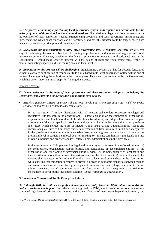24. *The process of building a functioning local governance system, both capable and accountable for the delivery of core public services has three main dimensions*. First, designing legal and fiscal frameworks for the operation of local authorities; second, strengthening provincial and local government institutions; and third, reviewing which exact functions can be transferred, and how this transfer could be staged, based both on capacity, subsidiary principles and fiscal capacity.

25. *Sequencing the implementation of these three interrelated steps is complex*, and there are different ways to achieving the overall objective of creating a professional and empowered regional and local governance system. However, considering the fact that provisions on revenue are already enshrined in the Constitution, it would make sense to proceed with the design of legal and fiscal frameworks, while, in parallel conducting capacity audits at the regional and local level.

26. *Embarking on this process will be challenging.* Transforming a system that has for decades functioned without clear roles or allocation of responsibility to a rule based multi-level governance system will be one of the key challenges facing the authorities in the coming years. This is an issue recognized by the Government, which has taken important initial steps for framing the process.

# **Priority Activities**

 $\overline{a}$ 

# 27. *Donor assistance in the area of local governance and decentralization will focus on helping the Government implement the following short and medium-term actions.*

• *Establish fiduciary systems at provincial and local levels and strengthen capacities to deliver social services, supported by a coherent legal framework.* 

*In the short-term*: (i) initiate discussions with all relevant stakeholders to prepare key legal and regulatory texts foreseen in the Constitution; (ii) adopt legislation on the composition, organization, responsibilities and function of decentralized entities; (iii) develop and adopt a three-year action plan to strengthen fiduciary capacity in provinces, with an initial focus on the potentially richest provinces (i.e., those which include the cities of Matadi, Goma, Bukavu, and Lubumbashi; (iv) adopt and enforce adequate rules to limit large transfers or retention of fiscal resources until fiduciary systems in the provinces are at a minimum acceptable level; (v) strengthen the capacity of citizens at the provincial level to participate in local decision-making; (vi) mainstream human rights legislation into provincial policies and practice; and (vii) establish new administrations in the provinces.

*In the medium-term:* (i) implement key legal and regulatory texts foreseen in the Constitution on: a) the composition, organization, responsibilities, and functioning of decentralized entities; b) the organization and functioning of provincial public services; c) the nomenclature of local taxes and their distribution modalities between the various levels of the Government; d) the establishment of a revenue sharing system reflecting the 40% allocation to local level as mandated in the Constitution while ensuring that mitigating measures to prevent a growth in economic disparities between regions are taken, notably on revenue sharing arrangement on custom revenues, large enterprise taxes and mining revenues; and e) the organization and functioning of the inter-province redistribution mechanism to cover public investment funding (*Caisse Nationale de Péréquation).*

# **G. Investment Climate and Public Enterprise Reform**

28. *Although DRC has attracted significant investment recently (close to US\$1 billion annually) the business environment is poor.<sup>3</sup>* In order to ensure growth in DRC, much needs to be done to ensure a continued high level of private sector interest and a diversification of investments beyond rapid return, low

<sup>3</sup> The World Bank's *Doing Business Report* rates DRC as the most difficult country to work in out of 175 countries surveyed.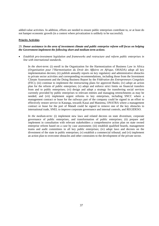added-value activities. In addition, efforts are needed to ensure public enterprises contribute to, or at least do not hamper economic growth (in a context where privatization is unlikely to be successful).

## **Priority Activities**

## 29*. Donor assistance in the area of investment climate and public enterprise reform will focus on helping the Government implement the following short and medium-term actions.*

• *Establish pro-investment legislation and frameworks and restructure and reform public enterprises in line with international standards.*

*In the short-term*: (i) enroll in the Organization for the Harmonization of Business Law in Africa (*Organisation pour l'Harmonisation du Droit des Affaires en Afrique,* OHADA) adopt all key implementation decrees; (ii) publish annually reports on key regulatory and administrative obstacles to private sector activities and corresponding recommendations, including those from the Investment Climate Assessment and the Doing Business Report by the *Fédération des Entrepreneurs Congolais*  (FEC); (iii) continue to implement the restructuring plans for approved Banks; (iv) adopt an action plan for the reform of public enterprises; (v) adopt and enforce strict limits on financial transfers from and to public enterprises; (vi) design and adopt a strategy for transferring social services currently provided by public enterprises to relevant entities and managing retrenchments as may be needed; and (vii) implement urgent reforms in key enterprises, including SNCC where a management contract or lease for the railways part of the company could be signed in an effort to effectively restore service in Katanga, towards Kasai and Maniema, ONATRA where a management contract or lease for the port of Matadi could be signed to remove one of the key obstacles to international trade, SNEL to improve corporate governance and internal controls, and REGIDESO.

*In the medium-term:* (i) implement new laws and related decrees on state divestiture, corporate governance of public enterprises, and transformation of public enterprises; (ii) prepare and implement in consultation with relevant stakeholders a comprehensive action plan on state owned enterprise reform based on a case by case assessment; (iii) establish qualified boards, management teams and audit committees in all key public enterprises; (iv) adopt laws and decrees on the divestment of the state in public enterprises; (v) establish a commercial tribunal; and (vi) implement an action plan to overcome obstacles and other constraints to the development of the private sector.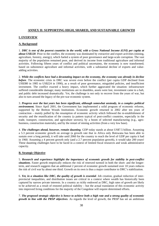# **ANNEX II: SUPPORTING HIGH, SHARED, AND SUSTAINABLE GROWTH**

## **I. OVERVIEW**

## **A. Background**

1. *DRC is one of the poorest countries in the world, with a Gross National Income (GNI) per capita at about US\$120*. Prior to the conflict, the economy was dominated by extractive and export activities (mining, agriculture, forestry, energy), which fueled a system of poor governance and large-scale corruption. The vast majority of the population remained poor, and derived its income from traditional agriculture and informal activities. Following fifteen years of conflict and political uncertainty, the economy is now transformed; based on subsistence agriculture and informal activities, with a substantial decline of exports and valueadding activities.

2. *While the conflicts have had a devastating impact on the economy, the economy was already in decline before*. The economic crisis in DRC was severe even before the conflict (per capita GDP declined from US\$380 in 1985 to US\$224 in 1990), as a result of poor governance, misguided policies, and insufficient investment. The conflict exacted a heavy impact, which further aggravated the situation: infrastructure suffered considerable damage; many institutions are in shambles, assets were lost, investment came to a halt, and public debt increased dramatically. Yet, the challenge is not only to recover from the years of war, but also to turn around the legacy of the pre-war economic system.

3. *Progress over the last years has been significant, although somewhat unsteady, in a complex political environment.* Since April 2001, the Government has implemented a solid program of economic reforms, supported by the Bretton Woods Institutions. Economic growth returned in 2002 after ten years of contraction – mainly pulled by the resumption of economic activity which followed the re-establishment of security and the reunification of the country (a pattern typical of post-conflict countries, especially in the trade, transport, construction, and agriculture sectors), by a boom of selected manufacturing (e.g., agrobusiness, construction materials), and by the restart of mining activities (from a very low base).

4. *The challenges ahead, however, remain daunting.* GDP today stands at about US\$7.5 billion. Assuming a 5.3 percent economic growth on average (a growth rate that in Africa only Botswana has been able to sustain over a long period), it will take until 2060 for the country to reach the level of GDP per capita it had in 1960. Assuming a 4 percent growth only (and a 2.7 percent population growth), it would take 200 years! These daunting challenges have to be faced in a context of limited fiscal resources and weak administrative capacity.

### **B. Strategic Objective**

5. *Research and experience highlight the importance of economic growth for stability in post-conflict situations*. Faster growth empirically reduces the risk of renewed turmoil in both the short- and the longerterm, and research suggests that an additional 2 percent of economic growth sustained over 10 years reduces the risk of civil war by about one third. Growth on its own is thus a major contributor to DRC's stabilization.

6. *Yet, in a situation like DRC, the quality of growth is essential*. Job creation, gradual reduction of interprovincial inequalities, and distribution issues are critical in a context where wealth has historically been captured by narrow private interests. In a country as richly endowed as DRC, high rates of growth are likely to be achieved as a result of restored political stability – but the actual translation of this economic activity into improved living conditions for the majority of the Congolese will require determined efforts.

7. *The proposed strategic objective is hence to achieve both a high rate and a strong quality of economic growth in line with the PRSP objectives*. As regards the level of growth, the PRSP has set an ambitious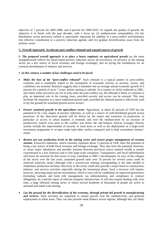objective of 7 percent for 2005-2008, and 8 percent for 2009-2010. As regards the quality of growth, the objective is to break with the past decades, with a focus on: (i) medium-term sustainability; (ii) fair distribution across provinces (which is particularly important for stability in a post-conflict environment); (iii) effective contribution to a poverty reduction agenda; and (iv) gradual diversification away from the primary sector.

### **C. Overall Approach: Accelerate post-conflict rebound and expand sources of growth**

8. *The proposed overall approach is to place a heavy emphasis on agricultural growth* (as the most straightforward vehicle for broad based poverty reduction across all provinces), on recovery in the mining sector (as a key source of fiscal revenues and foreign exchange), and on laying the foundations for an eventual development of industry and services.

#### 9. *In this context, a number of key challenges need to be faced:*

- *Make the best of the "post-conflict rebound"*. Such rebound is a typical pattern in post-conflict countries and is essentially linked to the resumption of economic activity as security, access, and confidence are restored. Research suggests that it translates into an average annual economic growth of 6 percent for a period of up to 7 years, before starting to subside. In a country as richly endowed as DRC, and where entire provinces are yet to truly enter the post-conflict era, the rebound is likely to continue to play an important role in the coming years, provided security and access can be restored. This may facilitate the transition to a more traditional growth path, provided the rebound period is effectively used to lay the ground for sustained growth across sectors.
- *Ensure sustained growth in the agriculture sector*. Agriculture, at about 42 percent of GDP has the potential to be a key engine of poverty reduction, as well as a source of well-distributed growth across provinces. In the short-term growth will be driven by the restart and extension of production, in particular as access to urban markets is restored, and over the medium-term by an increase of productivity (which even prior to the conflict was below the sub-Saharan African average). Priority actions include the improvement of security in rural areas as well as the deployment of a large-scale investment programme to re-open roads (and other surface transport) and to help reconstitute farmers' assets.
- *Restore pre-war production levels in the mining sector and ensure proper management of revenue streams*. Extractive industries, which currently represent about 13 percent of GDP, have the potential of being a key source of both fiscal revenues and foreign exchange. They also have the potential, however, to create major imbalances and possibly tensions between provinces (since mineral wealth is mostly concentrated in a few districts) and to fuel large-scale corruption. Transparency and fiscal redistribution will hence be essential for this sector to truly contribute to DRC's development. In view of the collapse of the sector over the last years, sustained growth rates over 10 percent for several years could be achieved relatively easily--although with a several-year timelag corresponding to the time needed to rehabilitate production facilities. Recovery in the sector could also provide a major boost to construction, industry, and services activities especially during the investment phase. Such a recovery will require, however, attracting major private investments, which in turn will be conditional on improved governance (including cadastre and mine title management, tax administration, and compliance to contract obligations, etc.) and the repair of relevant transport infrastructure. It will also require dealing with, over time, a large informal mining sector in which several hundreds of thousands of people are active in artisanal and small scale mining.
- *Lay the ground for the diversification of the economy, through private-led growth in manufacturing and services*. Such activities are important to sustain growth over the medium-term, and generate employment in urban areas. They can also provide some balance across regions, although they are likely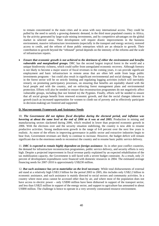to remain concentrated in the main cities and in areas with easy international access. They could be pulled by the need to satisfy a growing domestic demand, in the third most populated country in Africa, by the activity generated by large-scale mining investments, and by competitive advantages on the global market in selected areas. Their development will require drastic improvements in the business environment, massive infrastructure investments (especially in the transport and energy sectors), restored access to credit, and the reform of those public enterprises which are an obstacle to growth. Their contribution to growth beyond the "rebound" period depends on the intensity of the reforms and the scale of infrastructure repairs.

• *Ensure that economic growth is not achieved to the detriment of either the environment and benefits vulnerable and marginalized groups.* DRC has the second largest tropical forest in the world and a unique biodiversity richness, which could suffer from unregulated economic recovery. Although forestry is not likely to become a major source of fiscal revenues in the coming years, it can provide significant employment and basic infrastructure in remote areas that are often left aside from large public investments programs – but could also result in significant environmental and social damage. The focus in the forest sector will be on strictly limiting and regulating logging activities (which will inevitably restart), on promoting participatory processes, on ensuring that benefits are equitably shared with the local people and with the country, and on enforcing forest management plans and environmental protection. Efforts will also be needed to ensure that reconstruction programmes do not negatively affect vulnerable groups, including (but not limited to) the Pygmies. Finally, efforts will be needed to ensure that all social groups benefit from renewed economic growth, and that the social changes inherent in growth (such as increased opportunities for women to climb out of poverty and to effectively participate in decision-making) are fostered and supported.

#### **D. Macroeconomic Framework and Assistance Needs**

10. *The Government did not tighten fiscal discipline during the electoral period, and inflation was hovering at about the same level at the end of 2006 as it was at end 2005.* Production in mining and manufacturing sectors slackened during 2006, which resulted in lower than projected economic growth in 2006. With the elections over and the security situation stabilizing, the country is now able to resume productive activities. Strong medium-term growth in the range of 6-8 percent over the next few years is realistic. As more of the efforts in improving governance in public sector and extractive industries begin to bear fruit, Government revenues are likely to continue to increase. However, the budget deficit will remain significant due to the enormous needs to reconstruct the country and to resume basic public service delivery.

11. *DRC is expected to remain highly dependent on foreign assistance*. As in other post conflict countries, the demand for infrastructure reconstruction programmes, public service delivery, and security efforts is very high. Despite a projected improvement in fiscal revenue partly explained by an expected rehabilitation of the tax mobilization capacity, the Government is still faced with a severe budget constraint. As a result, only 21 percent of development expenditures were financed with domestic resources in 2004. The estimated average financing needs for 2007-2010 is approximately US\$230 million.

12. *But such assistance has yet to materialize on the level necessary*. While total disbursements of external aid stand at a relatively high US\$3.3 billion for the period 2003 to 2005, this includes only US\$2.2 billion in economic assistance, and such assistance is mainly directed to social sectors and community activities. In a country where most areas cannot be accessed other than by air, and where most of the population does not have access to electric power – only US\$90 million have been disbursed in support of the transport sector, and less than US\$25 million in support of the energy sector, and support to agriculture has amounted to about US\$90 million. The challenge is hence to operate in a very severely constrained resource environment.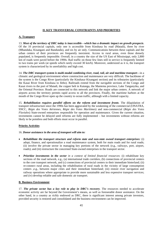# **II. KEY TRANSVERSAL CONSTRAINTS AND PRIORITIES**

# **A. Transport**

13. *Most of the territory of DRC today is inaccessible*—*which has a dramatic impact on growth prospects*. Of the 10 provincial capitals, only one is accessible from Kinshasa by road (Matadi), three by river (Mbandaka, Kisangani and Bandundu), and six by air only. Communications between these capitals and the urban centers of their provinces are frequently inexistent. Access to rural areas, even those densely populated, is frequently impossible. Overall, in a country the size of the US East of Mississippi, only 2,800 km of roads were paved before the 1990s. Rail traffic on those few lines still in service is frequently limited to two trains per week (at speeds which rarely exceed 30 km/h). Moreover, undersized as it is, the transport system is characterized by its unreliability and high cost.

14. *The DRC transport system is multi-modal combining river, road, rail, air and maritime transport*—in a climatic and geological environment where construction and maintenance are very difficult. The backbone of the system is the Congo River (particularly the Kinshasa–Kisangani section) and its tributaries (particularly the Kasai River from Kinshasa to Ilebo). Railroads extend from the navigable sections of the Congo and Kasai rivers to the port of Matadi, the copper belt in Katanga, the Maniema province, Lake Tanganyika, and the Oriental Province. Roads are connected to this network and link the major urban centers. A network of airports across the territory permits rapid access to all the provinces. Finally, the maritime harbors at the mouth of the Congo River open up the country to ocean traffic, although with a limited capacity.

15. *Rehabilitation requires parallel efforts on the reform and investment fronts*. The dilapidation of transport infrastructure since the 1990s has been aggravated by the weakening of the commercial (ONATRA, SNCC, *Régie des Voies Aériennes*, *Régie des Voies Maritimes*) and non-commercial (*Régie des Voies Fluviales*) State-owned enterprises responsible for operation and maintenance. Given the current situation, investments cannot be delayed until reforms are fully implemented – but investments without reforms are likely to be pointless and both efforts must occur in parallel.

# **Priority Activities**

# 16. *Donor assistance in the area of transport will aim to:*

- *Rehabilitate the transport structure and reform state and non-state owned transport enterprises:* (i) adopt, finance, and operationalize a road maintenance system, both for main roads and for rural roads; (ii) involve the private sector in managing key portions of the network (e.g., railways, port, airport, roads); and (iii) restructure the concerned State-owned enterprises in the transport sector.
- *Prioritize investments in the sector in a context of limited financial resources*: (i) rehabilitate key sections of the road network, e.g., (a) international trade corridors, (b) connections of provincial centers to the core transport network, and (c) connections of provincial centers to their immediate hinterland; (ii) re-connect rural areas, including the rehabilitation of rural roads in the vicinity of large consumption centers ,e.g., between major cities and their immediate hinterland; (iii) restore river navigation and railway operations where appropriate to provide more sustainable and less expensive transport services; and (iv) develop reliable and safe domestic air transport.

# **B. Business Environment**

17. *The private sector has a key role to play in DRC's recovery*. The resources needed to accelerate economic activity are far beyond the Government's means, as well as foreseeable donor assistance. On the other hand, in a country as richly endowed as DRC, there is significant interest among private investors, provided security is restored and consolidated and the business environment can be improved.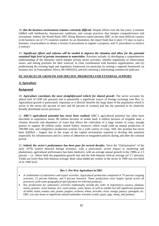18. *But the business environment remains extremely difficult*. Despite efforts over the last years, it remains riddled with bottlenecks, bureaucratic traditions, and corrupt practices that hamper competitiveness and investment. Indeed, the World Bank 2007 *Doing Business* report presents DRC as the most difficult country to do business out of 175 countries studied. As an illustration, the report finds that it takes 172 days to start a business; 14 procedures to obtain a license; 8 procedures to register a property; and 51 procedures to enforce a contract.

19. *Significant efforts and reforms will be needed to improve the situation and allow for the potential sustained high level of private investment to materialize*. Priorities include: (i) developing a comprehensive understanding of the obstacles which hamper private sector activities, whether regulations or enforcement issues, and setting priorities for their removal, in close coordination with business organizations; and (ii) modernizing the existing legal and regulatory framework (in particular by joining a regional framework on business law in Francophone Africa, the OHADA); and (iii) restoring a functioning commercial judiciary.

## **III. SOURCES OF GROWTH AND SPECIFIC PRIORITIES FOR EXTERNAL SUPPORT**

## **A. Agriculture**

## **Background**

20. *Agriculture constitutes the most straightforward vehicle for shared growth*. The sector accounts for almost half of GDP (42 percent) and is potentially a significant source of foreign exchange (see Box 1). Agricultural growth is particularly important as it directly benefits the large share of the population which is active in the sector (62 percent of men and 84 percent of women) and has the potential to be relatively broadly distributed across provinces.

21. *DRC's agricultural potential has never been realized*. DRC's agricultural potential has often been described in superlative terms: 80 million hectares of arable land; 4 million hectares of irrigable land; a climatic diversity and abundance of water that allows the cultivation of a large variety of crops; enough pasture to support 40 million cattle; inland fishery resources which could yield an annual production of 700,000 tons; and competitive production systems for a wide variety of crops. Still, this promise has never been fulfilled – largely due to the scope of the capital investments required to develop this potential (especially for infrastructure) and to a series of abhorrent or misguided policies during and after the colonial period.

22. *Indeed, the sector's performance has been poor for several decades*. Since the "Zaïrianisation" of the early 1970s (which deterred foreign investors, with a particularly severe impact in marketing and plantations), agricultural performance has been mediocre, with an average annual growth in the 1980s at 2.5 percent – i.e., below both the population growth rate and the Sub-Saharan African average (of 2.7 percent). Yields are lower than Sub-Saharan average. Real value-added per worker in the sector in 1990 was two-third of its 1960 level.

### **Box 1: Pre-War Agriculture in DRC**

- *A combination of subsistence and export activities.* Agricultural production comprised of 79 percent cropping activities, 12 percent fisheries, and 9 percent livestock. These productions were largely spread across all provinces (with some geographical specialization for selected products).
- *Key productions for subsistence activities* traditionally include (by order of importance) cassava, plantain, maize, peanuts, sweet banana, rice, sweet potato, yams, beans, as well as smaller but still significant quantities of millet, onion, tomato, taro, potato, peppers, soybean, wheat, avocado, citrus, mango, papaya, pineapple, etc. DRC was also home to significant animal husbandry activities (cattle, goats, pigs, sheep, and poultry).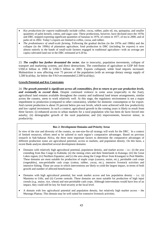- *Key productions for exports* traditionally include coffee, cocoa, rubber, palm oil, tea, quinquina, and smaller quantities of palm kernels, cotton, and sugar cane. These productions, however, have declined since the 1970s and DRC stopped exporting significant quantities of bananas in 1970, of cotton in 1977, of tea in 2000, and of palm oil in 2002. Today's exports are limited to coffee, cocoa, and rubber.
- *The predominance of small-scale farming*. Following the gradual decline (in the 1970s and 1980s) and the collapse (in the 1990s) of plantation agriculture, food production in DRC (including for exports) is now almost entirely in the hands of small-scale farmers engaged in traditional agriculture-–with an average per capita cultivated land use in the DRC estimated at 0.20 ha.

23. *The conflict has further devastated the sector,* due to insecurity, population movements, collapse of transport and marketing systems, and direct destructions. The contribution of agriculture to GDP fell from US\$3.4 billion in 1990 to US\$2.5 billion in 2003. Exports collapsed, while food imports increased. Malnutrition is now affecting over 75 percent of the population (with an average dietary energy supply of 1,500 kcal/day, far below the FAO-recommended 2,500 kcal/day).

## **Growth Potential and Key Constraints**

24. *The growth potential is significant across all commodities, first to return to pre-war production levels,*  and eventually to exceed them. Despite continued violence in some areas (especially in the East), agricultural land remains available throughout the country and traditional land tenure arrangements, similar across the country, seem to work relatively well. At this stage, the regulatory environment is not a major impediment to production (compared to other constraints), whether for domestic consumption or for export. And current production is about 35 percent below pre-war levels, which were achieved with low productivity and low capital investment. In such a context, agricultural growth in the coming years is likely to result from three factors: (i) enhanced access to urban markets for a rural population who has been de facto forced into autarky; (ii) demographic growth of the rural population; and (iii) improvements, however minor, in productivity.

### **Box 2: Development Domains and Priority Areas**

In view of the size and diversity of the country, no one-size-fits-all strategy will work for the DRC. In a context of limited resources, efforts need to be tailored to each region's comparative advantages. Based on previous research in Sub-Saharan Africa, the three most important factors to determine the comparative advantages of different production zones are agricultural potential, access to markets, and population density. On this basis, a recent Bank analysis identified several development domains:

- Domains with relatively high agricultural potential, population density, and market access  $-$  i.e.: (i) the area extending from Bas Congo to Kabinda; (ii) the mining cities and their hinterlands in Katanga; (iii) the Great Lakes region; (iv) Northern Equateur; and (v) the area along the Congo River from Kisangani to Pool Malebo. These domains are most suitable for production of staple crops (cassava, maize, etc.), perishable cash crops (vegetables), non-perishable cash crops (cotton, rubber, cocoa, etc.), intensive livestock activities and intensive fishing. These are areas in which interventions are likely to yield the largest impact, in terms of both growth and number of affected beneficiaries.
- Domains with high agricultural potential, but weak market access and low population density  $-$  i.e.: (i) Maniema to Uéle; and (ii) Cuvette centrale. These domains are most suitable for production of high input cereals (e.g., maize, rice, wheat) and non-perishable cash crops. Although interventions would have less of an impact, they could still be key for food security at the local level.
- A domain with low agricultural potential and population density, but relatively high market access the Marungu Plateau. This domain may be well suited for extensive livestock activities.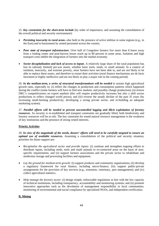25. *Key constraints for the short-term include* (by order of importance, and assuming the consolidation of the overall political and security environment):

- *Persisting insecurity in rural areas***-–**due both to the presence of active militias in some regions (e.g., in the East) and to harassment by armed personnel across the country.
- *Poor state of transport infrastructure.* Over half of Congolese farmers live more than 8 hours away from a trading center and post-harvest losses reach up to 80 percent in some areas. Isolation and high transport costs inhibit the integration of farmers into the market economy.
- *Sector decapitalization and lack of access to inputs*. A relatively large share of the rural population has lost its (already limited) pre-war assets, whether basic tools, seeds, or small animals. In a context of isolation, insecurity, and extreme poverty, most farmers have not been able to, and are not likely to be able to replace these assets, and therefore to restart their activities (rural finance mechanisms are de facto inexistent or highly ineffective and are not likely to play a major role in the coming period).

26. *In the medium-term, a series of structural transformations will be needed* to sustain high agricultural growth rates, especially to: (i) reflect the changes in production and consumption patterns which happened during the conflict (some farmers will have to find new markets, and possibly change production); (ii) restore DRC's competitiveness on export markets (this will require productivity increases but also a shift across productions to reflect changed world prices); and (iii) reverse the steady decline of the past 35 years (by increasing small-farming productivity, developing a strong private sector, and re-building an adequate marketing system).

27. *Parallel efforts will be needed to prevent uncontrolled logging and illicit exploitation of forestry resources*. As security is re-established and transport constraints are gradually lifted, both biodiversity and forestry resources will be at risk. The key constraint for sound natural resource management is the weakness of key institutions and the presence of strong vested interests.

# **Priority Activities**

28. *In view of the magnitude of the needs, donors' efforts will need to be carefully targeted to ensure an optimal use of available resources.* Assuming a consolidation of the political and security situation, priorities for donor support are:

- *Recapitalize the agricultural sector and provide inputs:* (i) continue and strengthen ongoing efforts to distribute inputs, including seeds, tools and small animals to re-connected areas on the basis of areaspecific requirements; and (ii) support farmers associations and the private sector to rehabilitate and modernize storage and processing facilities and equipment.
- *Lay the ground for medium-term growth:* (i) support producer and community organizations; (ii) develop a regulatory framework for rural finance, including micro-finance; (iii) support public-private arrangements for the provision of key services (e.g., extension, veterinary, pest management); and (iv) collect agricultural statistics.
- *Help manage the forestry sector*: (i) design simple, enforceable regulations in line with the low capacity of technical institutions, including transparency, accountability and monitoring systems; and (ii) promote innovative approaches such as the devolution of management responsibility to local communities, monitoring of environmental and social compliance by specialized NGOs, and independent certification.

# **B. Mining**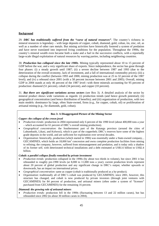## **Background**

29. *DRC has traditionally suffered from the "curse of natural resources"*. The country's richness in mineral resources is legendary – with large deposits of copper, cobalt, diamond, gold, coltan, tin, zinc, oil, as well as a number of other rare metals. But mining activities have historically fostered a system of predation and have never translated into improved living conditions for the population. Throughout the 1990s, the country's mineral wealth even became both a stake and a fuel in the successive conflicts, with a reportedly large-scale illegal exploitation of natural resources by warring parties, including neighboring countries.

30. *Production has collapsed since the late 1980s*. Mining typically represented about 10 to 15 percent of GDP before the war, and a very significant share of exports. Since independence, the sector has gone through four phases: (i) a steady growth until 1987; (ii) a severe decline between 1987 and 1993 (due to the deterioration of the overall economy, lack of investment, and a fall of international commodity prices); (iii) a collapse during the conflict (between 1993 and 2000, mining production was at 25 to 32 percent of the 1987 level); and (iv) a rebound since 2001 (with a 58 percent increase between 2001 and 2005). Overall, mining GDP in 2004 stands at only 46 percent of the 1987 level–-with three minerals accounting for 95 percent of production: diamond (51 percent), cobalt (34 percent), and copper (10 percent).

31. *But there are significant variations across sectors* (see Box 3). A detailed analysis of the sector by mineral product shows wide variations as regards: (i) production trends (and hence growth potential); (ii) geographical concentration (and hence distribution of benefits); and (iii) organization of production, with two main models: dominance by large, often State-owned, firms (e.g., for copper, cobalt, oil) or proliferation of artisanal mining (e.g., for diamonds, gold, coltan).

## **Box 3: A Disaggregated Picture of the Mining Sector**

### *Copper: the collapse of the crown jewel*

- *Production trends:* production in 2004 represented only 6 percent of the 1990 level (about 400,000 tons a year – which accounted for 61 percent of DRC's overall mining production).
- *Geographical concentration*: the Southernmost part of the Katanga province (around the cities of Lubumbashi, Likasi, and Kolwezi), which is part of the copperbelt; DRC's reserves have some of the highest grade deposits in the world, and are sufficient for exploitation over several decades.
- *Organization*: historically, production (which started in 1906) was essentially under a State-owned company, , GECAMINES, which holds an 18,000 km<sup>2</sup> concession and owns complete production facilities from mining to refining; the company, however, suffered from mismanagement and predation, and is today only a shadow of its former self, with deteriorated technical installations and a debt estimated at US\$1.6 billion to US\$2.4 billion.

#### *Cobalt: a parallel collapse finally remedied by private investment*

- *Production trends:* production collapsed in the 1990s (by about two thirds in volume), but since 2001 it has rebounded to roughly pre-1990 levels (at 8,000 to 11,000 tons a year); current production levels represent about 20 percent of global production and any significant change in DRC's output, whether upwards or downwards, has an impact on international prices.
- *Geographical concentration*: same as copper (cobalt is traditionally produced as a by-product).
- *Organization*: traditionally all of DRC's cobalt was produced by GECAMINES; since 2001, however, this structure has changed, and cobalt is now produced by private investors (through joint ventures with GECAMINES) for 84 percent of production, and artisanal miners (often under a system of "license*s*" purchased from GECAMINES) for the remaining 16 percent.

#### *Diamond: the growing role of artisanal miners*

• *Production trends:* production fell in the 1990s (fluctuating between 13 and 22 million carats), but has rebounded since 2002 (to about 30 million carats in 2004).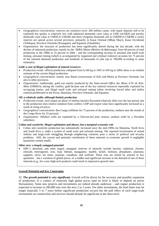- *Geographical concentration*: reserves are extensive (over 200 million carats, with major deposits still to be explored) but quality is relatively low with industrial diamonds carat value at US\$5 toUS\$20 and jewelry diamonds carat value at US\$50 to US\$200 and more (Angolan diamonds sell at US\$200 to US\$300 a carat); reserves are spread across several provinces, primarily in Kasai Oriental (Mbuji Mayi), Kasai Occidental (Tshikapa), Province Orientale (Kisangani), and Equateur (Gbadolite).
- *Organization*: the structure of production has been significantly altered during the last decade, with the decline of industrial production, mainly by the MIBA Mines (*Minière de Bakwanga)*, from 40 percent of total production in the 1980s to 25 percent in 2004 – and the corresponding increase in artisanal and small scale mining; artisanal mining (which is accompanied by organized and criminal violence) accounts for 75 percent of the national diamond production and hundreds of thousands of jobs (up to 700,000 according to some estimates).

#### *Gold: a case of illegal exploitation of natural resources*

- *Production trends:* official production collapsed from 6,100 kg in 1991 to 650 kg in 2004; there is no reliable estimate of the current illegal production.
- *Geographical concentration*: mainly near Bunia (concessions of Kilo and Moto) in Province Orientale, but also in other provinces.
- *Organization:* traditionally, gold was mainly produced by the State-owned *Office des Mines d'Or de Kilo-Moto* (OMIKO); during the conflict, gold became one of the key mineral resources reportedly exploited by occupying armies, and illegal small scale and artisanal mining (often involving forced labor and militia control) proliferated in the Kivus, Maniema, Province Orientale, and Equateur.

#### *Oil: a relatively stable, although limited, production*

- *Production trends:* total output (at about 10 million barrels) fluctuated relatively little over the last period, due to the production sites relative isolation from conflict; GDP and export value have significantly increased as a result of rising oil prices.
- *Geographical concentration*: Bas Congo (offshore for 75 percent of the production, onshore near the mouth of the Congo River for 25 percent).
- *Organization:* Offshore wells are exploited by a Chevron-led joint venture, onshore wells by a *Petrofina* subsidiary.

#### *Coltan and cassiterite: illegal exploitation and abuses, but a marginal economic role*

• Coltan and cassiterite production has substantially increased since the mid-1990s (in Maniema, North Kivu and South Kivu ), under a system of small scale and artisanal mining. The reported involvement of armed militias and large-scale smuggling through neighboring countries pose a series of political and security problems. Still, the current and potential contribution of these minerals to economic growth is negligible (quantities remain small).

### *Other ores: a largely untapped potential*

• DRC's abundant, and often largely untapped, reserves of minerals include bauxite, cadmium, chrome, emerald, heterogenite, iron, lead, lithium, manganese, marble, nickel, niobium, phosphates, platinum, sapphire, silver, tin stone, uranium, vanadium, and wolfram. These ores are mined by artisans in low quantities – but a variation of global prices, or a sudden and significant increase in the demand of one of these minerals (e.g., for a new high-tech product) could result in impressive growth rates.

## **Growth Potential and Key Constraints**

32. *The growth potential is very significant*. Growth will be driven by the recovery and possibly expansion of production, in a context of relatively high global prices (and its level is likely to depend on prices fluctuations). Some new projects and investments are indeed already underway – and copper production is expected to increase to 200,000 tons over the next 2 to 3 years. For other investments, the lead times may be longer (typically 5 to 7 years before significant production occurs) but the pull effect of such large-scale investments on construction and services should already be significant in the short-term.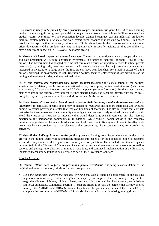33. *Growth is likely to be pulled by three products: copper, diamond, and gold*. Of DRC's main mining products, there is significant growth potential for copper (rehabilitate existing mining facilities to allow for a gradual return, over time, to 1990 production levels), diamond (upgrade existing industrial production facilities, explore potential new sites), and gold (restart formal production in existing gold mines) – but much less for cobalt (production has already returned to 1990 levels and any further increase could affect global prices downwards). Other products may play an important role in specific regions, but they are unlikely to have a significant impact on DRC's overall economic growth.

34. *Growth will largely depend on private investment*. The re-start and/or development of copper, diamond, and gold production will require significant investments in production facilities (of about US\$4 to US\$5 billion). The Government has adopted over the last few years a series of important reforms to attract private investors (e.g., mining code, investment code) – and there are indications that major foreign companies are interested in investing on a large scale (the first projects have been launched, for a total in excess of US\$1 billion), provided the environment is right (including politics, security, enforcement of key provisions of the mining and investment codes, and international prices).

35. *In this context, key constraints vary across products* (assuming the consolidation of the political situation, and a relatively stable level of international prices). For copper, the key constraints are: (i) business environment; (ii) transport infrastructure; and (ii) electric power (for transformation). For diamonds, they are mainly related to the business environment (neither electric power, not transport infrastructure are critical). For gold, they are: (i) security in the Kilo and Moto sites and (ii) business environment.

36. *Social issues will also need to be addressed to prevent their becoming a major short-term constraint to investment*. In particular, specific action may be needed to regularize and support small scale and artisanal mining, to reduce poverty in a sector that employs hundreds of thousands, but also to ensure that conflicts that arise between miners and the community are mitigated and constructively resolved (this would not only avoid the creation of situations of insecurity that would deter large-scale investment, but also increase benefits to the neighboring communities). In addition, GECAMINES' social activities (the company provides a large share of the available education and health services in Katanga) will have to be effectively taken over by new providers as a key element of the restructuring of the company away from productive activities.

37. *Overall, the challenge is to ensure the quality of growth*. Judging from history, there is no evidence that growth in the mining sector will automatically translate into benefits for the population. Specific measures are needed to prevent the development of a new system of predation. These include substantial capacity building (within the Ministry of Mines – and its specialized technical services, cadastre services, as well as customs and police), rationalization of mining associations, and continued implementation of the Extractive Industries Transparency Initiative as discussed as part of the Governance Contract.

### **Priority Activities**

38. *Donors' efforts need to focus on facilitating private investment*. Assuming a consolidation of the political and security situation, priorities for donor support are:

• *Help the authorities improve the business environment*, with a focus on enforcement of the existing regulatory framework: (i) further strengthen the capacity and improve the functioning of key entities (e.g., the Ministry of Mines, mining cadastre, customs, arbitration entities, Parliamentary commissions and local authorities, commercial courts); (ii) support efforts to review the partnerships already entered into by GECAMINES and MIBA (in terms of quality of the partners and terms of the contracts); (iii) complete the restructuring of GECAMINES; and (iv) help to rapidly clarify existing mining rights.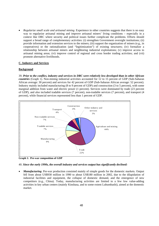• *Regularize small scale and artisanal mining*. Experience in other countries suggests that there is no easy way to regularize artisanal mining and improve artisanal miners' living conditions – especially in a context like DRC where security and political issues further complicate the problems. Efforts should support a broad range of complementary activities: (i) strengthen Government oversight institutions; (ii) provide information and extension services to the miners; (iii) support the organization of miners (e.g., in cooperatives) or the rationalization (and "legitimization") of existing structures; (iv) formalize a relationship between artisanal miners and neighboring industrial exploitations; (v) improve access to artisanal mining areas; (vi) improve control of regional and cross border trading activities; and (vii) promote alternative livelihoods.

### **C. Industry and Services**

## **Background**

39. *Prior to the conflict, industry and services in DRC were relatively less developed than in other African countries* (Graph 1). Non-mining industrial activities accounted for 12 to 15 percent of GDP (Sub-Saharan African average: 30 percent) and services for 42 percent of GDP (Sub-Saharan African average: 52 percent). Industry mainly included manufacturing (8 to 9 percent of GDP) and construction (3 to 5 percent), with some marginal addition from water and electric power (1 percent). Services were dominated by trade (23 percent of GDP), and also included tradable services (7 percent), non-tradable services (7 percent), and transport (4 percent), while financial services represented less than 1 percent of GDP.



**Graph 1: Pre-war composition of GDP** 

#### 40. *Since the early 1990s, the overall industry and services output has significantly declined:*

• *Manufacturing*. Pre-war production consisted mainly of simple goods for the domestic markets. Output fell from about US\$930 million in 1990 to about US\$180 million in 2002, due to the dilapidation of industrial facilities and equipment, the collapse of domestic demand, and the emergence of new competitors (e.g., China). Today, manufacturing activities are limited to a few low value-adding activities in key urban centers (mainly Kinshasa, and to some extent Lubumbashi), aimed at the domestic market.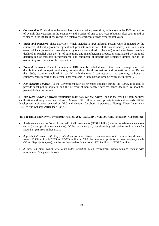- *Construction*. Production in the sector has fluctuated widely over time, with a low in the 1980s (at a time of overall disinvestment in the economy) and a series of one to two-year rebounds after each round of violence in the 1990s. It has recorded a relatively significant growth over the last years.
- *Trade and transport*. These activities (which included a large informal sector) were dominated by the commerce of locally-produced agricultural products (about half of the value added), and to a lesser extent of locally-produced manufactured goods (about a third of the total) – and they have therefore declined in parallel with the fall of agriculture and manufacturing production (aggravated by the rapid deterioration of transport infrastructure). The commerce of imports has remained limited due to the overall impoverishment of the population.
- *Tradable services*. Tradable services in DRC mainly included real estate, hotel management, fuel distribution and car repair workshops, craftmanship, liberal professions, and domestic services. During the 1990s, activities declined, in parallel with the overall contraction of the economy, although a comprehensive picture of the sector is not available (a large part of these activities are informal).
- *Non-tradable services*. As the Government saw its revenues collapse during the 1990s, it ceased to provide most public services, and the delivery of non-tradable services hence declined by about 90 percent during the decade.

41. The recent surge of private investment bodes well for the future—and is the result of both political stabilization and early economic reforms. At over US\$1 billion a year, private investment exceeds official development assistance received by DRC and accounts for about 11 percent of Foreign Direct Investment (FDI) to Sub-Saharan Africa (see Box 4).

### **BOX 4: TRENDS IN PRIVATE INVESTMENTS SINCE 2002 (EXCLUDING AGRICULTURE, FORESTRY, AND MINING)**

- *A telecommunications boom*. About half of all investments (US\$1.4 billion) are in the telecommunications sector (to set up cell phone networks). Of the remaining part, manufacturing and services each account for about half (US\$600 million each).
- *A gradual decrease, reflecting political uncertainties*. Non-telecommunications investment has decreased from US\$566 million in 2003 to US\$385 million in 2005: the number of projects has been relatively stable (90 to 100 projects a year), but the median size has fallen from US\$2.5 million to US\$1.9 million.
- *A focus on rapid return, low value-added activities* in an environment which remains fraught with uncertainties (see graphs below).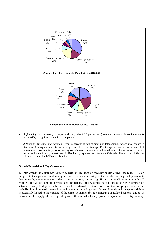

- *A financing that is mostly foreign*, with only about 25 percent of (non-telecommunications) investments financed by Congolese nationals or companies.
- *A focus on Kinshasa and Katanga*. Over 85 percent of non-mining, non-telecommunications projects are in Kinshasa. Mining investments are heavily concentrated in Katanga. Bas Congo receives about 5 percent of non-mining investments (transport and agro-business). There are some limited mining investments in the two Kasai, and some forestry investments in Bandundu, Equateur, and Province Orientale. There is very little if at all in North and South Kivu and Maniema.

### **Growth Potential and Key Constraints**

42. *The growth potential will largely depend on the pace of recovery of the overall economy*—i.e., on progress in the agriculture and mining sectors. In the manufacturing sector, the short-term growth potential is determined by the investments of the last years and may be very significant – but medium-term growth will require a revival of domestic demand and the removal of key obstacles to business activity. Construction activity is likely to depend both on the level of external assistance for reconstruction projects and on the revitalization of domestic demand through overall economic growth. Growth in trade and transport activities is essentially linked to the opening of the domestic market (by re-connecting of isolated regions) and to an increase in the supply of traded goods growth (traditionally locally-produced agriculture, forestry, mining,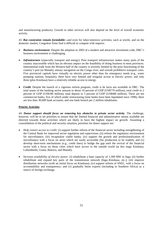and manufacturing products). Growth in other services will also depend on the level of overall economic activity.

43. *But constraints remain formidable***-–**and even for labor-intensive activities, such as textile, and on the domestic market, Congolese firms find it difficult to compete with imports:

- *Business environment*. Despite the adoption in 2003 of a modern and attractive investment code, DRC's business environment is challenging.
- *Infrastructure* (especially transport and energy). Poor transport infrastructure makes many parts of the country inaccessible which has an obvious impact on the feasibility of doing business in most provinces. International trade from the Western half of the country is severely limited by the poor functioning of the country's port (in Matadi), uneasy navigation on the Congo river, and overall prohibitive transport costs. Five provincial capitals have virtually no electric power other than for emergency needs (e.g., water pumping stations, hospitals), three have very limited and irregular access to electric power, and only three (plus Kinshasa) have a relatively reliable access to energy.
- *Credit***.** Despite the launch of a vigorous reform program, credit is de facto not available in DRC. The total assets of the banking sector amount to about 10 percent of GDP (US\$770 million), total credit to 2 percent of GDP (US\$180 million), total deposit to 5 percent of GDP (US\$400 million). There are ten commercial banks, five of which under restructuring (nine banks have been liquidated since 1998), there are less than 30,000 bank accounts, and one bank branch per 2 million inhabitants.

## **Priority Activities**

44. *Donor support should focus on removing key obstacles to private sector activity*. The challenge, however, will be to set priorities to ensure that the limited financial and administrative means available are directed towards those activities which are likely to have the highest impact on growth. Assuming a consolidation of the political and security situation, priorities for donor support are:

- *Help restore access to credit:* (i) support further reform of the financial sector including strengthening of the Central Bank for improved sector regulation and supervision; (ii) reform the regulatory environment for microfinance; (iii) recapitalize viable banks; (iv) support the growth and professionalization of microfinance with a focus on areas which are easily accessible (for production to be traded); and (v) develop short-term mechanisms (e.g., credit lines) to bridge the gap until the revival of the financial sector with a focus on those cities which have access to the outside world (at this stage Kinshasa, Lubumbashi, Goma, Bukavu, and Matadi).
- *Increase availability of electric power*: (i) rehabilitate a base capacity of 1,300 MW in Inga; (ii) further rehabilitate and expand key parts of the transmission network (Inga–Kinshasa, etc.); (iii) improve distribution networks (with an initial focus on Kinshasa); (iv) support reform of SNEL, with a focus on accountability and transparency; and (v) gradually boost exports (including to Southern Africa) as a source of foreign exchange.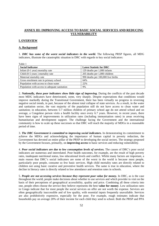# **ANNEX III: IMPROVING ACCESS TO BASIC SOCIAL SERVICES AND REDUCING VULNERABILITY**

#### **I. OVERVIEW**

#### **A. Background**

1. *DRC has some of the worst social indicators in the world.* The following PRSP figures, all MDG indicators, illustrate the catastrophic situation in DRC with regards to key social indicators:

| Table 1                                       |                                    |
|-----------------------------------------------|------------------------------------|
| <b>Social Indicator</b>                       | <b>Latest Statistic for DRC</b>    |
| Infant $(0-1$ year) mortality rate            | 129 deaths per 1,000 infants       |
| Child (0-5 years) mortality rate              | 205 deaths per 1,000 children      |
| Maternal mortality rate                       | 990 deaths per 100,000 live births |
| Gross enrolment rate in primary school        | 64%                                |
| Population with access to clean water         | 22%                                |
| Population with access to adequate sanitation | 9%                                 |

2. *Nationally, these poor indicators show little sign of improving.* During the conflicts of the past decade most MDG indicators have deteriorated, some, very sharply. Despite expectations that conditions would improve markedly during the Transitional Government, there has been virtually no progress in reversing negative social trends, in part, because of the almost total collapse of state services. As a result, in the water and sanitation sector, the vast majority of the population still do not have access to clean water and sanitation; in education, between 5-7 million children of primary school age do not attend school and on average, a Congolese person visits a health facility once every 6.7 years. However, in recent years, there have been signs of improvements in utilization rates (including immunisation rates) in areas receiving humanitarian and development support. The challenge facing the Government and the international community is how to scale up these successes so that DRC will reach the majority of MDGs in a reasonable period of time.

3. *The DRC Government is committed to improving social indicators.* In demonstrating its commitment to achieve the MDGs and acknowledging the importance of human capital in poverty reduction, the Government has devoted an entire pillar of the PRSP to developing the social sectors. The strategy proposed by the Government focuses, primarily, on **improving access** to basic services and reducing vulnerability.

4. *Poor social indicators are due to low consumption levels of services.* The causes of DRC's poor social indicators are numerous and interrelated. Poor health outcomes, for example, are the result of high poverty rates, inadequate nutritional status, low educational levels and conflict. Whilst many factors are important, a main reason that DRC's social indicators are some of the worst in the world is because most people, particularly poor people, consume so few basic services. High child mortality rates are directly related to children not using basic curative and preventive health services. The same is true in education, where the decline in literacy rates is directly related to low attendance and retention rates in schools.

5. *People are not accessing services because they represent poor value for money.* In DRC, as is the case throughout the world, people make decisions about whether to use services and which provider to visit on the basis of their perceptions of geographical accessibility, quality and price. Combining all these criteria into one, people often choose the service they believe represents the best **value for money**. Low utilization rates in Congo indicate that for most people the social services on offer are not worth the expense. Services are often geographically inaccessible and of low quality, with essential inputs frequently unavailable. Services are also prohibitively expensive, especially for the poor. For example, rough estimates indicate that households pay on average 20% of their income for each child they send to school. Both the PRSP and PPA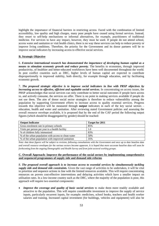highlight the importance of financial barriers in restricting access. Faced with the combination of limited accessibility, low quality and high charges, many poor people have ceased using formal services. Instead, they resort to self-help mechanisms or informal alternatives, for example, practitioners of traditional medicine. For services to have any impact, however, they must be used. If people do not attend school, access water and sanitation or visit health clinics, there is no way these services can help to reduce poverty or improve living conditions. Therefore, the priority for the Government and its donor partners will be to improve social indicators by increasing access to effective social services.

### **B. Strategic Objective**

6. *Extensive international research has demonstrated the importance of developing human capital as a means to stimulate economic growth and reduce poverty*. The benefits to economies, through improved productivity, of healthier and better-educated workforces have been well documented throughout the world. In post conflict countries such as DRC, higher levels of human capital are expected to contribute disproportionally to improved stability, both directly, for example through education, and by facilitating economic growth.

7. *The proposed strategic objective is to improve social indicators in line with PRSP objectives by increasing access to effective, efficient and equitable social services.* In concentrating on access issues, the PRSP acknowledges that social services can only contribute to better social outcomes if people have access to, and actively consume, the services on offer. There is no point in making services available if people do not use them. The aim of donor social sector strategies is therefore to reduce vulnerability among the population by supporting Government efforts to increase access to quality essential services. Progress towards this objective will be measured through **output** indicators in each of the key social sectors – education, health and water and sanitation. After reviewing stated Government policies and assessing the overall resource envelope available, it is proposed that by the end of the CAF period the following output figures (which should be disaggregated by gender) should be reached:

| <b>Output Indicator</b>                              | Target for 2011 |
|------------------------------------------------------|-----------------|
| Gross enrolment rate in primary schools              | 85%             |
| Visits per person per year to a health facility      | 1.0             |
| % of children fully immunized                        | 83%             |
| % of the urban population with access to clean water | 50%             |
| % of the urban population with improved sanitation   | 35%             |

*Note: that these figures will be subject to revision, following consultations with the Government and once up to date baseline data and overall resource envelopes for the various sectors become apparent. It is hoped that more accurate baseline data will soon be forthcoming from the ongoing Demographic and Health Survey and from joint sectoral working groups.* 

## **C. Overall Approach: Improve the performance of the social sectors by implementing comprehensive and sequenced programmes of supply side and demand side reforms**

8. *The proposed overall approach is to increase access to essential services by simultaneously tackling supply side and demand side constraints.* Given the vast range of activities to be undertaken, it will be vital to prioritize and sequence actions in line with the limited resources available. This will require concentrating resources on proven cost-effective interventions and delaying activities which have a smaller impact on utilisation rates. In a low-income country such as the DRC, where the majority of the population is poor, this approach will require two essential components:

*Improve the coverage and quality of basic social services* to make them more readily available and attractive to the population. This will require considerable investment to improve the supply of service inputs, particularly recurrent inputs, for example: medicines, school books, teachers and health worker salaries and training. Increased capital investment (for buildings, vehicles and equipment) will also be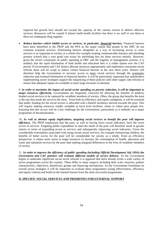required but growth here should not exceed the capacity of the various sectors to deliver effective services. Resources will be wasted if donors build health facilities but there is no staff to run them or there are inadequate drug supplies.

• *Reduce barriers which inhibit access to services, in particular, financial barriers.* Financial barriers have been identified in the PRSP and the PPA as the major reason that people in the DRC do not consume essential services. Eliminating barriers altogether as a way of increasing access to *some* services is so important to society as a whole (for example treating communicable diseases and attending primary school) that a very good case exists for abolishing fees for these services entirely. However, given the severe constraints on public spending in DRC and the fragility of management systems, it is unlikely that the rapid elimination of both health and education fees is a viable option over the CAF period. If Government and CAF donors allocate resources appropriately and implement concurrent sector reforms there will be scope to reduce certain financial barriers in the next three years. Donors will therefore help the Government to increase access to basic social services through the systematic reduction and eventual elimination of financial barriers. It will be particularly important that stakeholders implementing sector strategies support the sequencing of these policies with other supply side reforms to ensure that adequate inputs are available to meet large increases in demand.

9. *In order to maximize the impact of social sector spending on poverty reduction, it will be important to target resources effectively.* Governments are frequently criticized for allowing the benefits of publicly funded social services to be captured by wealthier members of society. Often, the group that benefits the least is the one that needs the services the most. From both an efficiency and equity standpoint, it will be essential that public funding for the social sectors is allocated with a benefit incidence skewed towards the poor. This will require making resources readily available at local level facilities, closer to where poor people live. Ensuring that this occurs will be a key challenge for the Government, particularly as it embarks on a major programme of decentralisation.

10. *As well as obvious equity implications, targeting social services to benefit the poor will improve efficiency.* The PRSP emphasizes that the poor, as well as having lower social indicators, have the worst access to services. Targeting public expenditure to meet the needs of the poor will therefore result in greater returns in terms of expanding access to services and subsequently improving social indicators. Given the considerable externalities associated with using certain social services, for example immunizing children, the benefits of better access for the poor will be considerable for society as a whole. From an efficiency perspective, it makes more sense to target resources to increase the consumption of health, education and water and sanitation services by the poor than making marginal differences to the lives of wealthier members of society.

11. *In order to improve the efficiency of public spending (including Official Development Aid, ODA) the Government and CAF partners will evaluate different models of service delivery.* As the Government begins to undertake significant social sector reforms it is apparent that there already exists a wide variety of sector programmes across the country. These differ in many respects including their scale, structure, partner characteristics, objectives, beneficiary groups and financing mechanisms. As the Government formulates its overall sector strategies it will be important to evaluate these programmes (using effectiveness, efficiency and equity criteria) and build on the learned lessons from the most successful programmes.

# **II. SPECIFIC SOCIAL SERVICES AND PRIORITIES FOR EXTERNAL SUPPORT**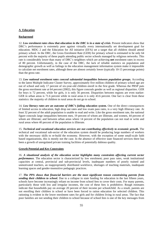## **A**. **Education**

#### **Background**

12. *Low enrolment rates show that education in the DRC is in a state of crisis*. Present indicators show that DRC's performance is extremely poor against virtually every internationally set development goal for education. MDG 2 and the Education for All initiative (EFA) set a target that all children should attend primary school. In the DRC, the Gross Enrolment Rate (GER) for primary school is estimated to be only 64 percent with the majority of these pupils attending public sector schools managed by religious networks. This rate is considerably lower than many of DRC's neighbors which are achieving **net** enrolment rates in excess of 80 percent. Unfortunately, in the case of the DRC, the lack of reliable statistics on population and demographic growth as well as failings in the education management information system make it impossible to calculate net enrolment rates, although these are almost certainly lower (typically 10-15 percentage points) than the gross rate.

13. *Low national enrolment rates conceal substantial inequalities between population groups.* According to the latest Multiple Indicator Cluster Survey, approximately five million children of primary school age are out of school and only 17 percent of six-year-old children enroll in the first grade. Whereas the PRSP puts the gross enrolment rate at 64 percent (2002), this figure conceals gender as well as regional disparities. GER for boys is 72 percent, while for girls, it is only 56 percent. Disparities between regions are even starker: GER in urban areas is 71.6 percent while in rural areas it is only 43.6 percent. One fact is clear from these statistics: the majority of children in rural areas do not go to school.

14. *Low literacy rates are an outcome of DRC's failing education system.* One of the direct consequences of limited access to education, high drop out rates and low exam pass rates, is a very high illiteracy rate. At least 32 percent of the adult population is unable to read and write. Like the gross enrolment rate, the national figure conceals large inequalities between men, 19 percent of whom are illiterate, and women, 44 percent of whom are illiterate; and between urban areas where 14 percent of the population can not read or write and rural areas where 40 percent of the population is illiterate.

15. *Technical and vocational education services are not contributing effectively to economic growth.* The technical and vocational sub-sector of the education system should be producing large numbers of workers with the necessary skills to re-build the economy. However, with the exception of some small-scale faith based organizations, this is mostly not the case. In the absence of effective state financed services there has been a growth of unregulated private training facilities of potentially dubious quality.

### **Growth Potential and Key Constraints**

16. *A situational analysis of the education sector highlights many constraints affecting current sector performance*. The education sector is characterized by low enrolment; poor pass rates, weak institutional capacities at central, provincial and sub-provincial levels, inadequate numbers of poorly trained and unmotivated teachers, an inappropriately distributed workforce, shortages of teaching materials, inadequate learning spaces and gender-insensitive pedagogic practices.

17. *The PPA shows that financial barriers are the most significant reason constraining parents from sending their children to school.* Due to a collapse in state funding for education in the last fifteen years, schools have become increasingly reliant on income from school fees to cover their costs. For many parents, particularly those with low and irregular incomes, the cost of these fees is prohibitive. Rough estimates indicate that households pay on average 20 percent of their income per schoolchild. As a result, parents are not enrolling their children in school or have been forced to ration education for selected children. This rationing is evident in the lower enrolment rates for girls and for children living in rural areas. The fact that poor families are not sending their children to school because of school fees is one of the key messages from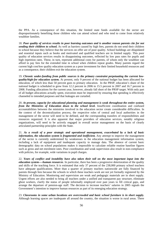the PPA. As a consequence of this situation, the limited state funds available for the sector are disproportionately benefiting those children who can attend school and who tend to come from relatively wealthier families.

18. *Poor quality of services results in poor learning outcomes and is another reason parents cite for not sending their children to school.* As well as barriers caused by high fees, parents do not send their children to school because they believe that the services on offer are of poor quality. School buildings are dilapidated and essential inputs such as books and motivated and qualified teachers are in limited supply. This poor quality of education services results in disappointing outcomes, reflected by low pass rates for pupils and high repetition rates. These, in turn, represent additional costs for parents, of whom only the wealthier can afford to pay fees for the extended time in school when children repeat grades. Many parents regard the current high cost/low quality education system as a poor investment for their limited household resources and as a consequence, their children exit the education system.

19. *Chronic under-funding from public sources is the primary constraint perpetuating the current lowquality/high-fee education system.* At present, only 9 percent of the national budget has been allocated for education, of which less than 50 percent goes to primary education. In the PRSP, education's share of the national budget is scheduled to grow from 12.2 percent in 2006 to 15.5 percent in 2007 and 16.7 percent in 2008. Funding allocations for the current year, however, already fall short of the PRSP target. With only part of all budget allocations actually spent, execution must be improved by ensuring that spending is effectively channeled to intended purposes and that leakages are curtailed.

20. *At present, capacity for educational planning and management is weak throughout the entire system, from the Ministries of Education down to the school level.* Insufficient coordination and confused accountabilities between the ministries involved in the education sector create considerable difficulties. In the context of the decentralization process, the respective roles of central and local authorities in the management of the sector will need to be defined, and the corresponding transfers of responsibilities and resources organized. It is also apparent that major providers of education services, notably religious organizations, will need to be actively engaged in overall sector management on the basis of clearly articulated partnership principles with the State.

21. *As a result of a poor strategic and operational management, exacerbated by a lack of basic information, the education system is fragmented and inefficient.* Any attempt to improve the management of the sector is currently undermined by weaknesses in the education management information system, including a lack of equipment and inadequate capacity to manage data. The absence of current basic demographic data on school populations makes it impossible to calculate reliable routine baseline figures such as gross and net enrolment rates. Poor coordination and weak supervision also result in non-compliance with policies, for example, wide variations in pupil charges.

22. *Years of conflict and instability have also taken their toll on the most important input into the education system-—human resources*. In particular, there has been a progressive deterioration of the quality and skills of the teaching force. It is estimated that only 37 percent of the 238,000 primary school teachers have adequate qualifications. More than a quarter of primary teachers nationwide are fully financed by parents through fees because the schools in which these teachers work are not yet formally registered by the Ministry of Education. Monitoring and supervision are weak and pedagogic materials are in short supply. Urgent efforts are also needed to bring all teachers under a unified and transparent pay structure, eliminate ghost workers, clarify the status of people informally employed over past years to fill critical gaps, and arrange the departure of pension-age staff. The decision to increase teachers' salaries in 2005 signals the Government's intention to improve human resources as part of its emerging education strategy.

23. *Classrooms in some urban locations are overcrowded and basic school furniture is in short supply.* Although learning spaces are inadequate all around the country, the situation is worse in rural areas. There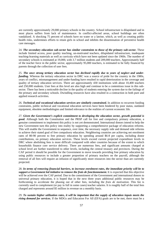are currently approximately 29,000 primary schools in the country. School infrastructure is dilapidated and in most places suffers from lack of maintenance. In conflict-affected areas, school buildings are often vandalized. A shocking 75 percent of schools have no water or a latrine, which, as well as creating public health risks, undermines efforts to retain girls in school and inhibits the dissemination of preventive health care messages.

24. The secondary education sub-sector has similar constraints to those of the primary sub-sector. These include limited access, poor quality teaching, un-motivated teachers, dilapidated infrastructure, inadequate teaching-learning materials as well as curricula which have not been updated since the 1960s. The number of secondary schools is estimated at 19,000, with 3.7 million students and 209,000 teachers. Approximately half of the teacher force in the public sector, approximately 95,000 teachers, is estimated to be fully financed by parents through the collection of user fees.

25. *The once strong tertiary education sector has declined rapidly due to years of neglect and underfunding*. Whereas the tertiary education sector in DRC was a source of pride for the country in the 1980s, years of conflict, mismanagement and under-funding have resulted in rapid deterioration in the coverage and quality of tertiary education services. There are approximately 430 institutions with about 10,400 teachers and 250,000 students. User fees at this level are also high and continue to be a contentious issue in this subsector. There has been a noticeable decline in the quality of students entering the system due to the failings of the primary and secondary schools. Dwindling resources have also resulted in a contraction in both pure and applied research activities*.* 

26. *Technical and vocational education services are similarly constrained***.** In addition to recurrent funding constraints, public technical and vocational education services have been hindered by poor status, outdated equipment, obsolete methodologies and limited relevance to the realities of current economic life.

27. *Given the Government's explicit commitment to developing the education sector, growth potential is good.* Although both the Constitution and the PRSP call for free and compulsory primary education, a genuine commitment to implement this policy is not yet demonstrated. International donors intend to help the new Government turn this policy into reality by supporting a comprehensive package of education reforms. This will enable the Government to sequence, over time, the necessary supply side and demand side reforms to achieve their stated goal of free compulsory education. Neighboring countries are achieving net enrolment rates of 80-90 percent to free primary education by spending around \$6-8 per capita, including donor contributions, on primary education services. These levels exceed current projected expenditure levels in DRC where abolishing fees is more difficult compared with other countries because of the extent to which households finance core service delivery. There are numerous fees, and significant amounts charged at school level are further transferred to other levels, including the central treasury and provinces. During the CAF period it should be possible for the Government to move towards providing free primary education by using public resources to include a greater proportion of primary teachers on the payroll, although the removal of all fees will require an infusion of significantly more resources into the sector than are currently projected.

28. *In terms of removing financial barriers, to increase enrolment rates, the immediate priority will be to support a Government led initiative to remove the frais de fonctionnement.* It is expected that this objective will be achieved over the CAF period. Due to the commitment of the Government and international donors to universal primary education, it is hoped that in the next three years additional public resources may be forthcoming to accelerate the phasing out of other fees, including the *frais de motivation*. This fee is currently used to complement (or pay in full in some cases) teacher salaries. It is roughly half of the total fees charged and represents around \$5 million in revenue on a monthly basis.

29. *To sustain higher utilization rates, it will be important that the supply of education inputs meets the rising demand for services.* If the MDGs and Education For All (EFA) goals are to be met, there must be a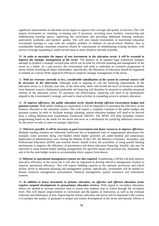significant improvement in education sector inputs to improve the coverage and quality of services*.* This will require investments in: retaining, re-training and, if necessary, recruiting more teachers; constructing and rehabilitating learning spaces; improving the curriculum; and providing additional learning materials, particularly textbooks and teachers' guides. This will also require investments in non-formal education (vocational training) to cope with the complex problem of millions of out-of-school children. Due to considerable funding constraints resources should be concentrated on rehabilitating existing facilities, with service coverage expanding to under-served areas as more resources become available.

30. *In order to maximize the impact of new investments in the education sector, it will be essential to improve the strategic management of the sector*. The absence of an updated legal framework hampers attempts to produce a strategic sectoral plan which can be used for efficient planning and management of the sector as a whole. As a top priority, the Government will need to undertake an extensive programme of sector reform involving all major stakeholders. Specifically, the Ministries of Education should be supported to embark on a Sector Wide Approach (SWAp) to improve strategic management of the sector.

31. *With tax revenues currently so low, considerable subsidization of the system by external sources will be necessary in the short-term.* Although work is ongoing to cost the financing requirements of the education sector, it is already clear that, in the short-term, these will exceed the level of resources available from domestic sources. Substantial predictable aid financing will therefore be essential to subsidize proposed reforms in the education sector. To maximize aid effectiveness, financing will need to be harmonized, aligned to the Government's strategy, and used to fund activities in expanding access to primary education.

32. *To improve efficiency, the public education sector should develop efficient Government budget and payment systems.* With public funding so constrained, it will be imperative to maximize the efficiency of the finances allocated to the education system. This will require a complete overhaul of the public budget and payment system. In order to facilitate strategic planning, annual education budgets will need to be derived from a rolling Medium-term Expenditure Framework (MTEF). The MTEF will help formulate realistic programming based on the needs for the sector and serve as a mechanism for justifying additional resources for the sector in order to meet its strategic objectives.

33. *Wherever possible, it will be necessary to pool Government and donor resources to improve efficiency.*  Multiple funding channels are inherently inefficient due to heightened risks of inappropriate allocations (for example, some activities being over-funded whilst higher priorities are under-funded) and unnecessary duplication of administration costs. During the lifetime of the CAF, the Ministry of Primary, Secondary, and Professional Education (EPSP) and external donors should review the possibility of using pooled funding mechanisms to improve the efficiency of government and donor education financing. Initially, this may be restricted to some limited basket funding arrangements for specified inputs and activities but, ultimately, the aim is for the state budget system to accommodate direct support from donors.

34. *Reforms in operational management systems are also required*. Establishing a SWAp will help improve allocative efficiency in the sector but it will also be important to develop effective management systems to improve operational efficiency. This will require building capacity at the national, provincial, and school facility levels in education planning and management systems. Specifically, investments will be needed in: human resources management; procurement; financial management; quality assurance and information systems.

35. *In addition to heavy investment in primary education, an effective and efficient education sector requires targeted developments in post-primary education services*. With regard to secondary education, efforts are needed to increase retention rates to ensure that students stay in school through the secondary level. This will require improvements in curriculum and the quality of instruction, as well as the eventual reduction and elimination of fees. Improving the tertiary education sub-sector will be important if the country is to produce the quality of graduates to propel and sustain development in the sector and beyond. Efforts to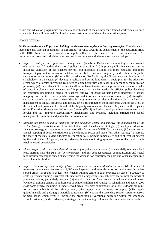ensure that education programmes are consistent with needs of the country for a trained workforce also need to be made. This will require difficult reforms and restructuring of the higher education system.

## **Priority Activities**

36. *Donor assistance will focus on helping the Government implement four key strategies.* If implemented, these strategies offer an opportunity to significantly advance towards the achievement of the education MDG in the DRC. Note that exact quantities of inputs will need to be finalized once Government and CAF resources are known and priorities have been set in accordance with the total resource envelope:

- *Improve strategic and operational management:* (i) advise Parliament on adopting a new overall education law; (ii) update the national policy on education; (iii) improve public finance mechanisms including validation of the teachers payroll, and introduce a simplified, more equitable and more transparent pay system to ensure that teachers are better and more regularly paid in line with public sector reforms and norms; (iv) establish an education SWAp led by the Government and involving all stakeholders in the sector; (v) develop a realistic and costed long-term strategic plan for the education sector which allocates increasing resources to agreed priorities and takes into account decentralization processes; (vi) train relevant Government staff to implement sector wide approaches and develop a cadre of education planners and managers; (vii) improve basic statistics needed for efficient policy decisions on education (including a census of teachers, removal of ghost workers); (viii) undertake a school mapping exercise to ensure equitable coverage and inform a rationalization exercise; (ix) strengthen capacities of education sector stakeholders in programme design, data collection/analysis and system management at central, provincial and facility levels; (x) strengthen the inspectorate wing of the EPSP at the national and provincial levels and establish quality assurance mechanisms; (xi) increase the capacity of the Education Management Information System (EMIS) and educational planning/management at all levels; and (xii) improve accountability mechanisms and systems, including strengthened school management committees and parent teachers associations.
- *Increase the levels of public financing for the education sector and improve the management of the sector:* (i) align the contributions from stakeholders with the education strategy; (ii) develop an education financing strategy to support service delivery; (iii) formulate a MTEF for the sector; (iv) undertake an annual mapping of donor contributions to the education sector and those from other sources; (v) increase the share of the state budget allocated to education to 10 percent immediately and to at least 20 percent by the end of the CAF period; and (vi) develop budget monitoring systems to ensure that public funds reach intended beneficiaries.
- *Move progressively towards universal access to free primary education:* (i) sequentially remove school fees, starting with the *frais de fonctionnement*; and (ii) conduct targeted communication and social mobilization campaigns aimed at increasing the demand for education for girls and other marginalized and vulnerable children.
- *Improve the coverage and quality of basic primary and secondary education services*: (i) retrain and if necessary recruit new teachers and 1,000 new inspectors and administrators for deployment in underserved areas; (ii) establish at least one teacher training centre in each province as part of a strategy to scale-up teacher training; (iii) establish functional literacy centers in each province to meet the needs of youth and adults, particularly women; (iv) establish 'catch-up' classes and non formal education and vocational training centers to address out-of-school children and youths; (v) rehabilitate and equip 4,000 classrooms yearly, including in under-served areas; (vi) provide textbooks on a one textbook per pupil for all core subjects at the primary level; (vii) supply basic stationery to pupils; (viii) supply guides/manuals and pedagogic materials to teachers; (ix) expand the secondary school system to absorb primary school completers;  $(x)$  increase the proportion of vocational education within the secondary school curriculum; and (xi) develop a strategy for the including children with special needs in schools.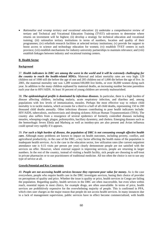• *Rationalize and revamp tertiary and vocational education:* (i) undertake a comprehensive review of tertiary and Technical and Vocational Education Training (TVET) sub-sectors to determine where returns on investment will be highest; (ii) develop a strategy for technical education and vocational training; (iii) rationalize tertiary institutions in terms of numbers, location and quality of their programmes; (iv) refurbish research facilities at selected tertiary institutions; (v) provide fee support to boost access to science and technology education for women; (vi) establish TVET centers in each province; (vii) establish mechanisms for industry-university partnerships to maintain relevance; and (viii) establish linkages between industry and vocational training centers.

#### **B**. **Health Sector**

#### **Background**

37. *Health indicators in DRC are among the worst in the world and it will be extremely challenging for the country to reach the health-related MDGs.* Maternal and infant mortality rates are very high: 129 children out of 1000 still die before the age of one and 205 children out of 1,000 die before the age of five. In 2001, the maternal mortality rate was 1,289 women/100,000 live births, or over 36,000 women dying each year. In addition to the many children orphaned by maternal deaths, an increasing number become parentless each year due to HIV/AIDS. At least 16 percent of young children are severely malnourished.

38. *The epidemiological profile is dominated by infectious diseases.* In particular, there is a high burden of disease affecting children, including malaria, acute respiratory infection, and diarrhea and, among populations with low levels of immunization, measles. Perhaps the most effective way to reduce child mortality is to tackle malaria, which accounts for a third to a half of all child deaths, representing 150 to 200 thousand child deaths annually. Other infectious diseases contributing to poor health indicators include: HIV/AIDS, tuberculosis, onchocerciasis and sleeping sickness African Human Trypanosomiasis (THA). The country also suffers from a resurgence of several epidemics of formerly controlled diseases including measles, whooping-cough, plague, poliomyelitis, bacillary dysentery, and cholera. Emerging diseases such as the hemorrhagic fevers Ebola and Marburg as well as monkey-pox are also present and Avian influenza could spread very rapidly if it appears.

39. *For such a high burden of disease, the population of DRC is not consuming enough effective health care.* Although many problems are known to impact on health outcomes, including poverty, conflict, and agricultural productivity, in the case of the DRC, a key factor affecting the health status of the population is inadequate health services. As is the case in the education sector, low utilization rates (the current outpatient attendance rate is 0.15 visits per person per year) clearly demonstrate people are not satisfied with the services on offer. However, where external support is improving services, people are returning in larger numbers. In the rest of the country, instead of visiting a health facility, sick people are choosing to self-treat in private pharmacies or to use practitioners of traditional medicine. All too often the choice is not to use any type of service at all.

## **Growth Potential and Key Constraints**

40. *People are not accessing health services because they represent poor value for money.* As is the case everywhere, people who require health care in the DRC investigate services, basing their choice of provider on perceptions of quality and price. Whether the issue is quality or price, health services in Congo are failing the population. Regarding quality, health services in the DRC are often inaccessible, but even when within reach, essential inputs in most clinics, for example drugs, are often unavailable. In terms of price, health services are prohibitively expensive for the overwhelming majority of people. This is confirmed in PPA, which cites user charges as the major reason that people do not access health services. In many instances due to a lack of management supervision, public services have in effect become commercialized, with health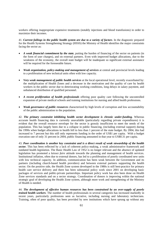workers offering inappropriate expensive treatments (notably injections and blood transfusions) in order to maximize their incomes.

41. *Current failings in the public health system are due to a variety of factors*. In the diagnostic prepared for the Health Systems Strengthening Strategy (HSSS) the Ministry of Health identifies the major constraints facing the sector as:

- *A weak financial commitment by the state*, putting the burden of financing of the sector on patients (in the form of user charges), and on external partners. Even with improved budget allocations, due to the weakness of the economy, the overall state budget will be inadequate so significant external assistance will be required for the foreseeable future.
- *Weak organization, policy-making and management of services* at central and provincial levels leading to a proliferation of new technical units often with low capacity.
- *Very weak management of public health services* at the local operational level, recently exacerbated by: the multiplication of Health Zones and a decrease in the motivation and the quality of care by health workers in the public sector due to deteriorating working conditions, long delays in salary payment, and unbalanced distribution of qualified personnel.
- *A recent proliferation of health professionals* offering poor quality care following the uncontrolled expansion of private medical schools and training institutions for nursing and allied health professions.
- *Weak governance of public resources* characterized by high levels of corruption and low accountability of the public administration to the population.

42. *The primary constraint inhibiting health sector development is chronic under-funding.* Whereas accurate health financing data is currently unavailable (particularly regarding private expenditures) it is evident that the overall resource envelope for the sector is grossly insufficient to meet the needs of the population. This has largely been due to a collapse in public financing, (including external support) during the 1990s when budget allocations to health fell to less than 1 percent of the state budget. By 2004, this had increased to 7 percent but this still only represents funding in the order of US\$1 per capita. With a budget execution rate of only 31 percent in 2004, public financing amounted in that year to US\$0.31 per capita.

43. *Poor coordination is another key constraint and is a direct result of weak stewardship of the health sector.* This has been reflected by a lack of coherent policy-making, a weak administrative framework and outdated health legislation. The Basic Health Law of 1952 is no longer relevant and the absence of updated legislation has promoted a *laissez faire* attitude towards the planning and management of health services. Institutional inflation, often due to external donors, has led to a proliferation of poorly coordinated new units with low technical capacity. In addition, communication has been weak between the Government and its partners (including church-based health providers) and between external partners supporting the health sector. On the positive side, the Health Zone system developed in the 1980s is still best-practice for primary health care service delivery and there has been substantial policy work since 2001 on developing basic packages of services and public-private partnerships. Important policy work has also been done on Health Zone services standards and on a sector strategy. Coordination of donors is improving within the national strategic goal of developing the Health Zone system, although more work and strengthening of the Ministry of Health is needed.

44. *The development of effective human resources has been constrained by an over-supply of poorly trained health workers*. The number of health professionals in several categories has increased markedly in recent years, particularly professions seen as lucrative, including nursing and laboratory technicians. Training, often of poor quality, has been provided by new institutions which have sprung up without any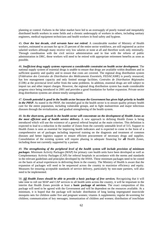planning or control. Failures in the labor market have led to an oversupply of poorly trained and inequitably distributed health workers in some fields and a chronic undersupply of workers in others, including sanitary engineers, medical equipment technicians and health workers in food safety and hygiene.

45. *Over the last decade, civil servants have not retired*. A considerable number of Ministry of Health workers, estimated to account for up to 25 percent of the entire sector workforce, are still registered as active salaried workers although many receive very low salaries or none at all and therefore work only minimally. Through coordination with the civil service administration and in line with the reform of public administration in DRC, these workers will need to be retired with appropriate retirement benefits as soon as possible.

46. *Inefficient drug supply systems represent a considerable constraint on health sector development*. The national supply system of essential drugs is unable to ensure that drugs are available within deadlines and in sufficient quantity and quality and to ensure that costs are covered. The regional drug distribution system (*Fédération des Centrales de Distribution des Médicaments Essentiels*, FEDACAME) is poorly resourced, has low management capacity and only limited storage facilities. *Centrales de Distribution Régionales* (CDR) at the provincial level suffer from the same problems. In addition, essential drugs are still subject to import tax and other import charges. However, the regional drug distribution system has made considerable progress since being introduced in 2001 and provides a good foundation for further expansion. Private sector drug distribution systems are almost totally unregulated.

47. *Growth potential is good in the health sector because the Government has given high priority to health in the PRSP.* As stated in the PRSP, the intended goal in the health sector is to ensure quality primary health care for the entire population, including vulnerable groups, and to fight malnutrition and major infectious diseases through the revitalization, and gradual strengthening of the health system.

48. *In the short-term, growth in the health sector will concentrate on the development of Health Zones as the most efficient unit of health service delivery.* A new approach to defining Health Zones is being introduced which will use the existence of a general referral hospital as the main criterion. This definition is expected to lead to a reduction in the number of Zones from the currently untenable level of 515. Support to Health Zones is seen as essential for improving health indicators and is expected to come in the form of a comprehensive set of packages including improved training on the diagnosis and treatment of common diseases and better logistics support to ensure efficient procurement of necessary drugs and supplies. Consolidation of the existing system will require phasing in adequate financing for **all** Health Zones, including those not currently supported by a partner.

49. *The strengthening of the peripheral level of the health system will include provision of minimum packages*. Minimum Activity Packages (MAP) for primary care health units have been developed as well as Complementary Activity Packages (CAP) for referral hospitals in accordance with the norms and standards in the relevant guidelines and principles developed by the HSSS. These minimum packages need to be costed on the basis of actual experiences in delivering them in the country. The Ministry of Health is aware that the expansion of packages will need to be sequenced across the country to maximize efficiency and equity. Measures for ensuring acceptable standards of service delivery, particularly by non-state partners, will also need to be implemented.

50. *All Health Zones should be able to provide a basic package of free services.* Recognizing that it will take time to roll out MAP and CAP services to all health units across the country, it will be important in the interim that Health Zones provide at least a **basic package of services**. The exact composition of this package will need to be agreed with the Government and will be dependent on the resources available. At a minimum, it is hoped that the package will include: distribution of long lasting impregnated insecticide mosquito nets for children under five and pregnant women; vitamin A supplements; regular de-worming for children; communication of key messages; immunization of children and women; distribution of iron/folate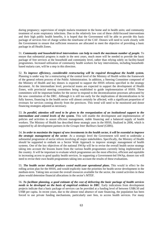during pregnancy; supervision of simple malaria treatment in the home and in health units; and community treatment of acute respiratory infections. Due to the relatively low cost of these child-focused interventions and their high public health benefits, it is hoped that the Government will be able to provide this basic package of services free of charge within the timeframe of the CAF. Donors will need to work closely with the Government to ensure that sufficient resources are allocated to meet the objective of providing a basic package in all Health Zones.

51. *Community and household-level interventions can help to reach the maximum number of people.* To ensure that substantial progress is made in the next years, much more will be needed to provide the basic package of free services at the household and community level, rather than relying solely on facility-based programmes. Increased utilization of community health workers for key interventions, including householdbased malaria care, will be a step in this direction.

52. *To improve efficiency, considerable restructuring will be required throughout the health system.* Planning is under way for a restructuring of the central level of the Ministry of Health within the framework of the general reform process of the Public Administration. In addition, a Steering Committee composed of the Ministry of Health and key donors is expected to support the HSSS reforms specified in the strategy document. At the intermediate level, provincial teams are expected to support the development of Health Zones, with provincial steering committees being established to guide implementation of HSSS. These committees will be important bodies for the sector to respond to the decentralization processes advocated by the new constitution of the DRC. Although it is still too early for the implications of decentralization to be fully known, financing in the health sector will almost certainly be affected, with a significant proportion of revenues for services coming directly from the provinces. This trend will need to be monitored and donor financing strategies adjusted as necessary.

53. *In parallel, attention will need to be given to the reorganization of an institutional support to the intermediate and central levels of the system.* This will enable the development and implementation of policies and activities to assure efficient management, stable financing and a balanced supply of health workers. The Ministry of Health has described these strategic axes in the HSSS, finalized in 2006, which is supported by all development partners in the *Groupe Inter Bailleurs Santé* (GIBS).

54. *In order to maximize the impact of new investments in the health sector, it will be essential to improve the strategic management of the sector*. At a strategic level the Government will need to undertake a substantial programme of sector reform involving all major stakeholders. Specifically, the Ministry of Health should be supported to embark on a Sector Wide Approach to improve strategic management of health systems. One of the key objectives of the national SWAp will be to revise the overall health sector strategy taking into account the lessons learnt from the various health programmes currently being implemented in the country. It will be important to evaluate which programmes are the most effective, efficient and equitable in increasing access to good quality health services. In supporting a Government-led SWAp, donors too will need to revise their own health programmes taking into account the results of these evaluations.

55. *The health sector should produce costed multi-year operational plans.* This would in effect be the rolling action plan for the HSSS, and would explicitly state the priorities for health sector development in the medium-term. Taking into account the overall resources available for the sector, the costed activities in these plans would determine financial allocations in the sector's MTEF.

56. *To facilitate planning, a good estimate of the cost of delivering the basic package of health services needs to be developed on the basis of empirical evidence in DRC*. Early indications from development projects indicate that a basic package of services can be provided at a funding level of between US\$6.50 and US\$8 per capita. In recent years, due to the almost total absence of state financing, the population has been forced to use private funding mechanisms, particularly user fees, to access health services. For many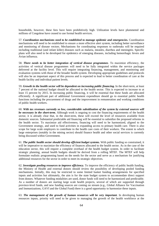households, however, these fees have been prohibitively high. Utilization levels have plummeted and millions of Congolese have ceased to use formal health services.

57. *Coordination mechanisms need to be established to manage epidemic and emergencies.* Coordination mechanisms will need to be established to ensure a more effective alert system, including better surveillance and monitoring of disease vectors. Mechanisms for coordinating responses to outbreaks will be required including traditional (and infant killer) diseases such as malaria, measles, diarrhea and meningitis. Specific plans will also need to be developed for epidemics of emerging diseases, including hemorrhagic fevers and Avian influenza.

58. *There needs to be better integration of vertical disease programmes.* To maximize efficiency, the activities of vertical disease programmes will need to be fully integrated within the service packages delivered at the facility level. This will require integrating financing, management, and monitoring and evaluation systems with those of the broader health system. Developing appropriate guidelines and protocols will also be an important aspect of this process and is expected to lead to better coordination of care at the health facility and individual patient levels.

59. *Growth in the health sector will be dependent on increasing public financing.* In the short-term, at least 7 percent of the national budget should be allocated to the health sector. This is expected to increase to at least 15 percent by 2015. In increasing public financing, it will be essential that these funds are allocated efficiently. A significant part of additional Government expenditure should go to essential public health functions including the procurement of drugs and the improvement in remuneration and working conditions of public health workers.

60. *With tax revenues currently so low, considerable subsidization of the system by external sources will be necessary in the short-term.* Although work is ongoing to cost the financing requirements of the health sector, it is already clear that, in the short-term, these will exceed the level of resources available from domestic sources. Substantial predictable aid financing will be essential to subsidize the proposed reforms in the health sector. To maximize aid effectiveness, financing will need to be harmonized, aligned to the Government strategy, and used to fund activities in expanding access to primary health care. There is also scope for large scale employers to contribute to the health care costs of their workers. The extent to which large enterprises (notably in the mining sector) should finance health and other social services is currently being discussed within Government.

61. *The public health sector should develop efficient budget systems.* With public funding so constrained, it will be imperative to maximize the efficiency of finances allocated to the health sector. As in the case of the education sector, this will require a complete overhaul of the health budget system. In order to facilitate strategic planning, annual health budgets should be derived from a rolling MTEF. The MTEF will help formulate realistic programming based on the needs for the sector and serve as a mechanism for justifying additional resources for the sector in order to meet its strategic objectives.

62. *Investigate pooling resources to improve efficiency.* To improve the efficiency of public health funding, the Ministry of Health and external donors should review the possibility of developing pooled funding mechanisms. Initially, this may be restricted to some limited basket funding arrangements for specified inputs and activities but ultimately, the aim is for the state budget system to accommodate direct support from donors. Whatever funding modalities are used, donor funds will need to be harmonized and predictable. As a number of donors are starting large scale health projects, several of which are supported through province-level funds, and new funding sources are coming on stream (e.g., Global Alliance for Vaccination and Immunizations, GAVI and the Global Fund) there is a good opportunity to harmonize these inputs.

63. *The management of the growth of human resources will be very important*. In developing human resources inputs, priority will need to be given to managing the growth of the health workforce at the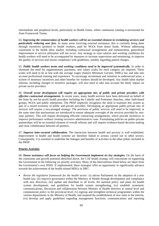intermediate and peripheral levels, particularly in Health Zones, where continuous training is envisioned for Zone Framework Teams.

64. *Improving the remuneration of health workers will be an essential element in revitalizing services and particularly reducing user fees*. In many areas receiving external assistance, this is currently being done through incentives (primes) to health workers, paid by NGOs from donor funds. Without addressing constraints in the health labor market, including contractual arrangements and remuneration, generalized improvement in service utilization will not occur. Any strategy to raise salaries and working conditions for health workers will need to be accompanied by measures to increase supervision and monitoring, to improve the quality of services and ensure compliance with guidelines, notably regarding patient charges.

65. *Public health workers terms and working conditions need to be improved systematically.* In order to eliminate the need for supplementary payments, new salary scales for each category are required. These scales will need to be in line with the average wages (*Salaire Minimum Garanti*, SMIG) law and take into account professional training and experience. To encourage recruitment and retention in underserved areas, a system of monetary incentives and other benefits for workers should be developed. Any health labor market reforms, including changes to incentive packages, will also need to take into account the likely impact on private sector providers.

66. *Overall sector development will require an appropriate mix of public and private providers with effective contractual arrangements.* In recent years, many health services have been delivered on behalf of the State by not-for-profit health providers including the Catholic and Protestant churches, other faith-based groups, NGOs and public enterprises. The PRSP implicitly recognizes the need to maintain this system as part of a mixed economy of public and private providers. Developing an appropriate public-private mix of services will require a two-pronged strategy: The provision of public services will need to be improved, at the same time that mechanisms are introduced to ensure adequate oversight of the services provided by nonstate partners. This will require developing efficient contracting arrangements, which provide incentives to improve performance without creating excessive administrative costs. Formulating policies on public-private partnerships will be an essential element of overall reforms and will require evidence-based decision making and close collaboration between all partners.

67. *Improve inter-sectoral collaboration.* The interaction between health and poverty is well established. Improvement in health and health systems are therefore linked to actions carried out in other sectors. Consequently, it is essential to underline the linkages and benefits of activities in the other pillars included in the PRSP.

### **Priority Activities**

68. *Donor assistance will focus on helping the Government implement six key strategies.* On the basis of the constraints and growth potential identified above, the CAF health strategy will concentrate on supporting the Government in the following six priority activities. Many of the interventions listed below are taken from the Government's own HSSS. If implemented, these strategies offer an opportunity to significantly advance towards the achievement of the health related MDGs in DRC:

• *Revise the legislative framework for the health sector:* (i) advise Parliament on the adoption of a new health law; (ii) improve governance within the Ministry of Health through development and compliance with new directives; (iii) update and distribute to all levels, the national policy and plans for health system development, and guidelines for health system strengthening; (iv) establish systematic communications, discussion and collaboration between Ministry of Health directors at central level and communicate policy to the provincial level; (v) regroup and strengthen technical programmes within the various departments in the Ministry of Health, and suspend the establishment of new units in the interim; (vi) develop and apply guidelines regarding management functions, communications and reporting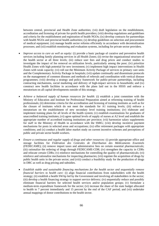between central, provincial and Health Zone authorities; (vii) draft legislation on the establishment, accreditation and licensing of private for-profit health providers; (viii) develop regulations and guidelines and criteria for the establishment and registration of health NGOs; (ix) develop contracts for partnerships with health NGOs and provincial health authorities; (x) develop guidelines on selection and procurement of medical equipment; (xi) manage health sector reforms efficiently in accordance with decentralization processes; and (xii) establish monitoring and evaluation systems, including for private sector providers.

- *Improve access to care as well as equity:* (i) provide a basic package of curative and preventive health services including family planning services in all Health Zones; (ii) revise the organizational structure of the health sector at all three levels; (iii) reduce user fees and drug prices and conduct studies to investigate the impact of fee removal on utilization levels, particularly among the poor; (iv) prioritize Health Zones with high potential for new investment; (v) implement high impact interventions in Health Zones with weak capacity; (vi) roll out the Minimum Activity Package of services in primary care units and the Complementary Activity Package in hospitals; (vii) update continually and disseminate protocols on the management of common diseases and methods of referrals and coordination with vertical disease programmes; (viii) develop a strategy and policy framework for public-private partnerships, including contracting mechanisms, social marketing and delivery of high-impact services to households; and (ix) construct new health facilities in accordance with the plans laid out in the HSSS and enforce a moratorium on all capital developments outside of this strategy.
- *Achieve a balanced supply of human resources for health*: (i) establish a joint committee with the Ministry of Education and Institute for Professional Preparation aimed at reforming training of health professionals; (ii) determine criteria for the accreditation and licensing of training institutes as well as for the closure of institutes which do not meet the standards for A1 training levels; (iii) enforce a moratorium on the establishment of new secondary level training institutions; (iv) elaborate and implement training plans for all levels of the health system; (v) establish examinations for graduates of unaccredited training institutes; (vi) agree optimal levels of supply of nurses at A2 level and establish the appropriate number of accredited training institutions per province; (vii) harmonize salary supplements for staff in the Ministry of Health in accordance with the SMIG; (viii) develop incentive payment mechanisms for posts in selected areas and occupations; (ix) offer retirement packages with appropriate conditions; and (x) conduct a health labor market study on current incentive schemes and perceptions of public and private sector health workers.
- *Ensure a continuous and regular supply of drugs and other resources:* (i) provide appropriate office and storage facilities for *Fédération des Centrales de Distribution des Médicaments Essentiels* (FEDECAME); (ii) remove import taxes and administrative fees on certain essential pharmaceuticals; (iii) rationalize the ordering of drugs through FEDECAME-CDR; (iv) strengthen the capacity in CDRs and relocate certain CDRs; (v) reinforce mechanisms for controlling the quality of pharmaceuticals; (vi) reinforce and rationalize mechanisms for inspecting pharmacies; (vii) regulate the acquisition of drugs by public health units in the private sector; and (viii) conduct a feasibility study for the production of drugs in DRC as well as drug pricing and subsidies.
- *Establish stable and sustainable financing mechanisms for the health sector and sequentially remove financial barriers to health care:* (i) align financial contributions from stakeholders with the health strategy; (ii) establish a health SWAp led by the Government and involving all stakeholders in the sector; (iii) develop a health financing strategy to support service delivery; (iv) sequentially reduce and possibly eliminate financial barriers for selected health services and/or population groups; (v) formulate a medium-term expenditure framework for the sector; (vi) increase the share of the state budget allocated to health to 7 percent immediately and 15 percent by the end of the CAF period; and (vii) undertake annual mappings of donor contributions to the health sector.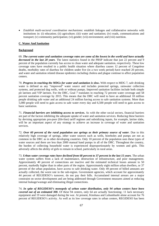• *Establish multi-sectoral coordination mechanisms*: establish linkages and collaborative networks with institutions in: (i) education; (ii) agriculture; (iii) water and sanitation; (iv) roads, communications and transport; (v) community participation; (vi) gender; (vii) environment; and (viii) nutrition.

## **C**. **Water And Sanitation**

## **Background**

69. *The current water and sanitation coverage rates are some of the lowest in the world and have actually decreased in the last 20 years*. The latest statistics found in the PRSP indicate that just 22 percent and 9 percent of the population currently has access to clean water and adequate sanitation, respectively. These low coverage rates have resulted in a public health situation where diarrhea causes 12 percent of Congolese deaths, morbidity rates of diarrhea for children under five (in a two week period) have reached 20 percent, and water and sanitation related disease epidemics including cholera and plague continue to affect population centers.

70. *Progress in reaching the MDGs for water and sanitation is slow***.** With respect to MDG 7, safe drinking water is defined as any "improved" water source and includes protected springs, rainwater collection systems, and protected dug wells, with or without pumps. Improved sanitation facilities include both simple pit latrines and VIP latrines. For the DRC, Goal 7 translates to reaching 72 percent water coverage and 58 percent sanitation coverage by 2015. This means that the DRC will need to have an additional 18 million people drinking safe water and an additional 24 million having access to safe sanitation systems. More than 5,000 people will need to gain access to safe water every day and 6,500 people will need to gain access to basic sanitation.

71. *Financial barriers are inhibiting access to services.* As with the other social sectors, financial barriers are part of the factors inhibiting the adequate uptake of water and sanitation services. Reducing these barriers by devising appropriate pro-poor (life-line) tariff regimes and subsidizing inputs, for example, latrine slabs, will be an important aspect of any strategy to achieve an increase in coverage of water and sanitation services.

72. *Over 60 percent of the rural population use springs as their primary source of water*. Due to this relatively high coverage of springs, other water sources such as wells, boreholes and pumps are not as common in the DRC as in other developing countries. Only 10 percent of the population uses these types of water sources and there are less than 2000 manual hand pumps in all of the DRC. Throughout the country, the burden of collecting household water is experienced disproportionately by women and girls. This adversely affects the ability of girls to remain in school, particularly in rural areas.

73. *Urban water coverage rates have declined from 68 percent to 37 percent in the last 15 years*. The urban water system suffers from a lack of maintenance, destruction of infrastructure, and poor management. Approximately 40 percent of connections are inactive and the estimated technical losses amount to 50 percent, markedly higher than in other parts of the region. Approximately eight million urban dwellers, or 37 percent of the urban population, have access to safe drinking water. Only 49 percent of billed amounts are actually collected, the worst rate in the sub-region. Government agencies, which account for approximately 44 percent of REGIDESO's turnover, do not pay their bills. Accumulated internal arrears are a major constraint on sector development and are being addressed through Government measures aimed at reducing internal leakage/wastage and eliminating illegal connections.

74. *In spite of REGIDESO's monopoly of urban water distribution, only 94 urban centers have been covered out of an estimated 300.* Of these 94 centers, only 64 are actually functioning- 11 lack necessary equipment and 19 were damaged during the war. At present, Kinshasa and Lubumbashi alone account for 76 percent of REGIDESO's activity. As well as its low coverage rates in urban centers, REGIDESO has been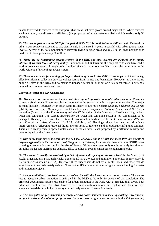unable to extend its services to the vast peri-urban areas that have grown around major cities. Where services are functioning, overall network efficiency (the proportion of urban water supplied which is sold) is only 58 percent.

75. *The urban growth rate in DRC for the period 2005-2010 is predicted to be 4.85 percent*. Demand for urban water sources is expected to rise significantly in the next 3–4 years in parallel with urban growth rates. Over 30 percent of the total population is currently living in urban areas and by 2010 the urban population is predicted to be approximately 30 million.

76. *There are no functioning sewage systems in the DRC and most excreta are disposed of in family latrines of various levels of acceptability*. Lubumbashi and Bukavu are the only cities to ever have had a working sewage system, although both have long since ceased to operate. Kinshasa is the largest city in the world without a functioning sewage system.

77. *There are also no functioning garbage collection systems in the DRC*. In some parts of the country, effective informal collection services collect refuse from homes and businesses. However, as there are no public fill-sites in the DRC and no means to transport refuse in bulk out of cities, most refuse is currently dumped into ravines, roads, and rivers.

### **Growth Potential and Key Constraints**

78. *The water and sanitation sector is constrained by a fragmented administrative structure.* There are currently six different Government bodies involved in the sector through six separate ministries. The major agencies include: REGIDESO for urban water (Ministry of Energy); *Société National d'Hydraulique Rurale* (SNHR) for rural water (Ministry of Rural Development); *Programme National Assainisment* (PNA) for sanitation (Ministry of the Environment) and the  $9<sup>th</sup>$  Direction of the Ministry of Health working in both water and sanitation. The current structure for the water and sanitation sector is too complicated to be managed efficiently. Even with the creation of a coordination body in 1990s, the *Comité National d'Action de l'Eau et de l'Assainissement* (CNAEA) (Ministry of Planning), there has been no significant improvement. Overlapping responsibilities, unclear terms of reference and unproductive infighting continue. There are currently three proposed water codes for the country – each proposed by a different ministry and none accepted by the Government.

79. *Due to the large size of the country, the 17 bases of SNHR and the Kinshasa-based PNA are unable to respond efficiently to the needs of rural Congolese*. In Katanga, for example, there are three SNHR bases covering a geographic area roughly the size of France. Of the three bases, only one is currently functioning, but it has inadequate staffing, no vehicles, office supplies or even the most basic engineering tools.

80. *The sector is heavily constrained by a lack of technical capacity at the rural level.* In the Ministry of Health organizational plan, each Health Zone should have a Water and Sanitation Supervisor (*Supervisuer de L'Eau et d'Assanissement*, SEA). However, these supervisors do not exist in all Zones, and those that do exist have not been adequately trained. None of the SEAs have ever received government funding for water and sanitation projects.

81. *Urban sanitation is the least organized sub-sector with the lowest access rate to services.* The access rate to adequate urban sanitation is estimated in the PRSP to be only 10 percent of the population. The principal government service responsible for urban sanitation is the PNA with a mandate that covers both urban and rural sectors. The PNA, however, is currently only operational in Kinshasa and does not have adequate materials or technical capacity to effectively respond to sanitation needs.

82. *The best potential for increasing coverage of rural water services is to scale-up existing Governmentdesigned, water and sanitation programmes.* Some of these programmes, for example the *Village Assaini*,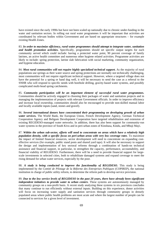have existed since the early 1990s but have not been scaled up nationally due to chronic under-funding in the water and sanitation sectors. In rolling out rural water programmes it will be important that activities are coordinated by relevant bodies within Government and are based on appropriate structures – for example existing Health Zones.

83. *In order to maximize efficiency, rural water programmes should attempt to integrate water, sanitation and health promotion activities.* Specifically, programmes should set specific output targets for each community served which could include: having a protected water point, 90 percent coverage of family latrines, an active health committee and numerous other hygiene related activities. Programme activities are likely to include: spring protection, latrine slab fabrication with social marketing, community organization, and hygiene education.

84. Most rural communities will not require highly specialized technical support. As the majority of rural populations use springs as their water source and spring protections are normally not technically challenging, most communities will not require significant technical support. However, where a targeted village does not have the potential for a spring or hand dug well, it will be necessary to send the case as a referral to the SNHR who will respond to specific needs with borehole drilling, gravity-based water systems, and possibly complicated multi-head spring catchments.

85. *Community participation will be an important element of successful rural water programmes.*  Communities should be actively engaged in choosing their packages of water and sanitation projects and in managing the implementation of projects with relevant Government officials. In order to improve efficiency and increase local ownership, communities should also be encouraged to provide non-skilled manual labor and locally available inputs (sand, stones and gravel).

86. *Several international donors have concentrated their programming on developing growth of urban water services.* The World Bank, the European Union, French Development Agency, German Technical Cooperation Agency and Beligum Development Cooperation have targeted rehabilitation and extension of existing REGIDESO-managed water networks. In addition, there has also been support for community-run water systems in the province of South Kivu and in peri-urban zones of Kinshasa, Kindu, and Mbuji Mayi.

87. *Within the urban sub-sector, efforts will need to concentrate on areas which have a relatively high population density, with a specific focus on peri-urban areas with very low coverage rates*. To maximize the impact of limited financial resources, sector development will need to concentrate on expanding costeffective services (for example, public stand posts and shared yard taps). It will also be necessary to support the design and implementation of key sectoral reforms through a combination of hands-on technical assistance and financial support, in particular, to strengthen the capacity, performance, accountability, and financial viability of REGIDESO. Furthermore, there will be a need to provide financial support for largescale investments in selected cities, both to rehabilitate damaged systems and expand coverage to meet the rising demand for urban water services, especially by the poor.

88. *A study is being conducted to improve the functionality of REGIDESO*. This study is being implemented by the *Comité de Pilotage de la Réforme des Entreprises Publiques* (COPIREP), the national institution in charge of public utility reform, to determine the reform path to develop service provision.

89. *Due to the low service levels of REGIDESO in the past 20 years, there have already been significant independent initiatives to provide water to urban centers*. These systems are autonomously managed by community groups on a non-profit basis. A recent study analyzing these systems in six provinces concludes that many continue to run efficiently without external inputs. Building on this experience, donor activities will focus on increasing water supply and sanitation services through community groups in densely populated areas where public health problems are most acute and where the largest number of people can be connected to services for a given level of investment.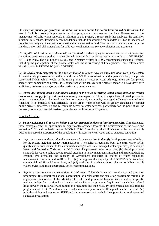90. *External finance for growth in the urban sanitation sector has so far been limited to Kinshasa.* The World Bank is currently implementing a pilot programme that involves the local Government in the management of solid waste removal. In addition to this project, a recent study has analyzed the sanitation situation in Kinshasa. Principle recommendations include transforming the mandate of PNA to become an organization body and the creation of a national urban sanitation fund. The study also details plans for latrine standardization and elaborates plans for solid waste collection and sewage collection and treatment.

91. *Significant institutional reform will be required.* In developing a coherent and efficient water and sanitation sector, recent studies have confirmed the need for significant institutional reform of REGIDESO, SNHR and PNA. The old, but still valid, *Plan Directeur*, written in 1990, recommends substantial reforms, including the participation of the private sector and the restructuring of key agencies. These reforms have already started in REGIDESO (with COPIREP).

92. *An SNHR study suggests that the agency should no longer have an implementation role in the sector.* A recent study proposes reforms that would make SNHR a coordination and supervision body for private sector and NGOs, which would be the main providers of water services. Although there are few private sector water companies at present, it is hoped that within ten years, the private sector will have developed sufficiently to become a major provider, particularly in urban areas.

93. *There has already been a significant change to the rules governing urban water, including freeing urban water supply for private and community management.* These changes have allowed peri-urban projects in three cities to be developed that are completely community- managed, efficiently run and selffinancing. It is anticipated that efficiency in the urban water sector will be greatly enhanced by similar public-private initiatives. To ensure equitable access to water services, particularly for the poor, it will be necessary to reduce financial barriers by implementing life-line tariff systems.

### **Priority Activities**

94. *Donor assistance will focus on helping the Government implement four key strategies.* If implemented, these strategies offer an opportunity to significantly advance towards the achievement of the water and sanitation MDG and the health related MDGs in DRC. Specifically, the following activities would enable DRC to increase the proportion of the population with access to clean water and to adequate sanitation:

- *Improve strategic and operational management in water and sanitation*: (i) develop a roadmap of reform for the sector, including agency reorganization; (ii) establish a regulatory body to control water tariffs, quality and service standards for community managed and state managed water systems; (iii) develop a Water and Sanitation Code for the DRC using the proposed codes as a base; (iv) develop national standards for water quality, paying special attention to heavy metal contamination and mapping/database creation; (v) strengthen the capacity of Government ministries in charge of water regulation, management contracts and tariff policy; (vi) strengthen the capacity of REGIDESO in technical, commercial and financial operations; and (vii) evaluate pilot private sector schemes to deliver potable water services and make appropriate policy recommendations.
- *Expand access to water and sanitation in rural areas*: (i) launch the national rural water and sanitation programme; (ii) support the national coordination of a rural water and sanitation programme through the appropriate directorates of the Ministry of Health and provincial bureaus; (iii) establish a specific national budget for a national rural water and sanitation programme; (iv) formalize technical referral links between the rural water and sanitation programme and the SNHR; (v) implement a national training programme of Health Zone-based water and sanitation supervisors in all targeted health zones; and (vi) provide training and support to SNHR and the private sector in technical support of the rural water and sanitation programme.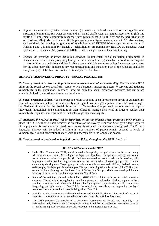- *Expand the coverage of urban water service:* (i) develop a national standard for the organizational structure of community-run water systems and a standard tariff system that targets access for all (life-line tariffs); (ii) implement community-managed water system pilots in South Kivu and the peri-urban areas of Kinshasa, Mbuji Mayi and Kindu; (iii) implement community-run water systems in 20 urban centers; (iv) continue the existing programme of rehabilitation of REGIDESO-managed water systems in Kinshasa and Lubumbashi; (v) launch a rehabilitation programme for REGIDESO-managed water systems in 11 cities; and (vi) provide REGIDESO with management and technical training.
- *Expand the coverage of urban sanitation services*: (i) implement social marketing programmes in Kinshasa and other cities promoting family latrine construction; (ii) establish a solid waste disposal facility in Kinshasa and three additional urban centers which integrate recycling for revenue generation for the urban poor; (iii) implement key recommendations and the action plan of the Kinshasa sanitation study; and (iv) establish a waste-water treatment plant in Kinshasa.

# **III. A KEY TRANSVERSAL PRIORITY – SOCIAL PROTECTION**

95. *Social protection: a means to improve access to services and reduce vulnerability.* The title of the PRSP pillar on the social sectors specifically refers to two objectives: increasing access to services and reducing vulnerability in the population. In effect, these are both key social protection measures that cut across strategies in health, education and water and sanitation.

96. *Social protection defined:* "Social protection refers to actions taken in response to levels of vulnerability, risk and deprivation which are deemed socially unacceptable within a given polity or society". According to the National Strategy for the Social Protection of Vulnerable Groups, such actions seek to support individuals, households and communities in their efforts to manage their risks in order to reduce their vulnerability, regulate their consumption, and achieve greater social equity.

97. *Achieving the MDGs in DRC will be dependent on having effective social protection mechanisms in place.* The DRC will not be able achieve the objectives of the Poverty Reduction Strategy if a large segment of the population is unable to access basic services and is excluded from the benefits of growth. The Poverty Reduction Strategy will be judged a failure if large numbers of people remain exposed to levels of vulnerability, risk and deprivation that are socially unacceptable to the Congolese people.

98. *Social protection is referred to, implicitly and explicitly, throughout the PRSP.* See Box 1

### **Box 1 Social Protection in the PRSP**

- Under Pillar Three of the PRSP, social protection is explicitly recognized as a 'social sector', along with education and health. According to the Paper, the objectives of this policy are to: (i) improve the social status of vulnerable people; (ii) facilitate universal access to basic social services; (iii) implement wealth creation programmes adapted to the situation of target groups; (iv) promote community development. Target groups include vulnerable women and children, disabled people, older people, displaced people and refugees. The approach adopted in this section of the PRSP draws on the National Strategy for the Protection of Vulnerable Groups, which was developed for the Ministry of Social Affairs with the support of the World Bank.
- Some of the activities planned under Pillar 4 (HIV/AIDS) fall into mainstream social protection concerns. These include: strengthening care for orphans and vulnerable children; support to host families of orphans and vulnerable children; the fight against stigmatization and discrimination; integrating the fight against HIV/AIDS in the school and workplace; and improving the legal framework for the protection of people living with HIV/AIDS.
- Social protection is a transversal theme in other parts of the PRSP. The need for social safety nets is identified to ensure universal access to basic services, particularly for health services.
- Independent body inixed to the winnstry of Flaming. It will be responsible for<br>assessing the impact of policies on poverty reduction, and undertaking advocacy. • The PRSP proposes the creation of a Congolese Observatory of Poverty and Inequality - an independent body linked to the Ministry of Planning. It will be responsible for monitoring poverty,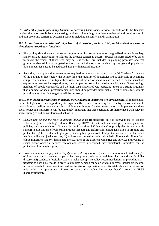99. *Vulnerable people face many barriers to accessing basic social services*. In addition to the financial barriers that poor people face in accessing services, vulnerable groups face a variety of additional economic and non-economic barriers to accessing services including disability and discrimination.

# 100. *In low income countries with high levels of deprivation, such as DRC, social protection measures should have two primary functions:*

- Firstly, they should ensure that sector programming focuses on the most marginalized groups in society, and prioritizes interventions to address the greatest barriers to access. Special measures need to be taken to ensure the voices of those who may be 'less visible' are included in planning processes and that groups receive additional, targeted support, beyond the services received by the general population. Social inequities need to be addressed along with material inequities.
- Secondly, social protection measures are required to reduce catastrophic risk. In DRC, where 71 percent of the population lives below the poverty line, the majority of households are at daily risk of becoming completely destitute. To mitigate these risks, social protection measures are needed to reduce household exposure to catastrophic expenditures, for example the costs of expensive medical care. Given the high numbers of people concerned, and the high costs associated with targeting, there is a strong argument that a number of social protection measures should be provided universally. In other areas, for example providing cash transfers, targeting will be necessary.

101. *Donor assistance will focus on helping the Government implement two key strategies.* If implemented, these strategies offer an opportunity to significantly reduce risk among the country's most vulnerable populations as well as move towards a minimum safety-net for the general poor. In implementing these social protection measures it will be extremely important that these activities are harmonized with relevant sector strategies and humanitarian aid activities.

- *Reduce risk among the most vulnerable populations*: (i) transform ad hoc interventions to support vulnerable groups, including children affected by HIV/AIDS, into national strategies, actions plans and policies, such as the National Strategy for the Protection of Vulnerable Groups; (ii) identify and provide support to associations of vulnerable groups; (iii) pass and enforce appropriate legislation to promote and protect the rights of vulnerable groups; (iv) strengthen specialized child protection services in the social welfare, police and justice sectors; (v) address discrimination against disabled children and children from ethnic minorities; and (vi) harmonize the activities of the different Ministries and services intervening in social protection/social services sectors and revive a reformed Inter-ministerial Committee for the protection of vulnerable groups.
- *Provide a minimum safety-net for highly vulnerable populations*: (i) increase access to selected packages of free basic social services, in particular free primary education and free pharmaceuticals for killer diseases; (ii) conduct a feasibility study to make appropriate policy recommendations on providing cashtransfers to poor households in order to stimulate demand for basic services, increase household income, increase household investment and reduce the risk of deprivation; and (iii) establish a social protection unit within an appropriate ministry to ensure that vulnerable groups benefit from the PRSP disproportionately.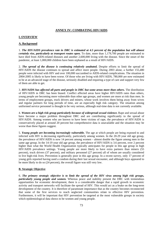## **ANNEX IV: COMBATING HIV/AIDS**

## **I. OVERVIEW**

## **A. Background**

1. *The HIV/AIDS prevalence rate in DRC is estimated at 4.5 percent of the population but will almost certainly rise, particularly as transport routes open.* To date, more than 1,179,700 people are estimated to have died from AIDS-related diseases and another 2,600,000 living with the disease. Since the onset of the pandemic, at least 1,000,000 children have been orphaned as a result of HIV/AIDS.

2. *The spread of the disease is continuing relatively unabated.* Despite efforts to limit the spread of HIV/AIDS the disease continues to spread and affect more people. During 2003 alone, a further 155,480 people were infected with HIV and over 100,000 succumbed to AIDS-related complications. The situation in 2004-2005 is likely to have been worse. Of those who are living with HIV/AIDS, 780,000 are now estimated to be at an advanced stage of the disease, seriously disabled and requiring a type of care and support very few of them are able to get.

3. *HIV/AIDS has affected all parts and people in DRC but some areas more than others.* The distribution of HIV/AIDS in DRC has been biased. Conflict affected areas have higher HIV/AIDS rates than others, young people are becoming more vulnerable than other age groups, and women are more at risk than men. In terms of employment groups, truck drivers and miners, whose work involves them being away from wives and regular partners for long periods of time, are an especially high risk category. The situation among uniformed service personnel is thought to be very serious, although real-time data is not currently available.

4. *Women are a high risk group particularly because of widespread sexual violence.* Rape and sexual abuse have become a major problem throughout DRC and are contributing significantly to the spread of HIV/AIDS. Among women who are known to have been victims of rape, the prevalence of HIV/AIDS is conservatively placed at around 20 percent but comprehensive data is unavailable and the situation may be worse than these figures suggest.

5. *Young people are becoming increasingly vulnerable.* The age at which people are being exposed to and infected with HIV is decreasing significantly, particularly among women. In the 20-29 year old age group, the prevalence of HIV/AIDS is now 14 percent among women – almost double the figure among men in the same age group. In the 14-19 year old age group, the prevalence of HIV/AIDS is 3.6 percent, over 2 percent higher than what the World Health Organization typically anticipates for people in this age group in high HIV/AIDS prevalence settings. Young people are more likely to have extra partners than miners (55 percent), truck drivers (37 percent), and military personnel (27 percent) all of whom are usually considered to live high-risk lives. Prevention is generally poor in this age group. In a recent survey, only 17 percent of young girls reported having used a condom during their last sexual encounter, and although boys appeared to be more likely to do so (24 percent), the overall figure was still very low.

#### **B. Strategic Objective**

6. *The primary strategic objective is to limit the spread of the HIV virus among high risk groups, particularly young people and women.* Whereas peace and stability present the DRC with tremendous opportunities for economic development, there is a considerable danger that a rapid growth in economic activity and transport networks will facilitate the spread of HIV. This would act as a brake on the long-term development of the country. It is therefore of paramount importance that as the country becomes reconnected that some of the first services to reach neglected communities relate to effective HIV prevention. Furthermore, it will be important that HIV prevention be targeted at the most vulnerable groups in society which epidemiological data shows to be women and young people.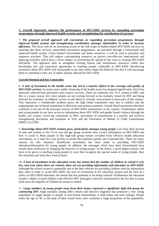## **C. Overall Approach: Improve the performance of HIV/AIDS services by expanding prevention programmes through improved health systems and strengthening the coordination of partners**

7. *The proposed overall approach will concentrate on expanding prevention programmes through improved health systems and strengthening coordination amongst stakeholders in order to increase efficiency.* The focus will be on increasing access to the full scope of health-related HIV/AIDS services by ensuring that these services, particularly prevention programmes, are provided through a restructured and improved health system. Given limited Government and donor resources, it will be vital to prioritize and sequence activities. This will require concentrating resources on proven cost-effective interventions and delaying activities which have a lower impact on preventing the spread of the virus or treating HIV/AIDS efficiently. The approach aims to strengthen existing human and institutional resources, while also developing new and innovative approaches to reaching people vulnerable to HIV/AIDS. Reinforcing awareness about HIV/AIDS will lead people to not only reduce high-risk behavior but also it will encourage them to contribute to the care of others already affected by HIV/AIDS.

## **Growth Potential and Key Constraints**

8. *A lack of investment in the health sector has led to a massive deficit in the coverage and quality of HIV/AIDS services.* In recent years, public financing of the health sector has dropped significantly which has adversely affected both preventive and curative services. There are relatively few VCT centers in DRC and this is a major reason why more people are not coming forward to be routinely tested for HIV and being referred for treatment. In addition, access to safe blood is virtually non-existent in most parts of the country. This represents a considerable problem given the high blood transfusion rates due to conflict and the inappropriate use of blood transfusion in deliveries and malaria treatment. Unsafe blood transfusion therefore continues to be one of the principal sources of HIV/AIDS transmission in the country. Furthermore, adults and young people do not have access to information about HIV/AIDS and gender based violence through the health care system. Given the constraints in DRC, prevention of transmission is a priority and involves strengthening prevention and treatment of STIs and the Prevention of Mother to Child Transmission (PMTCT) of HIV.

9. *Knowledge about HIV/AIDS remains poor, particularly amongst young people.* Less than three percent of men and women in the 15-24 year old age group currently have correct information on HIV/AIDS and how to avoid it. Most people in this high-risk group remain excluded from effective health education information, so it must be a top priority to tackle this problem quickly and systematically. There are many reasons for this situation. Insufficient investment has been made in providing HIV/AIDS education/information for young people. In addition, the messages which have been disseminated have clearly been ineffective in changing the behavior of young people. In the future, a much higher priority will have to be given to reaching young people in ways that recognize the special needs of young people, their life situations and what they need to know.

10. *A lack of investment in the education sector has meant that the number of children in school is very low, and even where there are schools, these are not providing information and education on HIV/AIDS.* Although the school system is potentially one of the best vehicles for providing children with the information they need in order to avoid HIV/AIDS, the lack of investment in the education system and the lack of a policy on HIV/AIDS education, has meant that this potential is not being realized. Furthermore the education system's ability to reach children with effective HIV messages is heavily constrained by the fact that in many rural areas the majority of children do not go to school.

11. *Large numbers of young people away from their homes represent a significant high-risk group for contracting HIV.* High mortality among older cohorts and selective migration has produced a very young population of single people or people in non-formal relationships in both urban and rural settings. People under the age of 30, at the peak of their sexual lives, now constitute a large proportion of the population.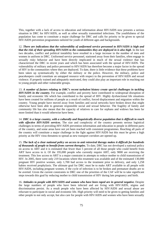This, together with a lack of access to education and information about HIV/AIDS now presents a serious situation in DRC for HIV/AIDS, as well as other sexually transmitted infections. The youthfulness of the population has come to constitute a major challenge for DRC and calls for priority to be given to special HIV/AIDS prevention programmes tailored for youth of different ages and backgrounds.

12. *There are indications that the vulnerability of uniformed service personnel to HIV/AIDS is high and that the risk of their spreading HIV/AIDS to the communities they are deployed in is also high*. In the last two decades, conflict and political instability have resulted in a large increase in the number of men and women in uniform in DRC. Uniformed service personnel, stationed away from their families, often engage in sexually risky behavior and have been directly implicated in much of the sexual violence that has characterized the DRC in recent years and which has been associated with the spread of HIV/AIDS. The vulnerability of military and police personnel to HIV/AIDS has therefore become a major factor in the spread of HIV in the communities where they are deployed. To date, there is little evidence that these problems have been taken up systematically by either the military or the police. However, the military, police and peacekeepers could constitute an untapped resource with respect to the prevention of HIV/AIDS and sexual violence. If properly trained and adequately motivated, they could also play an important role in reaching out to young people and other vulnerable groups.

13. *A number of factors relating to DRC's recent turbulent history create special challenges in tackling HIV/AIDS in the country.* For example, conflict and poverty have contributed to widespread disruption of family and economic life which has contributed to the spread of HIV. Highly dysfunctional life situations have been created for millions of people as a result of conflict, forced displacement and migration within the country. Young people have moved away from families and social networks have broken down that might otherwise have been able to generate responsible social and sexual behavior. The fragility of family and community life has also meant that the capacity of relatives to care for orphans and widows has been far more limited than it would otherwise have been.

14. *DRC is a large country, with a culturally and linguistically diverse population that is difficult to reach*  with effective HIV/AIDS services. The size and complexity of the country presents serious logistical challenges in terms of providing HIV/AIDS prevention information and education to people in different parts of the country, and some areas have not yet been reached with consistent programmes. Reaching all parts of the country will constitute a major challenge in the fight against HIV/AIDS but this must be given a high priority as the HIV virus threatens to spread as new transport corridors are opened up.

15. *The lack of a clear national policy on access to anti retroviral therapy makes it difficult for hundreds of thousands of people to benefit from current therapies.* To date, DRC has not developed a national policy on access to ART and it is estimated that fewer than 5 percent of all those people who could benefit from ART have access to it. Of the 195,000 people who currently require ART, only 9000 are receiving the treatment. This low access to ART is a major constraint in attempts to reduce mother to child transmission of HIV. In 2005, there were only 219 locations where this treatment was available and of the estimated 130,000 pregnant HIV positive women, only 1,700 had access to the treatment prior to delivery, and only 1,258 babies received prophylaxis. The ultimate goal for DRC must be to make ART available to all people with HIV/AIDS, including pregnant women, if the cycle of infection is to be broken and premature deaths are to be averted. Given the current constraints in DRC one of the priorities of the CAF will be to take significant steps towards this goal by reducing mother to child transmission of HIV during late pregnancy and birth.

16. *Attitudes to people with HIV/AIDS and women who have been raped are in general negative.* Despite the large numbers of people who have been infected and are living with HIV/AIDS, stigma and discrimination persist. As a result people who have been affected by HIV/AIDS and sexual abuse are reluctant to participate in social and economic life. High priority will need to be given to getting families and other people to not only accept, but also care for people with HIV/AIDS and women who have been sexually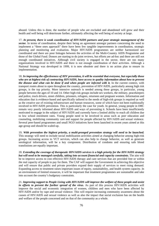abused. Unless this is done, the number of people who are excluded and abandoned will grow and their health and well being will deteriorate further, ultimately affecting the well being of society at large.

17. *At present, there is weak coordination of HIV/AIDS partners and poor strategic management of the sector*. In terms of coordination, despite their being an agreement amongst partners concerning the need to implement a "three ones approach" there have been few tangible improvements in coordination, strategic planning and monitoring and evaluation. Major HIV/AIDS programmes are neither harmonized nor coordinated and there are poor linkages between the activities of the Multi-Country AIDS Programme and those of the Global Fund. Donors are starting to do joint reviews, but efforts are ad-hoc and there are still not enough coordinated initiatives. Although civil society is engaged in the sector, there are too many organizations involved in HIV/AIDS and there is not enough coordination of their activities. Although a National Strategy was developed in 1999, it is now obsolete and there is no action plan to ensure its implementation.

18. *In improving the effectiveness of HIV prevention, it will be essential that everyone, but especially those who are at highest risk of contracting HIV/AIDS, have access to quality information about how to prevent the disease and what can be done if and when people are infected with it.* In the current context, with transport routes about to open throughout the country, prevention of HIV/AIDS, particularly among high risk groups, is the top priority. More intensive outreach is needed among these groups, in particular, young people between the ages of 10 and 14. Other high-risk groups include sex workers, the military, peacekeepers and police, truck drivers, street children, prisoners, refugees, returnees and pregnant women. Information and education that is evidence-based and specifically tailored to the needs of high-risk groups is required as well as the creative use of existing infrastructure and human resources, some of which have not been traditionally involved in HIV/AIDS prevention. This is particularly the case for youth. In general, young people in DRC remain very poorly informed about HIV/AIDS and ways of preventing it. Schools have been insufficiently motivated to engage in the subject of HIV/AIDS and currently have a limited ability to reach all children due to low school enrolment rates. Young people need to be involved in areas such as peer education and counseling, mobilizing community care and support for people affected by HIV/AIDS and sexual violence. Several peer-based programmes and small NGO initiatives have been launched in recent years aimed at this age-group and should be scaled-up.

19. *With prevention the highest priority, a multi-pronged prevention strategy will need to be launched.* This strategy will need to include social mobilization activities aimed at changing behavior among high-risk groups. Increasing access to VCT services, which can also help to change behavior, as well as generate serological information, will be a key component. Distribution of condoms and ensuring safe blood transfusions are equally important.

20. *Extending the coverage of therapeutic HIV/AIDS services is a high priority for the HIV/AIDS strategy but will need to be managed carefully, taking into account financial and capacity constraints.* The aim will be to improve access to cost effective HIV/AIDS therapy and care services that are provided free or within the real capacity of people to pay for them. The CAF will support the Government in achieving this objective and will ensure that public and private providers expand their supply of services to meet rising demand. Expanding access to treatment raises important issues of equity, sustainability, and health system capacity. In an environment of limited resources, it will be important that treatment programmes are sustainable and take into account the country's budgetary constraints.

21. *Improving support to People Living with HIV/AIDS will improve the welfare of these people and assist in efforts to prevent the further spread of the virus.* As part of this process HIV/AIDS activities will improve the social and economic integration of women, children and men who have been affected by HIV/AIDS and/or by rape and sexual violence. This will require increasing community awareness about the causes of HIV/AIDS and sexual violence as well as also the impact that social exclusion has on the health and welfare of the people concerned and on that of the community as a whole.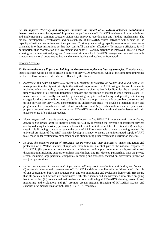22. *To improve efficiency and therefore maximize the impact of HIV/AIDS activities, coordination between partners must be improved.* Improving the performance of HIV/AIDS services will require defining and implementing a common strategic vision with improved coordination and funding mechanisms. The rational development, effectiveness and sustainability of HIV/AIDS-related activities will depend on the capacity of national institutions and their partners. To strengthen existing capacity resources will need to be channeled into these institutions so that they can fulfill their roles effectively. To increase efficiency it will be important that coordination of Government and donor HIV/AIDS activities is improved. This will mean adhering to the internationally agreed "three ones" structure for HIV/AIDS management: one national aids strategy, one national coordinating body and one monitoring and evaluation framework.

#### **Priority Activities**

23. *Donor assistance will focus on helping the Government implement four key strategies.* If implemented, these strategies would go far to create a culture of HIV/AIDS prevention, while at the same time improving the lives of those who have already been affected by the disease:

- *Accelerate and scale up HIV/AIDS prevention, focusing particularly on women and young people*: (i) make prevention the highest priority in the national response to HIV/AIDS, using all forms of the media including television, radio, papers, etc.; (ii) improve services at health facilities for the diagnosis and timely treatment of all sexually transmitted diseases and prevention of mother-to-child transmission; (iii) make condoms universally accessible by increasing supplies and reducing and possibly eliminating charges for these commodities, particularly for high-risk groups; (iv) provide accessible counseling and testing services for HIV/AIDS, concentrating on underserved areas; (v) develop a national policy and programme for comprehensive safe blood transfusion; and (vi) reach children over ten years with properly designed sensitization materials on HIV/AIDS, reproductive health and gender issues and train teachers to use life-skills approaches.
- *Move progressively towards providing universal access to free HIV/AIDS treatment and care, including access to life-saving ART*: (i) improve access to ART by increasing the coverage of treatment services and by reducing the barriers, particularly financial, which inhibit the uptake of treatment; (ii) develop a sustainable financing strategy to reduce the costs of ART treatment with a view to moving towards the universal provision of free ART; and (iii) develop a strategy to ensure the uninterrupted supply of ART to all those under treatment by strengthening and streamlining procurement and distribution logistics.
- *Mitigate the negative impact of HIV/AIDS on PLWHAs and their families*: (i) make mitigation and protection of PLWHAs, victims of rape and their families a central part of the national response to HIV/AIDS; (ii) produce an evidence-based multi-sector action plan to minimize stigmatization and discrimination, including support to orphans and children; and (iii) develop partnerships with the private sector, including large parastatal companies in mining and transport, focused on prevention, protection and job opportunities.
- *Define and implement a common strategic vision with improved coordination and funding mechanisms*: (i) ensure that the strategic management of HIV/AIDS activities complies with the "three ones" principle of one coordination body, one strategic plan and one monitoring and evaluation framework; (ii) ensure that all policies and actions are coordinated with other sectors and mainstreamed into other on-going health activities; (iii) create a national mechanism for coordinating all HIV/AIDS planning, research, and monitoring and evaluation; and (iv) promote greater national financing of HIV/AIDS actions and establish new mechanisms for mobilizing HIV/AIDS resources.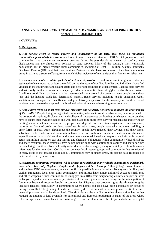## **ANNEX V: REINFORCING COMMUNITY DYNAMICS AND STABILISING HIGHLY VOLATILE COMMUNITIES**

#### **I. OVERVIEW**

#### **A. Background**

1. *Any serious effort to reduce poverty and vulnerability in the DRC must focus on rebuilding communities, particularly in rural areas.* Home to more than seven-tenths of DRC's total population, rural communities have come under enormous pressure during the past decade as a result of conflict, mass displacement and the almost total collapse of state services. Many of the country's most vulnerable populations live in highly volatile rural communities, including at least 1.1 million destitute Internally Displaced Persons (IDP) and their host families. Pastoralists who have lost access to their land are another group in extreme distress suffering from a much higher incidence of malnutrition than farmers or fishermen.

2. *Urban centers also contain pockets of extreme deprivation.* Rural to urban immigration rates are estimated to have increased at least three-fold during the years of conflict. Families and individuals have fled violence in the countryside and sought safety and better opportunities in urban centers. Lacking state services and with only limited administrative capacity, urban communities have struggled to absorb new arrivals. Conditions are difficult, particularly in the overcrowded slums around city centers – many people are without jobs and the housing stock has deteriorated sharply. Basic services including health, education, water, sanitation and transport, are insufficient and prohibitively expensive for the majority of families. Social tensions have increased and sporadic outbreaks of urban violence are becoming more common.

3. *People have relied on short-term survival strategies and solidarity networks to mitigate the worst impact of the conflict.* People living in neglected communities, whether in rural or urban areas, have responded to the constant disruptions, displacements and collapse of state-services by drawing on whatever resources they have to secure their own livelihoods and well-being, adopting short-term survival mechanisms and relying on existing social structures. In rural areas, people have depended on subsistence agriculture, in many cases, returning to forms of production long out-of-use. In urban areas, people have taken up street peddling or other forms of petty-trade. Throughout the country, people have reduced their savings, sold their assets, substituted wild foods for nutritious alternatives, relied on traditional medicines, cut-back or eliminated expenditures on vital social services and sometimes developed illegal and exploitative links with regional actors and militia. Based on existing kinship and clientalist obligations within communities which distribute and share resources, these strategies have helped people cope with continuing instability and sharp declines in their living conditions. New solidarity networks have also emerged, many of which provide rudimentary safety-nets for their members. Collaboration between local interest groups and communities has contributed in many areas to the broader public good. Communities may be under stress, but people have responded to their problems in dynamic ways.

4. *Harnessing community dynamism will be critical for stabilizing many volatile communities, particularly those where Internally Displaced Peoples and refugees will be returning.* Although large areas of eastern and southern DRC are now secure, renewed conflict is possible in many locations. New types of military and civilian strongmen, local elites, army commanders and militias have almost unlimited access to small arms and other weapons, which continue to be smuggled into DRC from neighboring countries despite an arms embargo. Unpaid soldiers are major perpetrators of human rights abuses and delays in the reintegration of former combatants threaten to destabilize communities. Disputes over property rights also threaten to ignite localized tensions, particularly in communities where homes and land have been confiscated or occupied during the conflict. The granting of land concessions by different authorities has complicated restitution since ownership cannot easily be determined. The shift during the conflict to mineral extraction has further reduced the amount of land available for agricultural and livestock production in many of the areas where IDPs, refugees and ex-combatants are returning. Urban unrest is also a threat, particularly in the capital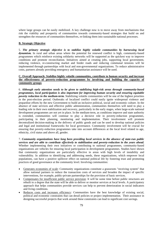where large groups can be easily mobilized. A key challenge now is to move away from mechanisms that risk the viability and prosperity of communities towards community-based strategies that build on and strengthen the resources of communities themselves, re-linking them into sustainable national processes.

## **B. Strategic Objective**

5*. The primary strategic objective is to stabilize highly volatile communities by harnessing local dynamism.* In rural and urban areas where the potential for renewed conflict is high, community-based programmes which reinforce existing solidarity networks will be supported as the quickest way to improve conditions and promote reconciliation. Initiatives aimed at creating jobs, supporting local government, reducing violence, re-constructing market and feeder roads and reducing communal tensions will be implemented through partnerships with local and non-governmental organizations. To reduce administrative costs, partners already providing emergency and humanitarian assistance will be used.

## **C. Overall Approach: Stabilize highly volatile communities, contribute to human security and increase the effectiveness of poverty-reduction programmes by involving and building the capacity of community groups**

6. *Although early attention needs to be given to stabilizing high-risk areas through community-based programmes, local participation is also important for improving human security and ensuring equitable poverty reduction in the medium-term.* Stabilizing volatile communities will be one of the highest priorities in the post-election period. Outbreaks of localized conflict could easily ignite widespread violence and jeopardize efforts by the new Government to build an inclusive political, social and economic culture. In the absence of state services and effective public administration, communities themselves will need to play a leading role in their own stabilization and recovery, particularly in the early stages, when large-scale national development programmes are not yet in place. In the medium-term, as conditions improve and state authority is extended, communities will continue to play a decisive role in poverty-reduction programmes, participating in their planning, monitoring and implementation. Their involvement will promote decentralized decision-making in the delivery of public goods and can be used to develop national policies and legal and institutional frameworks for local governance. Community involvement will be crucial for ensuring that poverty-reduction programmes take into account differences at the local level related to age, ethnicity, civil status and above all, gender.

7. *Community organizations have long been providing local services in the absence of state-run public services and are able to contribute effectively to stabilization and poverty-reduction in the years ahead.*  Whether implementing their own initiatives or contributing to national programmes, community-based organizations are vehicles for ensuring local participation in development programmes. Studies have shown that community organizations are particularly effective in areas with high levels of instability and vulnerability. In addition to identifying and addressing needs, these organizations, which empower local populations, can have a positive spillover effect on national political life by fostering trust and promoting practices of good governance at the community level. Involving communities:

- Generates economies of scale: Community organizations constitute a grassroots "receiving system" that allow national partners to reduce the transaction costs of services and broaden the impact of specific interventions, for example, public-private partnerships for the provision of basic services.
- Compensates for insufficient public service provision: It will be some time before public structures are rebuilt to a degree that the state will be able to deliver or monitor services at local levels. A participatory approach that helps communities provide services can help to prevent deterioration in social indicators and living conditions.
- Reduces costs and increases efficiency: Communities have the best knowledge of existing social, political and economic constraints that can derail policies or project implementation. Their assistance in designing successful projects that work around these constraints can lead to significant cost savings.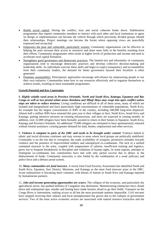- Builds social capital: During the conflict, trust and social cohesion broke down. Stabilization programmes that require community members to interact with each other and local institutions to agree on design or implementation can become the vehicle through which previously divided groups rebuild their relationships. Project meetings can become the forum where opposing views are peacefully expressed and reconciled.
- Empowers the poor and vulnerable, particularly women: Community organizations can be effective in helping the poor increase their access to resources and share more fully in the benefits resulting from their efforts. Community programmes often result in higher levels of production and income and tend to accelerate rural capital formation.
- Strengthens good governance and democratic practices: The limited size and informality of community organizations tend to encourage democratic practices and develop collective decision-making and leadership skills. As individuals exercise these skills and begin to expect transparency and accountability from their community leaders, the demand for better governance beyond their localities is often generated.
- Promotes sustainability: Participatory approaches encourage self-reliance by empowering people to use their own initiative. Communities learn how to use resources effectively and to organize themselves to achieve results, resulting in more sustainable programmes.

#### **Growth Potential and Key Constraints**

8. *Highly volatile rural areas in Province Orientale, North and South Kivu, Katanga, Equateur and Bas Congo as well as two pivotal urban areas–Kinshasa and Mbuji Mayi–may erupt into open conflict unless steps are taken to reduce tensions.* Living conditions are difficult in all of these areas, many of which are isolated and marginalized and have particularly high concentrations of vulnerable populations. North Kivu, for example has the largest concentration of IDPs in the country, including 500,000 long-term displaced. Almost half a million IDPs have returned this past year to their villages in Ituri, North Kivu, South Kivu and Katanga, putting intensive pressure on existing infrastructure, and more are expected in coming months. In addition, over 22,000 refugees have been formally assisted to return to their homes in Equateur, South Kivu, Katanga and Province Orientale. An additional 73,000 refugees are estimated to have spontaneously returned without formal assistance, creating greater demand for land, homes, employment and other services.

9. *Violence is rampant in parts of the DRC and needs to be brought under control.* Violence linked to ethnic and social divisions continues and may worsen in areas where local groups are politically mobilized. Criminality is on the rise due to corruption, the ready availability of weapons, permissive attitudes towards violence and the presence of impoverished soldiers and unemployed ex-combatants. The lack of a unified command structure in the army, coupled with nonpayment of salaries, insufficient training and logistics, gives rise to frequent breakdowns in discipline and violations of human rights. In some regions, attempts to reintegrate ex-combatants into communities have met with only partial success due to delays in the disbursement of funds. Community insecurity is also fueled by the combination of a weak judiciary and police force and a defunct penal system.

10. *Many communities are food insecure.* A recent Joint Food Security Assessment has identified North and South Kivu, Equateur, Ituri District, Maniema, and Katanga as the most food insecure areas in the DRC. Acute malnutrition is becoming more common, with threats of famine in South Kivu and Katanga reported by humanitarian partners.

11. *Jobs and income-generating opportunities are scarce.* The collapse of the economy, and particularly the agricultural sector, has pushed millions of Congolese into destitution. Manufacturing enterprises have closed down and widespread rape, murder and looting have made farmers afraid to go their fields. Transport on the Congo River is intermittent, making access to all but the most proximate markets impossible. Civil servants have stopped receiving their salaries and local unemployment has grown due to the collapse of government services. Two of the most active economic sectors are associated with natural resource extraction and the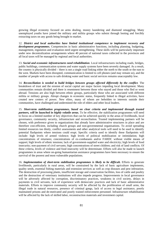growing illegal economy focused on arms dealing, money laundering and diamond smuggling. Many unemployed youths have joined the military and militia groups who subsist through looting and forcibly extracting taxes on any goods being brought to market.

12. *District and local authorities have limited institutional competence to implement recovery and development programmes.* Competencies in basic administrative functions, including planning, budgeting, management, regulation and evaluation need urgent strengthening. These skills will be particularly important under new decentralization arrangements where 40 percent of national taxes collected in the provinces and all local taxes will be managed by regional and local authorities.

13. *Social and economic infrastructures need rehabilitation*. Local infrastructures including roads, bridges, public buildings, communication systems and water supply systems have been severely damaged. As a result, the country is physically divided – there is not a single road linking either the north to the south or the east to the west. Markets have been disrupted, communication is limited to cell phones (and may remain so), and the number of people with access to safe drinking water and basic social services remains unacceptably low.

14. *Reconciliation is needed to build bridges between groups affected differently by the conflict.* The breakdown of trust and the erosion of social capital are major factors impeding local development. Many communities remain divided and there is resentment between those who stayed and those who fled or went abroad. Tensions are also high between ethnic groups, particularly those who are associated with different militia or military groups. Abrupt changes in economic status, frequently linked to illegal activities, have created new centers of power. New elites, many of whom are beholden to interests outside their communities, have challenged and undermined the role of elders and other local leaders.

15. *Short-term stabilization programmes, based on clear criteria and implemented through trusted partners, will be launched in highly volatile areas.* To be effective, the stabilization programmes will need to focus on a limited number of key objectives that can be achieved quickly in the areas of livelihoods, local governance, community security, infrastructure and reconciliation. Trusted implementing partners will be chosen, with preference given to organizations that already have administrative structures in place and are therefore cost-efficient, including church groups and non-governmental organisations. To avoid spreading limited resources too thinly, conflict assessments and other analytical tools will need to be used to identify potential flashpoints where tensions could erupt. Specific criteria used to identify these flashpoints will include: high levels of armed violence; high levels of political mobilization or intimidation; high concentrations of returnees; concentrations of ex-combatants and/or FARDC without visible means of support; high levels of ethnic tensions; lack of government-supplied water and electricity; high levels of food insecurity; non-payment of civil servants; high concentrations of street children; and risk of land conflicts. Of these criteria, levels of violence and food insecurity will be determinate. Efforts will also be made to launch programmes in areas where on-going humanitarian assistance programmes have been necessary to ensure the survival of the poorest and most vulnerable populations.

16. *Implementation of short-term stabilization programmes is likely to be difficult.* Efforts to generate livelihoods, particularly in rural areas, will be constrained by the lack of basic agriculture implements, quality seeds, essential fishing materials and extension services as well as crop diseases and pest infestation. The destruction of processing plants, insufficient storage and conservation facilities, loss of cattle and poultry and the destruction of veterinary institutions will also impede progress. Improvements in local governance will be adversely affected by corruption, discriminatory practices, weakness in civil society, delays in payments to civil servants, lack of experience with democratic practices and lack of basic administrative materials. Efforts to improve community security will be affected by the proliferation of small arms, the illegal trade in natural resources, presence of criminal gangs, lack of access to legal assistance, poorly maintained prisons and de-motivated and poorly trained enforcement personnel. Infrastructure rehabilitation will be affected by the lack of skilled labor, reconstruction materials and investment capital.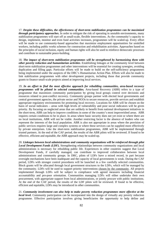17. *Despite these difficulties, the effectiveness of short-term stabilization programmes can be maximized through participatory approaches.* In order to mitigate the risk of operating in unstable environments, many stabilization programmes will start off as small-scale, flexible interventions. As the community's capacity to design, implement, monitor and even fund activities increases, programmes will be scaled-up. Every effort will be made to use community-based approaches that maximize employment opportunities for unskilled workers, including public works schemes for construction and rehabilitation activities. Approaches based on the principles of social inclusion, equity and human rights will also be used to reinforce democratic processes and contribute to sustainable peace-building.

18. *The impact of short-term stabilization programmes will be strengthened by harmonizing them with other poverty reduction and humanitarian activities*. Establishing linkages at the community level between short-term stabilization programmes and other interventions will be essential for creating synergies, avoiding duplication and filling gaps. Particular efforts will be made to build on the self-sufficiency programmes being implemented under the auspices of the DRC's Humanitarian Action Plan. Efforts will also be made to link stabilization programmes with other development projects, including those that provide community grants to finance small-scale projects aimed at improving local services.

19. *In an effort to find the most effective approach for rebuilding communities, area-based recovery programmes will be piloted in selected communities.* Area-based Recovery (ABR) refers to a type of programme that maximizes community participation by giving local groups control over decisions and resources related to post-conflict recovery. Community groups partner with elected local governments and central government agencies, the private sector and NGOs to secure resources, provide services and establish appropriate regulatory environments for promoting local recovery. Locations for ABR will be chosen on the basis of social indicators – areas with high levels of vulnerability and poor social indicators will be given priority. By focusing on neglected areas that are unlikely to benefit from national development initiatives in the short-term, ABR can help to improve conditions in some of the country's most impoverished areas. ABR requires certain conditions to be in place. In areas where basic security does not yet exist or where there are no local institutions, ABR will not be viable. Another restricting factor is the absence of leaders who can represent the interests of the local population. ABR is also not appropriate in areas where the provision of public services requires large and complex systems or where these services can be supplied more effectively by private enterprises. Like the short-term stabilization programmes, ABR will be implemented through trusted partners. At the end of the CAF period, the results of the ABR pilots will be reviewed. If found to be effective, efficient and equitable, the ABR approach may be scaled-up.

20. *Linkages between local administrations and community organizations will be reinforced through pilot Local Development Funds (LDF).* Strengthening relationships between community organizations and local administrations is necessary for rebuilding public life. Experiences in other countries suggest that Local Development Funds, if carefully managed, can contribute to improved collaboration between local administrations and community groups. In DRC, pilots of LDFs have a mixed record, in part because oversight mechanisms have been inadequate and the capacity of local governments is weak. During the CAF period, LDFs with stronger control procedures will be launched in a few carefully selected communities. Block grants will be allocated through local government structures to the LDFs, which will be managed by the community. LDFs will be used to support priority interventions chosen by the community. All projects implemented through LDFs will be subject to compliance with agreed measures including financial accountability and pro-poor orientation. Communities managing LDFs will either undertake their own procurement, with appropriate support from local administrations, or jointly procure with public institutions. At the end of the CAF period, the results of the LDF pilots will be reviewed. If found to be effective, efficient and equitable, LDFs may be introduced in other communities.

21. *Community involvement can also help to make poverty reduction programmes more effective at the local level.* Community participation can be incorporated into the design of virtually any poverty reduction programme. Effective participation involves giving beneficiaries the opportunity to help define and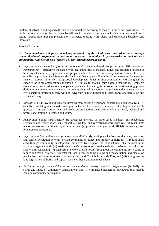implement activities and organize themselves around these according to their own needs and possibilities. To do this, executing authorities and agencies will need to establish mechanisms for involving communities in setting targets, fine-tuning implementation strategies, drafting work plans, and developing baselines and indicators.

## **Priority Activities**

22. *Donor assistance will focus on helping to rebuild highly volatile rural and urban areas through community-based programmes as well as on involving communities in poverty-reduction and recovery programmes. Activities in each location will vary but will generally aim to:* 

- *Improve delivery capacity of state institutions and community-based groups and pilot ABR in selected communities:* (i) strengthen the capacity of local authorities to manage, budget and regulate provision of basic social services; (ii) promote strategic partnerships between civil society and local authorities; (iii) establish appropriate legal frameworks for Local Development Funds including measures for ensuring financial accountability; (iv) set-up Local Development Funds in pilot communities; (v) strengthen the capacity of local organizations including NGOs, youth groups, faith-based organizations, women's associations, media, educational groups, and peace and human rights networks on priority-setting, project design, procurement, implementation and monitoring and evaluation; and (vi) strengthen the capacity of civil society in protection, early warning, advocacy, public information, social cohesion, facilitation and service delivery.
- *Increase job and livelihood opportunities*: (i) map existing livelihood opportunities and resources; (ii) establish revolving micro-credit and grant schemes for women, youth and other highly vulnerable groups; (iii) support cooperatives and producers associations; and (vi) provide vocational, technical and professional training to women and youth.
- *Rehabilitate public infrastructure*: (i) encourage the use of labor-based methods; (ii) rehabilitate secondary and feeder roads; (iii) rehabilitate welfare and recreational infrastructures (iv) rehabilitate market centers and traditional supply sources; and (v) provide training to local officials on oversight and procurement procedures.
- *Improve security conditions and promote reconciliation:* (i) develop mechanisms for dialogue, mediation and conflict resolution between civilian communities, police and military authorities; (ii) reduce small arms through community development initiatives; (iii) support the establishment of a national mine action management body (iv) establish women's networks and provide training to selected individuals on rape-victim counseling; (v) establish a network of safe-houses throughout the community for victims of family and sexual violence; (vi) establish local peace-building groups and reconciliation and mediation mechanisms including *Initiatives Locaux de Paix* and *Comités Locaux de Paix*; and (vii) strengthen the land registration authority and support local conflict arbitration mechanisms
- *Facilitate the effective participation of communities in poverty reduction programmes*: (i) clarify the status and rights of community organizations; and (ii) eliminate bureaucratic procedures that impede genuine community participation.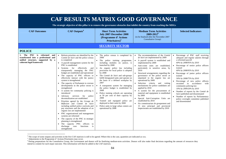| CAF RESULTS MATRIX GOOD GOVERNANCE<br>The strategic objective of this pillar is to remove the governance obstacles that inhibit the country from reaching the MDGs |                                                                                                                                                                                                                                                                                                                                                                                                                                                                                                                                                                                                                                                                                                                                                                                                                                                                                                                                                                                                                                                              |                                                                                                                                                                                                                                                                                                                                                                                                                                                                                                                                                                                                                                                                                                       |                                                                                                                                                                                                                                                                                                                                                                                                                                                                                                                                                                                                                                                                                                                                                                                           |                                                                                                                                                                                                                                                                                                                                                                                                                                                                                                                                                                                                                                                      |  |  |  |
|--------------------------------------------------------------------------------------------------------------------------------------------------------------------|--------------------------------------------------------------------------------------------------------------------------------------------------------------------------------------------------------------------------------------------------------------------------------------------------------------------------------------------------------------------------------------------------------------------------------------------------------------------------------------------------------------------------------------------------------------------------------------------------------------------------------------------------------------------------------------------------------------------------------------------------------------------------------------------------------------------------------------------------------------------------------------------------------------------------------------------------------------------------------------------------------------------------------------------------------------|-------------------------------------------------------------------------------------------------------------------------------------------------------------------------------------------------------------------------------------------------------------------------------------------------------------------------------------------------------------------------------------------------------------------------------------------------------------------------------------------------------------------------------------------------------------------------------------------------------------------------------------------------------------------------------------------------------|-------------------------------------------------------------------------------------------------------------------------------------------------------------------------------------------------------------------------------------------------------------------------------------------------------------------------------------------------------------------------------------------------------------------------------------------------------------------------------------------------------------------------------------------------------------------------------------------------------------------------------------------------------------------------------------------------------------------------------------------------------------------------------------------|------------------------------------------------------------------------------------------------------------------------------------------------------------------------------------------------------------------------------------------------------------------------------------------------------------------------------------------------------------------------------------------------------------------------------------------------------------------------------------------------------------------------------------------------------------------------------------------------------------------------------------------------------|--|--|--|
| <b>CAF Outcomes</b>                                                                                                                                                | <b>CAF Outputs<sup>4</sup></b>                                                                                                                                                                                                                                                                                                                                                                                                                                                                                                                                                                                                                                                                                                                                                                                                                                                                                                                                                                                                                               | <b>Short Term Activities</b><br><b>July 2007-December 2008</b><br>(Programme d'Actions<br>Prioritaires) <sup>5</sup>                                                                                                                                                                                                                                                                                                                                                                                                                                                                                                                                                                                  | <b>Medium Term Activities</b><br>2009-2012 <sup>6</sup><br>(to be finalized after the November 2007)<br>Consultative Group)                                                                                                                                                                                                                                                                                                                                                                                                                                                                                                                                                                                                                                                               | <b>Selected Indicators</b>                                                                                                                                                                                                                                                                                                                                                                                                                                                                                                                                                                                                                           |  |  |  |
|                                                                                                                                                                    |                                                                                                                                                                                                                                                                                                                                                                                                                                                                                                                                                                                                                                                                                                                                                                                                                                                                                                                                                                                                                                                              | <b>SECURITY SECTOR</b>                                                                                                                                                                                                                                                                                                                                                                                                                                                                                                                                                                                                                                                                                |                                                                                                                                                                                                                                                                                                                                                                                                                                                                                                                                                                                                                                                                                                                                                                                           |                                                                                                                                                                                                                                                                                                                                                                                                                                                                                                                                                                                                                                                      |  |  |  |
| <b>POLICE</b>                                                                                                                                                      |                                                                                                                                                                                                                                                                                                                                                                                                                                                                                                                                                                                                                                                                                                                                                                                                                                                                                                                                                                                                                                                              |                                                                                                                                                                                                                                                                                                                                                                                                                                                                                                                                                                                                                                                                                                       |                                                                                                                                                                                                                                                                                                                                                                                                                                                                                                                                                                                                                                                                                                                                                                                           |                                                                                                                                                                                                                                                                                                                                                                                                                                                                                                                                                                                                                                                      |  |  |  |
| 1. The PNC is reformed<br>and<br>transformed into a professional and<br>unified structure, supported by a<br>coherent legal framework                              | Reform priorities are identified by the<br>$\bullet$<br>Comité de Suivi and the police census<br>is completed<br>A payroll management system for the<br>PNC is established<br>Systems for effectively<br>and<br>transparently managing the PNC<br>budget are established and operational<br>The capacity of PNC officers to<br>effectively interact with the justice<br>system is strengthened<br>The capacity of Parliament to oversee<br>developments in the police sector is<br>strengthened<br>A system for community policing is<br>introduced<br>$\bullet$ Advisory<br>services<br>for<br>police<br>decentralization are established<br>Priorities agreed by the Groupe de<br>Réflexion and Comité de Suivi<br>including unified police curricula and<br>pay structures and the adoption of an<br>organic law are implemented<br>PNC organizational and management<br>systems are reformed<br>The capacity of the PNC in strategic<br>planning is strengthened<br>The capacity PNC officers to<br>discharge<br>core<br>functions<br>is<br>strengthened | The police census is completed by<br>2008<br>• The police training programme,<br>including modules on justice, is<br>launched by 2008<br>· An organic police law including<br>provisions for local police is adopted<br>by 2008<br>• The Comité de Suivi and sub-groups<br>fulfill designated tasks and operate on<br>the basis of a defined workplan by<br>2007<br>A transparent system for managing<br>the police budget is established by<br>2008<br>Police training schools are operating<br>$\bullet$<br>at 50 per cent of their capacity by<br>2008<br>• Trained and equipped police are<br>deployed to their units by 2008<br>• Police units in large urban centers are<br>operational by 2008 | The recommendations of the Comité<br>$\bullet$<br>de Suivi are implemented by 2009<br>A payroll system is established and<br>$\bullet$<br>implemented by 2009<br>Anti-crime units are established,<br>particularly in sensitive areas, by<br>2010<br>Structural arrangements regarding the<br>governance of the police sector as<br>stipulated in the organic law are<br>operational by 2009<br>Selection criteria and vetting<br>$\bullet$<br>mechanisms for police candidates are<br>applied by 2010<br>A system for the procurement of<br>material and equipment is established<br>by 2009<br>Special Anti-Corruption Units are<br>$\bullet$<br>established by 2010<br>Six commissariats de groupement and<br>15 new principal and provincial<br>inspectorates are established by 2010 | Percentage of PNC staff receiving<br>$\bullet$<br>adequate and regular salaries through<br>a reformed payroll<br>60% by 2008/95% by 2010<br>Percentage of senior police officers<br>$\bullet$<br>trained<br>60% by 2008/95% by 2010<br>$\bullet$<br>Percentage of junior police officers<br>trained<br>50% by 2008/75% by 2010<br>Percentage of new police officers<br>recruited in accordance<br>with<br>community policing law<br>10% by 2009/20% by 2010<br>$\bullet$<br>Number of reports by the Comité de<br>Suivi published and disseminated<br>Number of reports by Parliamentary<br>police oversight committee published<br>and disseminated |  |  |  |

<sup>&</sup>lt;sup>4</sup> The scope of some outputs and activities in the five CAF matrixes is still to be agreed. Where this is the case, quantities are indicated as xxx.

<sup>&</sup>lt;sup>5</sup> Adjustments to the Programme d' Actions Prioritaires may occur.

<sup>&</sup>lt;sup>6</sup> During preparations for the Consultative Group, the Government and donors will be finalizing medium-term activities. Donors will also make final decisions regarding the amount of resources they intend to commit for each major outcome. This information will then be added to the CAF matrixes.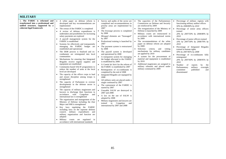| <b>MILITARY</b>                                                                                                                      |                                                                                                                                                                                                                                                                                                                                                                                                                                                                                                                                                                                                                                                                                                                                                                                                                                                                                                                                                                                                                                                                                                                                                                                                                                                                                                                                                                                                                                                                                                                                              |                                                                                                                                                                                                                                                                                                                                                                                                                                                                                                                                                                                                                                                                                                                                                                                                                                                                                                                                                                                                                                                                |                                                                                                                                                                                                                                                                                                                                                                                                                                                                                                                                                                                                                                                                     |                                                                                                                                                                                                                                                                                                                                                                                                                                                                                                                                                                                                                                                                      |
|--------------------------------------------------------------------------------------------------------------------------------------|----------------------------------------------------------------------------------------------------------------------------------------------------------------------------------------------------------------------------------------------------------------------------------------------------------------------------------------------------------------------------------------------------------------------------------------------------------------------------------------------------------------------------------------------------------------------------------------------------------------------------------------------------------------------------------------------------------------------------------------------------------------------------------------------------------------------------------------------------------------------------------------------------------------------------------------------------------------------------------------------------------------------------------------------------------------------------------------------------------------------------------------------------------------------------------------------------------------------------------------------------------------------------------------------------------------------------------------------------------------------------------------------------------------------------------------------------------------------------------------------------------------------------------------------|----------------------------------------------------------------------------------------------------------------------------------------------------------------------------------------------------------------------------------------------------------------------------------------------------------------------------------------------------------------------------------------------------------------------------------------------------------------------------------------------------------------------------------------------------------------------------------------------------------------------------------------------------------------------------------------------------------------------------------------------------------------------------------------------------------------------------------------------------------------------------------------------------------------------------------------------------------------------------------------------------------------------------------------------------------------|---------------------------------------------------------------------------------------------------------------------------------------------------------------------------------------------------------------------------------------------------------------------------------------------------------------------------------------------------------------------------------------------------------------------------------------------------------------------------------------------------------------------------------------------------------------------------------------------------------------------------------------------------------------------|----------------------------------------------------------------------------------------------------------------------------------------------------------------------------------------------------------------------------------------------------------------------------------------------------------------------------------------------------------------------------------------------------------------------------------------------------------------------------------------------------------------------------------------------------------------------------------------------------------------------------------------------------------------------|
| 2. The FARDC is reformed and<br>transformed into a professional and<br>unified structure, supported by a<br>coherent legal framework | • A white paper on defense reform is<br>developed and key recommendations are<br>implemented<br>• The census of the FARDC is completed<br>A review of defense expenditures is<br>undertaken and possibilities for increasing<br>salary payments are explored<br>A payroll management system for the<br>$\bullet$<br>FARDC is established<br>Systems for effectively and transparently<br>managing the FARDC budget are<br>established and operational<br>The DDR process is finalized and ex-<br>combatants are reintegrated into local<br>communities<br>• Mechanisms for ensuring that Integrated<br>Brigades receive regular supplies and<br>equipment are established<br>Community-based SALW programmes to<br>reduce the number of arms at the local<br>level are developed<br>• The capacity of the officer corps to lead<br>and ensure discipline among troops is<br>strengthened<br>• The capacity of Parliament to oversee<br>developments in the defense sector is<br>strengthened<br>• The capacity of military magistrates and<br>lawyers to discharge their functions in<br>accordance with Congolese<br>and<br>international law is strengthened<br>• The organization and management of the<br>Ministry of Defense including the Etat<br>Major and SMI is strengthened<br>Key laws regulating the FARDC<br>including laws on the supreme defense<br>council, military expenditures and<br>military organization and function are<br>adopted<br>courts are regulated in<br>Military<br>accordance with international standards | Survey and audits of the sector are<br>completed and recommendations in<br>priority areas are implemented by<br>2007<br>The <i>brassage</i> process is completed<br>by 2008<br>Mixaged elements are "brassaged"<br>by 2007<br>Professional training is launched by<br>2007<br>The payment system is restructured<br>$\bullet$<br>by 2008<br>The payroll system is developed<br>and operational by 2008<br>A transparent system for managing<br>the budget allocated to the FARDC<br>is established by 2008<br>• A Comité de Suivi for the reform of<br>the FARDC is established by 2007<br>Reintegration of ex-combatants is<br>$\bullet$<br>completed by the end of 2008<br>Integrated Brigades are equipped by<br>2008<br>All military units are placed under a<br>single command by 2007<br>The cantonment of the FARDC is<br>started by 2007<br>Unusable SALW are destroyed in<br>2007 and 2008<br>A law on the use of SALW is<br>adopted by 2008<br>Military magistrates and lawyers are<br>trained in Congolese<br>and<br>international by 2007 and 2008 | The capacities of the Parliamentary<br>Commission on Defense and Security<br>are reinforced by 2009<br>The reorganization of the Ministry of<br>Defense is launched by 2009<br>Military courts are restructured in<br>accordance with international norms<br>by 2009<br>The recommendations of the white<br>paper on defense reform are adopted<br>by 2009<br>Selection<br>criteria and<br>vetting<br>mechanisms for military candidates<br>are applied by 2010<br>A system for the procurement of<br>material and equipment is established<br>by 2010<br>Additional magistrates are assigned to<br>military tribunals and placed under<br>military command by 2009 | Percentage of military regions with<br>$\bullet$<br>functioning military auditor offices<br>50% by 2008/80% by 2010<br>$\bullet$<br>Percentage of senior army officers<br>trained<br>20% by 2007/50% by 2008/80% by<br>2010<br>Percentage of junior officers trained<br>$\bullet$<br>10% by 2007/30% by 2008/70% by<br>2010<br>Percentage of Integrated Brigades<br>$\bullet$<br>trained in human rights<br>50% by 2007/85% by 2008<br>• Percentage of ex-combatants fully<br>reintegrated<br>20% by 2007/60% by 2008/95% by<br>2010<br>Number of<br>reports<br>by<br>the<br>Parliamentary<br>military<br>oversight<br>committee<br>published<br>and<br>disseminated |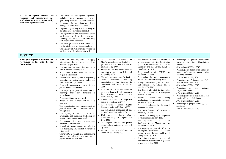| 3. The intelligence services are<br>reformed and transformed into<br>professional structures, supported by<br>a coherent legal framework | The roles of intelligence agencies,<br>including their powers of arrest,<br>questioning and detention, are re-defined<br>• A strategy for the financing of the<br>intelligence services is developed<br>Legislation governing the functioning of<br>the intelligence services is adopted<br>The organization and management of the<br>intelligence services is restructured<br>allowing them to operate in conformity<br>with international standards<br>The oversight powers of Parliament vis a<br>vis the intelligence services are defined<br>The capacity of Parliament to oversee the<br>intelligence services is strengthened                                                                                                                                                                                                                                                                                                                                                                                                                                                                                                                                        |                                                                                                                                                                                                                                                                                                                                                                                                                                                                                                                                                                                                                                                                                                                                                                                                                                                                                                                                                                                                                                |                                                                                                                                                                                                                                                                                                                                                                                                                                                                                                                                                                                                                                                                                                                                                                                                                                                                                                                                                                                                                                                                                                                                                                                                                |                                                                                                                                                                                                                                                                                                                                                                                                                                                                                                                                                                                                                                                                           |
|------------------------------------------------------------------------------------------------------------------------------------------|-----------------------------------------------------------------------------------------------------------------------------------------------------------------------------------------------------------------------------------------------------------------------------------------------------------------------------------------------------------------------------------------------------------------------------------------------------------------------------------------------------------------------------------------------------------------------------------------------------------------------------------------------------------------------------------------------------------------------------------------------------------------------------------------------------------------------------------------------------------------------------------------------------------------------------------------------------------------------------------------------------------------------------------------------------------------------------------------------------------------------------------------------------------------------------|--------------------------------------------------------------------------------------------------------------------------------------------------------------------------------------------------------------------------------------------------------------------------------------------------------------------------------------------------------------------------------------------------------------------------------------------------------------------------------------------------------------------------------------------------------------------------------------------------------------------------------------------------------------------------------------------------------------------------------------------------------------------------------------------------------------------------------------------------------------------------------------------------------------------------------------------------------------------------------------------------------------------------------|----------------------------------------------------------------------------------------------------------------------------------------------------------------------------------------------------------------------------------------------------------------------------------------------------------------------------------------------------------------------------------------------------------------------------------------------------------------------------------------------------------------------------------------------------------------------------------------------------------------------------------------------------------------------------------------------------------------------------------------------------------------------------------------------------------------------------------------------------------------------------------------------------------------------------------------------------------------------------------------------------------------------------------------------------------------------------------------------------------------------------------------------------------------------------------------------------------------|---------------------------------------------------------------------------------------------------------------------------------------------------------------------------------------------------------------------------------------------------------------------------------------------------------------------------------------------------------------------------------------------------------------------------------------------------------------------------------------------------------------------------------------------------------------------------------------------------------------------------------------------------------------------------|
| <b>JUSTICE</b>                                                                                                                           |                                                                                                                                                                                                                                                                                                                                                                                                                                                                                                                                                                                                                                                                                                                                                                                                                                                                                                                                                                                                                                                                                                                                                                             |                                                                                                                                                                                                                                                                                                                                                                                                                                                                                                                                                                                                                                                                                                                                                                                                                                                                                                                                                                                                                                |                                                                                                                                                                                                                                                                                                                                                                                                                                                                                                                                                                                                                                                                                                                                                                                                                                                                                                                                                                                                                                                                                                                                                                                                                |                                                                                                                                                                                                                                                                                                                                                                                                                                                                                                                                                                                                                                                                           |
| 4. The justice system is reformed and<br>reorganised in line with the new<br><b>Constitution</b>                                         | Efforts to fight impunity and apply<br>international human rights standards<br>become key priorities<br>• The judiciary institutions foreseen in the<br>2005 Constitution are established<br>· A National Commission on Human<br>Rights is established<br>Systems for effectively and transparently<br>managing the justice sector budget are<br>established and operational<br>A payroll management system for the<br>justice sector is established<br>The capacity of judicial authorities to<br>discharge their core functions is<br>strengthened<br>Prison conditions are improved<br>Access to legal services and advice is<br>increased<br>The organization and management of<br>judicial institutions is restructured and<br>strengthened<br>• The capacity of judicial officials to<br>investigate and prosecute trafficking in<br>natural resources is strengthened<br>A template for case management<br>procedure is established<br>• A legal information system for collecting<br>and distributing law-related materials is<br>established<br>The CPRDC is strengthened and reporting<br>lines to the Parliamentary committee on<br>justice reform are clarified | The<br>Counseil<br>Superior<br>$\bullet$<br>de<br><i>Magistrature</i> , including disciplinary<br>procedures and a code of ethics, is<br>established by 2007<br>Procedures for the recruitment of<br>magistrates are clarified and<br>adopted by 2007<br>• The training programme for justice<br>personnel,<br>including<br>sector<br>magistrates of first instance, is<br>developed and implemented by<br>2008<br>A census of prisons and detention<br>centers is launched and procedures<br>for managing<br>prisons<br>are<br>established by 2007<br>• A census of personnel in the justice<br>sector is completed by 2007<br>• A National Human<br>Rights<br>Commission is established by2008<br>• An institutional evaluation of the<br>CPRDC is undertaken by 2007<br>High courts, including the Cour<br>Constitutionelle, are operational<br>from 2008<br>The organic law on the justice<br>$\bullet$<br>sector and relevant texts are adopted<br>by 2008<br>Mobile courts are deployed in<br>under-served areas by 2007 | The reorganization of legal institutions<br>$\bullet$<br>in accordance with the Constitution<br>(Cour Constitutionelle, la Cour de<br>Cassation and the Conseil d'Etat), is<br>completed by 2010<br>The capacities of CPRDC are<br>reinforced by 2009<br>A template for case management<br>procedures is established by 2009<br>• A legal information system to collect<br>and distribute law related data is<br>established by 2009<br>The budget allocated to the justice<br>sector is managed in a transparent<br>manner by 2009<br>Selection criteria and vetting<br>mechanisms for magistrate candidates<br>are applied by 2010<br>Free legal assistance for the poor is<br>$\bullet$<br>available by 2009<br>The rehabilitation of prisons is<br>underway by 2009<br>Infrastructure belonging to the judicial<br>sector is rehabilitated by 2010<br>The capacities of the Conseil<br>Supérieur de la Magistrature are<br>reinforced by 2010<br>The capacity of judicial officers to<br>investigate trafficking of natural<br>resources and border incidents is<br>strengthened by 2010<br>A training programme for <i>agents</i> de<br>contrôle des frontières and magistrates<br>is implemented by 2009 | Percentage of judicial institutions<br>$\bullet$<br>foreseen<br>in<br>the<br>Constitution<br>functional<br>50% by 2008/100% by 2010<br>• Percentage of documented cases of<br>serious violations of human rights<br>closed by sentence<br>15% by 2008/20% by 2010<br>Percentage of Tribunaux de Paix<br>rehabilitated or established<br>40% by 2009/60% by 2010<br>$\bullet$ Percentage of<br>first<br>instance<br>magistrates trained<br>50% by 2008/80% by 2010<br>Percentage of prisons at territorial and<br>provincial levels rehabilitated<br>20% by 2008/50% by 2010<br>Percentage of people receiving legal<br>$\bullet$<br>assistance<br>20% by 2008/40% by 2010 |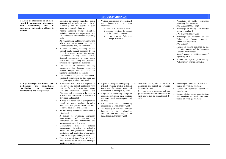|                                                                                                                                                                       |                                                                                                                                                                                                                                                                                                                                                                                                                                                                                                                                                                                                                                                                                                                                                                                                                                                                                                                                                                                                                                      | <b>TRANSPARENCY</b>                                                                                                                                                                                                                                                                                                                                                                                                                                                                                                     |                                                                                                                                                                                                                                                |                                                                                                                                                                                                                                                                                                                                                                                                                                                                                                                                  |
|-----------------------------------------------------------------------------------------------------------------------------------------------------------------------|--------------------------------------------------------------------------------------------------------------------------------------------------------------------------------------------------------------------------------------------------------------------------------------------------------------------------------------------------------------------------------------------------------------------------------------------------------------------------------------------------------------------------------------------------------------------------------------------------------------------------------------------------------------------------------------------------------------------------------------------------------------------------------------------------------------------------------------------------------------------------------------------------------------------------------------------------------------------------------------------------------------------------------------|-------------------------------------------------------------------------------------------------------------------------------------------------------------------------------------------------------------------------------------------------------------------------------------------------------------------------------------------------------------------------------------------------------------------------------------------------------------------------------------------------------------------------|------------------------------------------------------------------------------------------------------------------------------------------------------------------------------------------------------------------------------------------------|----------------------------------------------------------------------------------------------------------------------------------------------------------------------------------------------------------------------------------------------------------------------------------------------------------------------------------------------------------------------------------------------------------------------------------------------------------------------------------------------------------------------------------|
| 1. Access to information on all non-<br>classified government<br>documents,<br>electronically<br>both<br>and<br>at<br>government information offices, is<br>increased | Extensive information regarding public<br>$\bullet$<br>revenues and expenditures are published<br>bi-annually and the quality of such<br>reporting is gradually improved<br>Reports assessing budget execution,<br>including revenue and expenditure data,<br>are submitted to Parliament on a quarterly<br>basis<br>All future mining and forestry contracts to<br>which the Government or public<br>enterprises are a party are published<br>A series of audits, including on the<br>Central Bank, budget execution by the<br>Cour des Comptes, use of HIPC savings,<br>expenditures in key social sectors,<br>financial management in large public<br>enterprises, and mining and petroleum<br>revenues are prepared and published<br>The list of all contracts and key<br>procurement data financed under the<br>national budget and by donors are<br>regularly published on the internet<br>The bi-annual analysis of Government-<br>published information by the Cour des<br>Comptes is prepared and published                 | Various publications are published<br>and disseminated<br>by<br>2008<br>including:<br>o the audit of the Central Bank;<br>o biannual reports of the budget<br>by the Cour des Comptes;<br>o quarterly reports to Parliament<br>on budget execution                                                                                                                                                                                                                                                                      |                                                                                                                                                                                                                                                | Percentage of public enterprises<br>publishing their revenues<br>25% by 2008/75% by 2010<br>Percentage of mining and forestry<br>contracts published<br>50% by 2008/75% by 2010<br>Percentage of members of the<br>Parliamentary finance committee<br>trained on transparency<br>20% by 2008<br>Number of reports published by the<br>Cour des Comptes and the Inspection<br>Générale des Finances<br>Annual reports by 2008/semi-annual<br>reports by 2010<br>Number of reports published by<br>Parliamentary finance committee |
| 2. Key oversight institutions and<br>mechanisms<br>strengthened<br>are<br>contributing<br>improved<br>to<br>accountability and transparency                           | A three-year action plan to strengthen the<br>$\bullet$<br>capacity of key control institutions, with<br>an initial focus on the Cour des Comptes<br>and the Inspection Générale des<br><i>Finances</i> , and to strengthen the capacity<br>of Parliament to oversee the executive is<br>developed and adopted<br>A three year-action plan to strengthen the<br>capacity of external watchdogs including<br>Parliament, the private sector and civil<br>society is developed and adopted<br>An anti-money laundering commission is<br>established<br>A system for overseeing corruption<br>investigations<br>and<br>ensuring<br>the<br>publication of their conclusions and<br>recommendations is developed<br>Medium-term plans to<br>enhance<br>transparency including strengthening<br>formal and non-governmental oversight<br>institutions and monitoring of corruption<br>cases are developed and implemented<br>The capacity of journalists, NGOs and<br>local assemblies to discharge oversight<br>functions is strengthened | A plan to strengthen the capacity of<br>external oversight entities including<br>Parliament, the private sector and<br>civil society is developed by 2008<br>A system for monitoring corruption<br>cases and publishing their findings<br>and recommendations is operational<br>by 2008<br>An<br>anti-money<br>$\bullet$<br>laundering<br>commission is established by 2008<br>The capacity of provincial services<br>involved in the elaboration,<br>execution and monitoring of the<br>budget is strengthened by 2008 | Journalists, NGOs, national and local<br>$\bullet$<br>assemblies are trained on oversight<br>functions by 2009<br>The capacity of government and non-<br>government institutions to monitor and<br>fight corruption is strengthened by<br>2009 | Percentage of members of Parliament<br>$\bullet$<br>trained on oversight functions<br>Number of journalists trained on<br>investigations<br>Number of civil society organizations<br>and members of local assemblies<br>trained on oversight functions                                                                                                                                                                                                                                                                           |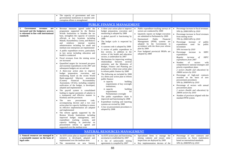|                                                                                                                                   | The capacity of government and non-<br>governmental institutions to monitor anti-<br>corruption efforts is strengthened                                                                                                                                                                                                                                                                                                                                                                                                                                                                                                                                                                                                                                                                                                                                                                                                                                                                                                                                                                                                                                                                                                                                                                                                                                                                                                                                                                                                                                                                                                                     |                                                                                                                                                                                                                                                                                                                                                                                                                                                                                                                                                                                                                                                                                                                                                                                                                                                                                                                                                                                                                                                                                                |                                                                                                                                                                                                                                                                                                                                                                                                          |                                                                                                                                                                                                                                                                                                                                                                                                                                                                                                                                                                                                                                                                                                                                                                                                                                                                                                                                              |  |  |  |  |
|-----------------------------------------------------------------------------------------------------------------------------------|---------------------------------------------------------------------------------------------------------------------------------------------------------------------------------------------------------------------------------------------------------------------------------------------------------------------------------------------------------------------------------------------------------------------------------------------------------------------------------------------------------------------------------------------------------------------------------------------------------------------------------------------------------------------------------------------------------------------------------------------------------------------------------------------------------------------------------------------------------------------------------------------------------------------------------------------------------------------------------------------------------------------------------------------------------------------------------------------------------------------------------------------------------------------------------------------------------------------------------------------------------------------------------------------------------------------------------------------------------------------------------------------------------------------------------------------------------------------------------------------------------------------------------------------------------------------------------------------------------------------------------------------|------------------------------------------------------------------------------------------------------------------------------------------------------------------------------------------------------------------------------------------------------------------------------------------------------------------------------------------------------------------------------------------------------------------------------------------------------------------------------------------------------------------------------------------------------------------------------------------------------------------------------------------------------------------------------------------------------------------------------------------------------------------------------------------------------------------------------------------------------------------------------------------------------------------------------------------------------------------------------------------------------------------------------------------------------------------------------------------------|----------------------------------------------------------------------------------------------------------------------------------------------------------------------------------------------------------------------------------------------------------------------------------------------------------------------------------------------------------------------------------------------------------|----------------------------------------------------------------------------------------------------------------------------------------------------------------------------------------------------------------------------------------------------------------------------------------------------------------------------------------------------------------------------------------------------------------------------------------------------------------------------------------------------------------------------------------------------------------------------------------------------------------------------------------------------------------------------------------------------------------------------------------------------------------------------------------------------------------------------------------------------------------------------------------------------------------------------------------------|--|--|--|--|
| <b>PUBLIC FINANCE MANAGEMENT</b>                                                                                                  |                                                                                                                                                                                                                                                                                                                                                                                                                                                                                                                                                                                                                                                                                                                                                                                                                                                                                                                                                                                                                                                                                                                                                                                                                                                                                                                                                                                                                                                                                                                                                                                                                                             |                                                                                                                                                                                                                                                                                                                                                                                                                                                                                                                                                                                                                                                                                                                                                                                                                                                                                                                                                                                                                                                                                                |                                                                                                                                                                                                                                                                                                                                                                                                          |                                                                                                                                                                                                                                                                                                                                                                                                                                                                                                                                                                                                                                                                                                                                                                                                                                                                                                                                              |  |  |  |  |
| Government<br>1.<br>revenues<br>are<br>increased and the budgetary process<br>is reformed in line with international<br>standards | Revenue measures agreed under the<br>programme supported by the Bretton<br>Woods Institutions to broaden the tax<br>base, strengthen the capacity of customs<br>officials at key locations including<br>Matadi, Kasumbalesa, Goma, and Bukavu<br>reinforce<br>and<br>internal<br>taxation<br>administration including for small and<br>medium-size enterprises are implemented<br>A public expenditure review, particularly<br>in key sector including education and<br>health is conducted<br>Fiscal revenues from the mining sector<br>are increased<br>Quantified targets for increased pro-poor<br>and essential expenditures in the 2007 and<br>subsequent budgets are set and met<br>A three-year action plan to improve<br>budget preparation, execution, and<br>monitoring based on the recent World<br>Bank-supported fiduciary assessment<br>(Country)<br>Financial Accountability<br>Assessment, CFAA), including complete<br>unification of the budget, is developed,<br>adopted and implemented<br>The payroll system is consolidated<br>leading to regular payments of salaries in<br>a transparent and effective manner in<br>Kinshasa and the provinces<br>The<br>new<br>procurement<br>code,<br>accompanying decrees and a two year<br>action plan for capacity building to ensure<br>its effective implementation are adopted<br>and implemented<br>The reform agenda supported by the<br>Bretton Woods Institutions including<br>improved budget management,<br>new<br>expenditure tracking systems,<br>and<br>capacity building, in particular on<br>procurement reform is agreed and<br>supported over the medium term | A three year action plan to improve<br>budget preparation, execution and<br>monitoring is adopted by 2008<br>A global payroll is functioning by<br>2008<br>$\bullet$<br>The budget cycle is respected by<br>2008<br>A customs code is adopted by 2008<br>A review of public expenditure in<br>key sectors, in addition to the<br>review of the health and education<br>sectors, is undertaken by 2007<br>Mechanisms for improving working<br>relationships between sectoral<br>ministries and the Ministries of<br>Budget, Finance and Planning are<br>proposed in a three-year action plan<br>to reform public finance by 2008<br>The following are included by 2008<br>in a three-year action plan to reform<br>public finance:<br>o capacity<br>building<br>requirements of key oversight<br>institutions:<br>o capacity<br>building<br>requirements<br>for<br>Parliamentary oversight<br>The public expenditure chain is<br>improved and functioning by 2008<br>Expenditure tracking and reporting<br>systems are revised by 2008<br>A law on procurement procedures is<br>adopted by 2008 | Public expenditure tracking surveys of<br>$\bullet$<br>sectors are conducted by 2009<br>Quarterly reports on budget execution<br>$\bullet$<br>are submitted to Parliament by 2009<br>Harmonized<br>Public<br>Financial<br>Management (PFM) systems are<br>adopted by the Government in<br>accordance with the three-year reform<br>plan by 2009<br>Four budgeted provincial PRSPs are<br>adopted by 2009 | Percentage increase in fiscal revenues<br>50% by 2008/100% by 2010<br>• Percentage increase in fiscal revenues<br>from mining sector<br>70% by 2008/140% by 2010<br>$\bullet$<br>Percentage increase<br>of<br>public<br>expenditures<br>used<br>for<br>public<br>investment<br>50% increase by 2010<br>Percentage increase<br><b>HIPC</b><br>$\sin$<br>expenditures<br>Regular<br>increase<br>HIPC<br>of<br>expenditures from 2007<br>Number<br>of<br>sectors<br>with<br>comprehensive national strategies and<br>priority expenditure plans<br>2 sectors (health and education) by<br>2008/6 sectors by 2010<br>Percentage of high-end contracts<br>awarded on the basis of new<br>procurement procedures<br>50% by 2008/90% by 2010<br>Percentage of sectors with annual<br>$\bullet$<br>procurement plans<br>2 sectors (health and education) by<br>2009/6 sectors by 2010<br>Number of provinces aligned with the<br>standard PFM system |  |  |  |  |
|                                                                                                                                   |                                                                                                                                                                                                                                                                                                                                                                                                                                                                                                                                                                                                                                                                                                                                                                                                                                                                                                                                                                                                                                                                                                                                                                                                                                                                                                                                                                                                                                                                                                                                                                                                                                             | <b>NATURAL RESOURCES MANAGEMENT</b>                                                                                                                                                                                                                                                                                                                                                                                                                                                                                                                                                                                                                                                                                                                                                                                                                                                                                                                                                                                                                                                            |                                                                                                                                                                                                                                                                                                                                                                                                          |                                                                                                                                                                                                                                                                                                                                                                                                                                                                                                                                                                                                                                                                                                                                                                                                                                                                                                                                              |  |  |  |  |
| 1. Natural resources are managed in<br>a sustainable manner on the basis of<br>legal codes                                        | An EITI action plan as required under the<br>initiative is developed, adopted and<br>implemented over the medium term<br>• The moratorium on new forestry                                                                                                                                                                                                                                                                                                                                                                                                                                                                                                                                                                                                                                                                                                                                                                                                                                                                                                                                                                                                                                                                                                                                                                                                                                                                                                                                                                                                                                                                                   | An EITI action plan and functioning<br>$\bullet$<br>secretariat is established by 2007<br>• A list of unfavorable mining<br>agreements is compiled by 2007                                                                                                                                                                                                                                                                                                                                                                                                                                                                                                                                                                                                                                                                                                                                                                                                                                                                                                                                     | Specialized firms to manage the<br>mining cadastre and ensure mine<br>inspections are deployed by 2009<br>Key implementation decrees of the<br>$\bullet$                                                                                                                                                                                                                                                 | Percentage of new contracts and<br>concessions on forest exploitation<br>based on international standards<br>50% by 2008/90% by 2010                                                                                                                                                                                                                                                                                                                                                                                                                                                                                                                                                                                                                                                                                                                                                                                                         |  |  |  |  |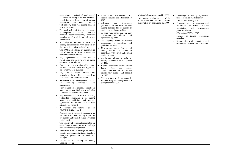|  | concessions is maintained until agreed                                           |           | mechanisms<br>Certification<br>for                                  | Mining Code are operational by 2009  |           | Percentage of mining agreements     |
|--|----------------------------------------------------------------------------------|-----------|---------------------------------------------------------------------|--------------------------------------|-----------|-------------------------------------|
|  | conditions for lifting it are met including                                      |           | natural resources are established by                                | Key implementation decrees of the    |           | revised to reflect market reality   |
|  | completion of the legal review of forestry                                       |           | 2007                                                                | Forest Code and the law on nature    |           | 50% by 2008/80% by 2010             |
|  | concessions and adoption of a                                                    |           | • Adequate<br>transparent<br>and                                    | conservation are operational by 2009 | $\bullet$ | Percentage of new contracts and     |
|  | participatory, three-year zoning plan for                                        |           | procedures for the award of new                                     |                                      |           | concessions on natural resource     |
|  | new concessions                                                                  |           | mining contracts for exploration or                                 |                                      |           | exploitation<br>with<br>environment |
|  | The legal review of forestry concessions                                         |           | production is adopted by 2008                                       |                                      |           | protection clauses                  |
|  | is completed and published and the                                               |           | A three year zonal plan for new                                     |                                      |           | 50% by 2008/90% by 2010             |
|  | review's recommendations, including                                              |           | concessions is adopted and                                          |                                      | $\bullet$ | Number of invalid concessions       |
|  | cancellation of invalid concessions, are                                         |           | operational by 2007                                                 |                                      |           | cancelled                           |
|  | implemented                                                                      |           | The ongoing review of forestry                                      |                                      |           | Number of new mining contracts and  |
|  | A third-party observer to assist the                                             |           | concessions is completed and                                        |                                      |           | concessions based on new procedures |
|  | forestry administration with controls on                                         |           | published by 2008                                                   |                                      |           |                                     |
|  | the ground is recruited and deployed                                             |           | New concessions in forestry and                                     |                                      |           |                                     |
|  | The 2004 fiscal reforms are implemented<br>and 40 percent of forest revenues are |           | mining sectors are issued in                                        |                                      |           |                                     |
|  | transferred to local entities                                                    |           | accordance with Forest and Mining                                   |                                      |           |                                     |
|  |                                                                                  |           | Codes by 2008                                                       |                                      |           |                                     |
|  | Key implementation decrees for the<br>Forest Code and the new law on nature      |           | • A third party observer to assist the                              |                                      |           |                                     |
|  | conservation are adopted                                                         |           | forestry administration is deployed                                 |                                      |           |                                     |
|  | Participatory forest zoning with a focus                                         |           | by 2008                                                             |                                      |           |                                     |
|  | on protection traditional user rights and                                        | $\bullet$ | Key implementation decrees for the                                  |                                      |           |                                     |
|  | the environment is launched                                                      |           | Forest<br>Code<br>nature<br>and<br>conservation law are drafted via |                                      |           |                                     |
|  | Key parks and World Heritage Sites,                                              |           | participatory process and adopted                                   |                                      |           |                                     |
|  | particularly those with endangered or                                            |           | by 2008                                                             |                                      |           |                                     |
|  | endemic species, are rehabilitated                                               | $\bullet$ | The capacity of services responsible                                |                                      |           |                                     |
|  | Sustainable forest management plans in                                           |           | for overseeing the mining sector are                                |                                      |           |                                     |
|  | remaining<br>concessions<br>all<br>are                                           |           | strengthened by 2008                                                |                                      |           |                                     |
|  | implemented                                                                      |           |                                                                     |                                      |           |                                     |
|  | New contract and financing models for                                            |           |                                                                     |                                      |           |                                     |
|  | promoting carbon, biodiversity and other                                         |           |                                                                     |                                      |           |                                     |
|  | environmental services are piloted                                               |           |                                                                     |                                      |           |                                     |
|  | Key elements and analysis of existing                                            |           |                                                                     |                                      |           |                                     |
|  | partnership agreements in the mining                                             |           |                                                                     |                                      |           |                                     |
|  | sector are published and relevant                                                |           |                                                                     |                                      |           |                                     |
|  | agreements are revised in line with                                              |           |                                                                     |                                      |           |                                     |
|  | international standards                                                          |           |                                                                     |                                      |           |                                     |
|  | A business and reform plan for                                                   |           |                                                                     |                                      |           |                                     |
|  | <b>GECAMINES</b> is adopted                                                      |           |                                                                     |                                      |           |                                     |
|  | Adequate and transparent procedures for                                          |           |                                                                     |                                      |           |                                     |
|  | the award of new mining rights for<br>exploration and production are developed   |           |                                                                     |                                      |           |                                     |
|  | and adopted                                                                      |           |                                                                     |                                      |           |                                     |
|  | The capacity of personnel responsible for                                        |           |                                                                     |                                      |           |                                     |
|  | controlling the mining sector to discharge                                       |           |                                                                     |                                      |           |                                     |
|  | their functions is strengthened                                                  |           |                                                                     |                                      |           |                                     |
|  | Specialized firms to manage the mining                                           |           |                                                                     |                                      |           |                                     |
|  | cadastre and ensure mine inspections for a                                       |           |                                                                     |                                      |           |                                     |
|  | three-year period are recruited and                                              |           |                                                                     |                                      |           |                                     |
|  | deployed                                                                         |           |                                                                     |                                      |           |                                     |
|  | Decrees for implementing the Mining                                              |           |                                                                     |                                      |           |                                     |
|  | Code are adopted                                                                 |           |                                                                     |                                      |           |                                     |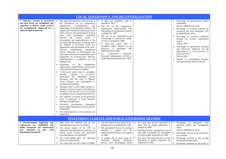| <b>LOCAL GOVERNANCE AND DECENTRALIZATION</b>                                                                                                                                        |                                                                                                                                                                                                                                                                                                                                                                                                                                                                                                                                                                                                                                                                                                                                                                                                                                                                                                                                                                                                                                                                                                                                                                                                                                                                                                                                                                                                                                                                                                                                                                                                                                                                                                                                                                                                                                                                                                                                                                                                                                                                                                                                                        |                                                                                                                                                                                                                                                                                                                                                                                                                                                                                                                     |  |  |  |  |  |
|-------------------------------------------------------------------------------------------------------------------------------------------------------------------------------------|--------------------------------------------------------------------------------------------------------------------------------------------------------------------------------------------------------------------------------------------------------------------------------------------------------------------------------------------------------------------------------------------------------------------------------------------------------------------------------------------------------------------------------------------------------------------------------------------------------------------------------------------------------------------------------------------------------------------------------------------------------------------------------------------------------------------------------------------------------------------------------------------------------------------------------------------------------------------------------------------------------------------------------------------------------------------------------------------------------------------------------------------------------------------------------------------------------------------------------------------------------------------------------------------------------------------------------------------------------------------------------------------------------------------------------------------------------------------------------------------------------------------------------------------------------------------------------------------------------------------------------------------------------------------------------------------------------------------------------------------------------------------------------------------------------------------------------------------------------------------------------------------------------------------------------------------------------------------------------------------------------------------------------------------------------------------------------------------------------------------------------------------------------|---------------------------------------------------------------------------------------------------------------------------------------------------------------------------------------------------------------------------------------------------------------------------------------------------------------------------------------------------------------------------------------------------------------------------------------------------------------------------------------------------------------------|--|--|--|--|--|
| 1. Fiduciary systems at provincial<br>and local levels are established and<br>capacities to deliver social services<br>are strengthened, supported by a<br>coherent legal framework | • A legal and regulatory code is<br>Key legal and regulatory texts foreseen in<br>the Constitution on: (i) composition,<br>adopted by 2007<br>responsibilities,<br>organization,<br>and<br>The law on the composition,<br>functioning of decentralized entities; (ii)<br>organization, responsibilities and<br>organization and functioning of provincial<br>functioning of decentralized entities<br>public services; (iii) nomenclature of local<br>is adopted by 2007<br>taxes, their distribution modalities<br>The law on the organization and<br>the various levels<br>between<br>of<br>functioning of provincial public<br>Government, and implementation of the<br>services is adopted by 2008<br>provision that 40 percent of national taxes<br>A three-year action plan to<br>are retained at provincial level; (iv)<br>strengthen public finances in the<br>organization and functioning of the inter-<br>provinces is developed<br>and<br>province redistribution mechanism<br>implemented by 2008<br>(Caisse Nationale de Péréquation) are<br>La Commission<br>Electorale<br>discussed with relevant stakeholders and a<br>Nationale Indépendante (CENI) is<br>programme for ensuring their effective<br>established and operational by 2007<br>implementation is completed over the<br>medium term<br>Legislation<br>on the composition,<br>organization, responsibilities and function<br>of decentralized entities is adopted<br>A three-year action plan to strengthen<br>capacity in provinces,<br>fiduciary<br>particularly the potentially richest<br>provinces with the cities of Matadi,<br>Goma, Bukavu, and Lubumbashi, is<br>developed and adopted<br>Adequate rules to limit large transfers or<br>retention of fiscal resource until fiduciary<br>systems in the provinces are at a minim<br>acceptable level are adopted and enforced<br>The capacity of citizens at the provincial<br>level to participate in local decision-<br>making is strengthened<br>Provincial governments mainstream<br>human rights legislation into their policies<br>and practice<br>• New administrations in the provinces are<br>established | Percentage of decentralized entities<br>established<br>50% by 2008/90% by 2010<br>Percentage of revenues retained by<br>provincial and local authorities 25%<br>by 2008/40% by 2010<br>Percentage of resources disbursed<br>through the revenue equalization<br>system<br>10% by 2010<br>Percentage of expenditures allocated<br>and effectively disbursed for the<br>improvement of social services at<br>provincial level<br>50% by 2010<br>Number of consultations between<br>local government and civil society |  |  |  |  |  |
|                                                                                                                                                                                     | <b>INVESTMENT CLIMATE AND PUBLIC ENTERPRISE REFORM</b>                                                                                                                                                                                                                                                                                                                                                                                                                                                                                                                                                                                                                                                                                                                                                                                                                                                                                                                                                                                                                                                                                                                                                                                                                                                                                                                                                                                                                                                                                                                                                                                                                                                                                                                                                                                                                                                                                                                                                                                                                                                                                                 |                                                                                                                                                                                                                                                                                                                                                                                                                                                                                                                     |  |  |  |  |  |
| 1. Pro-investment legislation and<br>frameworks are established<br>and<br>public enterprises are restructured<br>reformed in<br>line<br>and<br>with<br>international standards      | DRC joins the <i>OHADA</i> and all key<br>• The first report on the reform of the<br>An action plan for the repayment of<br>$\bullet$<br>implementation decrees are adopted<br>banking <i>sector</i> is published by 2007<br>debts held by public enterprises is<br>adopted by 2009<br>The annual reports of the FEC on<br>The presidential decree for joining<br>regulatory and administrative obstacles to<br><i>OHADA</i> is signed and the<br>Qualified boards, management teams<br>private sector activity and associated<br>implementation decrees are adopted<br>and audit committees are established<br>recommendations are published<br>by 2008<br>in all key public enterprises by 2009<br>The restructuring plans for approved<br>Key laws and related decrees on state<br>A strategy and an action plan for<br>banks are implemented<br>removing obstacles hindering<br>divestiture of public enterprises are<br>private sector development based<br>elaborated by 2009<br>An action plan for the reform of public                                                                                                                                                                                                                                                                                                                                                                                                                                                                                                                                                                                                                                                                                                                                                                                                                                                                                                                                                                                                                                                                                                                         | Percentage of enterprises with<br>$\bullet$<br>qualified boards and management<br>teams<br>20% by 2008/80% by 2010<br>Percentage increase in the investment<br>$\bullet$<br>rate of banks<br>Percentage increase in the savings<br>$\bullet$<br>mobilized through banks<br>• Percentage reduction in the losses in                                                                                                                                                                                                  |  |  |  |  |  |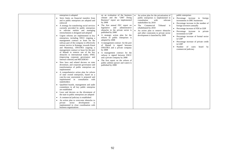|                        | enterprises is adopted                                                                                                                                                                                                                                                                                                                                                                                                                                                                                                                                                                                                                                                                                                                                                                                                                                                                                                                                                                                                                                                                                                                                                                                                                                                                                | on an evaluation of the business                                                                                                                                                                                                                                                                                                                                                                                                                                                                                                                    |                        | An action plan for the privatization of                                                                                                                                    |           | public enterprises                                                                                                                                                                                                                                                                                                           |
|------------------------|-------------------------------------------------------------------------------------------------------------------------------------------------------------------------------------------------------------------------------------------------------------------------------------------------------------------------------------------------------------------------------------------------------------------------------------------------------------------------------------------------------------------------------------------------------------------------------------------------------------------------------------------------------------------------------------------------------------------------------------------------------------------------------------------------------------------------------------------------------------------------------------------------------------------------------------------------------------------------------------------------------------------------------------------------------------------------------------------------------------------------------------------------------------------------------------------------------------------------------------------------------------------------------------------------------|-----------------------------------------------------------------------------------------------------------------------------------------------------------------------------------------------------------------------------------------------------------------------------------------------------------------------------------------------------------------------------------------------------------------------------------------------------------------------------------------------------------------------------------------------------|------------------------|----------------------------------------------------------------------------------------------------------------------------------------------------------------------------|-----------|------------------------------------------------------------------------------------------------------------------------------------------------------------------------------------------------------------------------------------------------------------------------------------------------------------------------------|
|                        | Strict limits on financial transfers from<br>and to public enterprises are adopted and<br>enforced                                                                                                                                                                                                                                                                                                                                                                                                                                                                                                                                                                                                                                                                                                                                                                                                                                                                                                                                                                                                                                                                                                                                                                                                    | climate and the "2007 Doing"<br>Business" report are implemented<br>by 2008                                                                                                                                                                                                                                                                                                                                                                                                                                                                         |                        | public enterprises is implemented in<br>consultation<br>relevant<br>with<br>stakeholders by 2010                                                                           | $\bullet$ | Percentage increase in foreign<br>investments in DRC businesses                                                                                                                                                                                                                                                              |
| $\bullet$<br>$\bullet$ | A strategy for transferring social services<br>currently provided by public enterprises<br>to relevant entities and managing<br>retrenchments is designed and adopted<br>Urgent reforms are implemented in key<br>enterprises, including SNCC (signing a<br>management contract or lease for the<br>railway part of the company to effectively<br>restore service in Katanga, towards Kasai<br>and Maniema), ONATRA (signing a<br>management contract or lease for the port<br>of Matadi to remove one of the key<br>obstacles to international trade); SNEL<br>(improving corporate governance and<br>internal controls) and REGIDESO<br>New laws and related decrees on state<br>divestiture, and corporate governance and<br>transformation of public enterprises are<br>implemented<br>A comprehensive action plan for reform<br>of state owned enterprises, based on a<br>case-by-case assessment is prepared and<br>implemented in consultation with<br>stakeholders<br>Qualified boards, management and audit<br>committees in all key public enterprise<br>are established<br>Laws and decrees on the divestment of<br>the state in public enterprises are adopted<br>A commercial judiciary is established<br>An action plan to overcome obstacles to<br>development<br>is<br>private sector | The first annual FEC report on<br>and<br>administrative<br>legislative<br>obstacles in the private sector is<br>published by 2008<br>• A strategic action plan for the<br>reform of public enterprises is<br>adopted by 2008<br>A management contract for the port<br>of Matadi is signed between<br>ONATRA and a private company<br>by 2008<br>A management contract for the<br>railway is signed between SNCC<br>and a private company by 2008<br>The first report on the reform of<br>public utilities (power and water) is<br>published by 2008 | $\bullet$<br>$\bullet$ | The Commercial<br>Tribunal is<br>rehabilitated by 2010<br>An action plan to remove obstacles<br>and other constraints to private sector<br>development is launched by 2009 |           | Percentage increase in the number of<br>foreign investors annually<br>Percentage increase of FDI in GDP<br>Percentage increase in private<br>investment in GDP<br>• Percentage increase of formal sector<br>in GDP<br>Percentage increase of private credit<br>in GDP<br>Number of cases<br>heard by<br>commercial judiciary |
|                        | implemented in close coordination with<br>business organizations                                                                                                                                                                                                                                                                                                                                                                                                                                                                                                                                                                                                                                                                                                                                                                                                                                                                                                                                                                                                                                                                                                                                                                                                                                      |                                                                                                                                                                                                                                                                                                                                                                                                                                                                                                                                                     |                        |                                                                                                                                                                            |           |                                                                                                                                                                                                                                                                                                                              |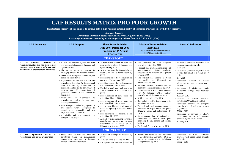| <b>CAF RESULTS MATRIX PRO POOR GROWTH</b><br>The strategic objective of this pillar is to achieve both a high rate and a strong quality of economic growth in line with PRSP objectives<br><b>Strategic Targets:</b><br>Percentage increase in average growth rate from $X$ % (2006) to $X$ % (2010)<br>Percentage improvement in ranking on human poverty indexes from 40.9 (2006) to 25 (2010)<br><b>CAF Outcomes</b><br><b>CAF Outputs</b><br><b>Short Term Activities</b><br><b>Medium Term Activities</b><br><b>Selected Indicators</b><br>2009-2012<br><b>July 2007-December 2008</b><br>(to be finalized after the November<br>(Programme d'Actions<br>2007 Consultative Group)<br><b>Prioritaires</b> ) |                                                                                                                                                                                                                                                                                                                                                                                                                                                                                                                                                                                                                                                                                                                                                                                                                                                              |                                                                                                                                                                                                                                                                                                                                                                                                                                                                                                                                                                                                                                                                                                                                                                                                                                                                                                   |                                                                                                                                                                                                                                                                                                                                                                                                                                                                                                                                                                                                                                                                                                                                                                                                                                                                                                                                                |                                                                                                                                                                                                                                                                                                                                                                                                                                                                                                                                                                                                                                                                                                   |  |  |
|-----------------------------------------------------------------------------------------------------------------------------------------------------------------------------------------------------------------------------------------------------------------------------------------------------------------------------------------------------------------------------------------------------------------------------------------------------------------------------------------------------------------------------------------------------------------------------------------------------------------------------------------------------------------------------------------------------------------|--------------------------------------------------------------------------------------------------------------------------------------------------------------------------------------------------------------------------------------------------------------------------------------------------------------------------------------------------------------------------------------------------------------------------------------------------------------------------------------------------------------------------------------------------------------------------------------------------------------------------------------------------------------------------------------------------------------------------------------------------------------------------------------------------------------------------------------------------------------|---------------------------------------------------------------------------------------------------------------------------------------------------------------------------------------------------------------------------------------------------------------------------------------------------------------------------------------------------------------------------------------------------------------------------------------------------------------------------------------------------------------------------------------------------------------------------------------------------------------------------------------------------------------------------------------------------------------------------------------------------------------------------------------------------------------------------------------------------------------------------------------------------|------------------------------------------------------------------------------------------------------------------------------------------------------------------------------------------------------------------------------------------------------------------------------------------------------------------------------------------------------------------------------------------------------------------------------------------------------------------------------------------------------------------------------------------------------------------------------------------------------------------------------------------------------------------------------------------------------------------------------------------------------------------------------------------------------------------------------------------------------------------------------------------------------------------------------------------------|---------------------------------------------------------------------------------------------------------------------------------------------------------------------------------------------------------------------------------------------------------------------------------------------------------------------------------------------------------------------------------------------------------------------------------------------------------------------------------------------------------------------------------------------------------------------------------------------------------------------------------------------------------------------------------------------------|--|--|
|                                                                                                                                                                                                                                                                                                                                                                                                                                                                                                                                                                                                                                                                                                                 |                                                                                                                                                                                                                                                                                                                                                                                                                                                                                                                                                                                                                                                                                                                                                                                                                                                              | <b>TRANSPORT</b>                                                                                                                                                                                                                                                                                                                                                                                                                                                                                                                                                                                                                                                                                                                                                                                                                                                                                  |                                                                                                                                                                                                                                                                                                                                                                                                                                                                                                                                                                                                                                                                                                                                                                                                                                                                                                                                                |                                                                                                                                                                                                                                                                                                                                                                                                                                                                                                                                                                                                                                                                                                   |  |  |
| The transport structure is<br>1.<br>rehabilitated, state and non-state owned<br>transport enterprises are reformed and<br>investments in the sector are prioritized                                                                                                                                                                                                                                                                                                                                                                                                                                                                                                                                             | • A road maintenance system for main<br>and rural roads is adopted, financed and<br>operationalized<br>• The private sector is involved in<br>managing parts of the transport network<br>• State-owned enterprises in the transport<br>sector are restructured<br>• Key sections of the road network are<br>rehabilitated including (a) international<br>trade corridors (b) connections of<br>provincial centers to the core transport<br>network and (c) connections of<br>provincial centers to their immediate<br>hinterland<br>• Rural areas are re-connected by<br>rehabilitating rural roads near large<br>consumption centers<br>• River navigation and railway operations<br>are restored where appropriate to<br>provide more sustainable and less<br>expensive transport services<br>• A reliable and safe domestic air<br>transport is developed | • A maintenance system for trunk and<br>rural roads is adopted, financed and<br>operational by 2008<br>• A first section of the Likasi-Kolwezi<br>route (187 km) is rehabilitated by<br>2008<br>• xxx kilometers of the road system are<br>constructed before June 2008<br>• xxx kilometers of the road system are<br>maintained before June 2008<br>• Feasibility studies are undertaken for<br>Xxx kilometers of road before June<br>2008<br>• xxx kilometers of rural roads are<br>rehabilitated before 2008<br>• xxx kilometers of rural roads are<br>maintained before June 2008<br>• xxx priority kilometers of national<br>roads are regularly maintained before<br>2008<br>• xxx kilometers of national r are<br>rehabilitated by 2008<br>• At least 18 cities including provincial<br>capitals are re-connected to their<br>hinterlands in a radius of 40<br>kilometers before June 2008 | • xxx kilometers of river navigation<br>network is restored by 2009<br>• National civil aviation compliance with<br>International Civil Aviation Authority<br>safety standards increases to 25 percent<br>by June 2009<br>• The international airports at Ndjili,<br>Lubumbashi and Kisangani are<br>rehabilitated by 2009<br>· Railroads between Kolwezi and the<br>Zambian boarder are repaired by 2010<br>• xxx kilometers of SNCC and Chemin de<br>Fer du Katanga (CMFK) railway<br>networks are rehabilitated by 2010<br>• Ndjili is concessioned by 2010<br>• Rail and river traffic linking main cities<br>is doubled by 2010<br>• The rail and road transport system is<br>improved on major border exit points<br>(Bukavu, Goma and Lubumbashi) by<br>2010<br>• An autonomous Port Administration is<br>established for DRC's main ports<br>(including Boma, Banana and Matadi)<br>by 2010<br>• The Matadi Port is privatized by 2010 | • Number of provincial capitals linked<br>to major transport networks<br>5 by 2010<br>• Number of provincial capitals linked<br>to their hinterland at a radius of 40<br>miles<br>4 by 2010<br>• Percentage increase in budget<br>allocations for transport maintenance<br>system<br>· Percentage of rehabilitated roads<br>maintained through cost recovery<br>system<br>100% by 2010<br>· Number of private operators<br>investing in ONATRA and SNCC<br>• Percentage decrease in transport<br>costs in price of agriculture in two<br>major cities<br>50% by 2010<br>• Percentage of services at DRC's<br>main ports, airports, and railways<br>provided by the private sector<br>100% by 2010 |  |  |
|                                                                                                                                                                                                                                                                                                                                                                                                                                                                                                                                                                                                                                                                                                                 |                                                                                                                                                                                                                                                                                                                                                                                                                                                                                                                                                                                                                                                                                                                                                                                                                                                              | <b>AGRICULTURE</b>                                                                                                                                                                                                                                                                                                                                                                                                                                                                                                                                                                                                                                                                                                                                                                                                                                                                                |                                                                                                                                                                                                                                                                                                                                                                                                                                                                                                                                                                                                                                                                                                                                                                                                                                                                                                                                                |                                                                                                                                                                                                                                                                                                                                                                                                                                                                                                                                                                                                                                                                                                   |  |  |
| agriculture<br>sector<br>1.<br>The<br>is<br>recapitalized and inputs are provided                                                                                                                                                                                                                                                                                                                                                                                                                                                                                                                                                                                                                               | · Seeds, small animals and tools are<br>distributed based on area-specific<br>requirements, particularly to destitute<br>farmers in re-connected areas                                                                                                                                                                                                                                                                                                                                                                                                                                                                                                                                                                                                                                                                                                       | • A sectoral strategy is adopted by<br>2008<br>• A law on seeds is adopted by 2008<br>• Six agricultural research centers for                                                                                                                                                                                                                                                                                                                                                                                                                                                                                                                                                                                                                                                                                                                                                                     | • At least one Institut de l'Environnement<br>et de Recherches Agricoles (INERA)<br>station per province are rehabilitated<br>and operational by 2010                                                                                                                                                                                                                                                                                                                                                                                                                                                                                                                                                                                                                                                                                                                                                                                          | • Percentage of rural workforce<br>provided with seeds, small animals<br>and tools<br>35% by 2010                                                                                                                                                                                                                                                                                                                                                                                                                                                                                                                                                                                                 |  |  |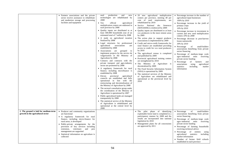|                                                                            | • Farmers associations and the private<br>sector receive assistance to rehabilitate<br>and modernize storage and processing<br>facilities and equipment                                                                                                                                                                                                                          | production<br>seed<br>and<br>new<br>technologies are rehabilitated by<br>2008<br>$\bullet$ Ten<br>official<br>agricultural<br>multiplication centers are endorsed in<br>each province by 2008<br>• Quality inputs are distributed to at<br>least 500.000 households (out of an<br>estimated total of 7 million) by 2008<br>· A study on agricultural taxation<br>finalized by 2008<br>• Legal structures for professional<br>agricultural<br>associations<br>are<br>established by 2008<br>• Associations<br>grouped<br>are<br>to<br>implement projects by the service de<br>vulgarization in the Ministry of<br>Agriculture by 2008<br>• Contacts and contracts with the<br>private transport and agro-industry<br>sector are promoted by 2008<br>• A regulatory framework for rural<br>finance, including microfinance is<br>established by 2008<br>$\bullet$ Eleven<br>provincial<br>agricultural<br>councils are established and fully<br>operational in line with the<br>restructuring and decentralization of<br>the Ministry of Agriculture by 2008<br>• The sectoral consultative group under<br>the coordination of the Ministry of<br>Agriculture is operational by 2007<br>• Public agricultural lands are managed<br>transparently by 2008<br>• The statistical service of the Ministry<br>of Agriculture is rehabilitated and<br>operational at the central level by<br>2008 | 20 new agricultural multiplication<br>centers per province, meeting 40 per<br>cent of seed requirements, are<br>rehabilitated by 2010<br>• Service National des Semences<br>(SENASEM) is reinforced by 2009<br>• Quality inputs are distributed to at least<br>xxx producers in the most remote areas<br>by 2009<br>• The action plan to support producer<br>associations is implemented by 2009<br>Credit and micro-credit frameworks for<br>rural finance are established providing<br>access to credit for xxx rural producers<br>by $2010$<br>• The agricultural census is completed<br>and published by 2009<br>• Provincial agricultural training centers<br>are strengthened by 2010<br>• The Ministry of Agriculture is<br>decentralized by 2009<br>• The Food Security Information System<br>(SISA) is operational by 2009<br>• The statistical services of the Ministry<br>of Agriculture are rehabilitated and<br>operational at the provincial level by<br>2010 | • Percentage increase in the number of<br>agricultural input businesses<br>100% by 2010<br>• Percentage increase in the yield of<br>primary crops<br>10% by 2010<br>• Percentage increase in investment in<br>current and new seed multiplication<br>centers 10% by 2008<br>• Percentage decrease in post-harvest<br>losses nationwide<br>30% by 2010<br>• Percentage<br>small-holders<br>of<br>associations benefiting from private<br>sector financing<br>• Percentage of medium-large scale<br>agro-industrial<br>units<br>receiving<br>private sector funding<br>• Percentage<br>of<br>farmers<br>and<br>associations<br>using<br>agricultural<br>including<br>statistics<br>market<br>information |
|----------------------------------------------------------------------------|----------------------------------------------------------------------------------------------------------------------------------------------------------------------------------------------------------------------------------------------------------------------------------------------------------------------------------------------------------------------------------|-------------------------------------------------------------------------------------------------------------------------------------------------------------------------------------------------------------------------------------------------------------------------------------------------------------------------------------------------------------------------------------------------------------------------------------------------------------------------------------------------------------------------------------------------------------------------------------------------------------------------------------------------------------------------------------------------------------------------------------------------------------------------------------------------------------------------------------------------------------------------------------------------------------------------------------------------------------------------------------------------------------------------------------------------------------------------------------------------------------------------------------------------------------------------------------------------------------------------------------------------------------------------------------------------------------------------------------------------------------------------------------------|-----------------------------------------------------------------------------------------------------------------------------------------------------------------------------------------------------------------------------------------------------------------------------------------------------------------------------------------------------------------------------------------------------------------------------------------------------------------------------------------------------------------------------------------------------------------------------------------------------------------------------------------------------------------------------------------------------------------------------------------------------------------------------------------------------------------------------------------------------------------------------------------------------------------------------------------------------------------------------|--------------------------------------------------------------------------------------------------------------------------------------------------------------------------------------------------------------------------------------------------------------------------------------------------------------------------------------------------------------------------------------------------------------------------------------------------------------------------------------------------------------------------------------------------------------------------------------------------------------------------------------------------------------------------------------------------------|
| 2. The ground is laid for medium-term<br>growth in the agricultural sector | • Producer and community organizations<br>are functional<br>• A regulatory framework for rural<br>finance, including micro-finance for<br>rural areas, is developed<br>• Public-private arrangements for the<br>provision of key services including<br>extension, veterinary and<br>pest<br>management are supported<br>• Statistical information on agriculture is<br>collected |                                                                                                                                                                                                                                                                                                                                                                                                                                                                                                                                                                                                                                                                                                                                                                                                                                                                                                                                                                                                                                                                                                                                                                                                                                                                                                                                                                                           | pilot phase of identifying<br>$\bullet$ The<br>exploitable forest land is completed in a<br>participatory manner by 2008 and the<br>results are incorporated into national<br>legislation by 2010<br>Management plans for all concessions<br>are approved by 2011                                                                                                                                                                                                                                                                                                                                                                                                                                                                                                                                                                                                                                                                                                           | • Percentage<br>small-holders<br>of<br>associations benefiting from private<br>sector financing<br>• Percentage of medium-large scale<br>agro-industrial<br>units<br>receiving<br>private sector funding<br>• Percentage of farming households<br>receiving technical advice<br>$\bullet$ Percentage<br>of entities<br>using<br>agricultural<br>statistics<br>including<br>market information<br>• Number of farmer field schools<br>established in each province                                                                                                                                                                                                                                      |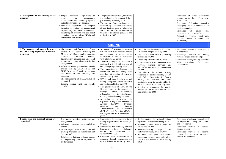| 3. Management of the forestry sector<br>improves                                             | • Simple, enforceable regulations to<br>basic<br>transparency,<br>ensure<br>accountability and monitoring systems<br>in the forestry sector are designed<br>Innovative approaches are adopted<br>including devolution of management<br>responsibility to local communities,<br>monitoring of environmental and social<br>compliance by specialized NGOs and<br>independent certification                                                                                                                                                      | • The process of identifying forest land<br>for exploitation is completed in a<br>participatory manner by 2008<br>• The tax on forest exploitation is<br>increased by 0.5 dollars per hectare,<br>all non justified taxes are eliminated<br>and 40 per cent of forest revenues are<br>transferred to relevant provinces and<br>territories by 2007                                                                                                                                                                                                                                                                                                                                                                                                                                                                                                                                                                                                                                                                         |                                                                                                                                                                                                                                                                                                                                                                                                                                                                                                                                                                                                                                                                      | • Percentage of forest concessions<br>granted on the basis of the new<br><b>Forest Code</b><br>• Percentage of logging companies<br>complying with commitments to<br>local communities<br>$\bullet$ Percentage<br>of<br>parks<br>with<br>management scores above 20<br>• Amount of revenues raised from<br>contracts linked to carbon and<br>biodiversity |
|----------------------------------------------------------------------------------------------|-----------------------------------------------------------------------------------------------------------------------------------------------------------------------------------------------------------------------------------------------------------------------------------------------------------------------------------------------------------------------------------------------------------------------------------------------------------------------------------------------------------------------------------------------|----------------------------------------------------------------------------------------------------------------------------------------------------------------------------------------------------------------------------------------------------------------------------------------------------------------------------------------------------------------------------------------------------------------------------------------------------------------------------------------------------------------------------------------------------------------------------------------------------------------------------------------------------------------------------------------------------------------------------------------------------------------------------------------------------------------------------------------------------------------------------------------------------------------------------------------------------------------------------------------------------------------------------|----------------------------------------------------------------------------------------------------------------------------------------------------------------------------------------------------------------------------------------------------------------------------------------------------------------------------------------------------------------------------------------------------------------------------------------------------------------------------------------------------------------------------------------------------------------------------------------------------------------------------------------------------------------------|-----------------------------------------------------------------------------------------------------------------------------------------------------------------------------------------------------------------------------------------------------------------------------------------------------------------------------------------------------------|
|                                                                                              |                                                                                                                                                                                                                                                                                                                                                                                                                                                                                                                                               | <b>MINING</b>                                                                                                                                                                                                                                                                                                                                                                                                                                                                                                                                                                                                                                                                                                                                                                                                                                                                                                                                                                                                              |                                                                                                                                                                                                                                                                                                                                                                                                                                                                                                                                                                                                                                                                      |                                                                                                                                                                                                                                                                                                                                                           |
| 1. The business environment improves<br>and the existing regulatory framework<br>is enforced | • The capacity and functioning of key<br>entities in the sector including the<br>Ministry of Mines, mining cadastre,<br>arbitration<br>customs,<br>entities,<br>Parliamentary commissions and local<br>authorities, commercial courts is further<br>strengthened<br>Efforts to review partnerships already<br>entered into by GECAMINES and<br>MIBA (in terms of quality of partners<br>and terms of the contracts) are<br>supported<br>• The restructuring of GECAMINES is<br>completed<br>• Existing mining rights are rapidly<br>clarified | • A review of existing agreements<br>between the Government and mining<br>companies, and other tax agreements,<br>is finalized in 2007 in accordance<br>with international norms<br>• The restructuring of GECAMINES is<br>continued in 2008 with the aim of<br>completing the process by 2009<br>• The inconsistencies between the<br>constitution and the mining code<br>regarding retrocession of payments<br>are resolved by 2008<br>• EITI is implemented and revenues of<br>mining companies whose contracts<br>are valid are published by 2008<br>• The participation of DRC in the<br>Kimberly process is strengthened<br>d'Evaluation,<br>through <i>Centre</i><br>d'Expertise et de Certification<br>(CEEC) and civil society by 2008<br>• An action plan to reinforce the<br>capacities of Office des Douanes et<br>Accises<br>(OFIDA),<br><b>Direction</b><br>Recettes<br>Générale<br>des<br>Administratives<br>et<br>Domaniales<br>(DGRAD) and Direction Générale<br>des Impôts (DGI) is developed by<br>2008 | · Public Private Partnership (PPP) laws<br>are adopted and published by 2009<br>• The GECAMINES /MIBA partnership<br>is reviewed by 2009<br>• The mining law is revised by 2009<br>• Customs reform, based on consultations<br>between relevant services<br>and<br>responsible ministries, is implemented<br>by 2009<br>The roles of the entities currently<br>present on the border, including OFIDA<br>and Office Congolais de Control<br>(OCC), are clarified and these<br>institutions begin to operate within the<br>framework of customs reform by 2009<br>• A plan to strengthen the entities<br>responsible for revenue collection is<br>implemented by 2009 | • Percentage increase in investment in<br>mining sector<br>• Percentage increase in mining<br>revenues as part of state budget<br>• Percentage of large mining contracts<br>provisions<br>with<br>for<br>local<br>communities                                                                                                                             |
| 2. Small scale and artisanal mining are<br>regularized                                       | • Government oversight institutions are<br>strengthened<br>• Information services are provided to<br>miners<br>• Miners' organizations are supported and<br>existing structures are rationalized and<br>"legitimized"<br>• Relationships between artisanal miners<br>and neighboring industrial exploitations<br>are formalized                                                                                                                                                                                                               | • Mechanisms for supporting artisanal<br>mining organizations are developed<br>by 2007<br>• Mechanisms for resolving conflicts<br>between the artisanal and industrial<br>sectors are<br>established<br>and<br>operational by 2008<br>• Corporate social responsibility is<br>promoted through conferences and<br>other collaborative forums by 2008                                                                                                                                                                                                                                                                                                                                                                                                                                                                                                                                                                                                                                                                       | · Service centers for artisanal mining<br>organizations are established by 2009<br>• Artisanal miners organizations are<br>officialized by 2009<br>• Income-generating<br>projects<br>are<br>underway in mining areas by 2009<br>• At least one pilot collaborative<br>programme between large-scale miners<br>and artisanal miners is underway by<br>2010                                                                                                                                                                                                                                                                                                           | • Percentage of artisanal miners linked<br>to large-scale mining associations<br>and cooperatives<br>• Percentage increase in artisanal<br>miners' income<br>• Percentage increase in artisanal<br>miners' income from alternative<br>sources or livelihoods                                                                                              |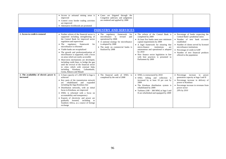|                                                       | • Access to artisanal mining areas is<br>improved<br>• Control cross border trading activities<br>are improved<br>• Alternative livelihoods are promoted                                                                                                                                                                                                                                                                                                                                                                                                                                                                                         | • Cases are litigated through the<br>Congolese judiciary and judgments<br>are rendered and applied by 2008                                                                                                                                |                                                                                                                                                                                                                                                                                                                                                                                  |                                                                                                                                                                                                                                                                                                     |
|-------------------------------------------------------|--------------------------------------------------------------------------------------------------------------------------------------------------------------------------------------------------------------------------------------------------------------------------------------------------------------------------------------------------------------------------------------------------------------------------------------------------------------------------------------------------------------------------------------------------------------------------------------------------------------------------------------------------|-------------------------------------------------------------------------------------------------------------------------------------------------------------------------------------------------------------------------------------------|----------------------------------------------------------------------------------------------------------------------------------------------------------------------------------------------------------------------------------------------------------------------------------------------------------------------------------------------------------------------------------|-----------------------------------------------------------------------------------------------------------------------------------------------------------------------------------------------------------------------------------------------------------------------------------------------------|
|                                                       |                                                                                                                                                                                                                                                                                                                                                                                                                                                                                                                                                                                                                                                  | <b>INDUSTRY AND SERVICES</b>                                                                                                                                                                                                              |                                                                                                                                                                                                                                                                                                                                                                                  |                                                                                                                                                                                                                                                                                                     |
| 1. Access to credit is restored                       | • Further reform of the financial sector is<br>supported including strengthening of<br>the Central Bank for improved sector<br>regulation and supervision<br>regulatory framework<br>for<br>$\bullet$ The<br>microfinance is reformed<br>• Viable banks are recapitalized<br>• The growth and professionalization of<br>microfinance is supported, with a focus<br>on areas which are easily accessible<br>• Short-term mechanisms are developed,<br>including credit lines, to bridge the gap<br>until the revival of the financial sector<br>in cities which with external links<br>including Kinshasa, Lubumbashi,<br>Goma, Bukavu and Matadi | • The regulatory<br>framework<br>for<br>microfinance<br>$\frac{1}{1}$<br>revised<br>and<br>operational by 2008<br>• A national strategy for microfinance<br>is adopted by 2008<br>• The study on commercial banks is<br>finalized by 2008 | • The reform of the Central Bank is<br>completed by 2009<br>• At least five banks meet new minimum<br>capital requirements by 2009<br>• A legal framework for ensuring that<br>micro-finance<br>institutions<br>are<br>autonomous and operational is adopted<br>by 2010<br>• New finance sector legislation in line<br>with best practices is presented to<br>Parliament by 2009 | • Percentage of banks respecting the<br>Central Bank's prudential ratios<br>• Number of new bank accounts<br>established<br>• Number of clients served by licensed<br>microfinance institutions<br>• Percentage of credit in GDP<br>• Number of new financial products<br>offered to the population |
| 2. The availability of electric power is<br>increased | • A base capacity of $1,300$ MW in Inga is<br>achieved<br>• Key parts of the transmission network<br>rehabilitated and expanded<br>are<br>including the Inga-Kinshasa line<br>· Distribution networks, with an initial<br>focus in Kinshasa, are improved<br>• SNEL is reformed with a focus on<br>accountability and transparency<br>• Exports of electricity and power are<br>gradually boosted, including<br>to<br>Southern Africa, as a source of foreign<br>exchange                                                                                                                                                                        | • The financial audit of SNEL is<br>completed by the end of 2008                                                                                                                                                                          | • SNEL is restructured by 2010<br>• SNEL billing and collection is<br>increased by at least 10 per cent by<br>2009<br>• The Kinshasa distribution system is<br>rehabilitated by 2009<br>• Turbines $(100 - 300 \text{ MW})$ at Inga I and<br>II are refurbished and equipped by 2009                                                                                             | • Percentage increase in<br>power<br>generation capacity at Inga I and II<br>• Percentage increase in delivery of<br>power to Kinshasa<br>• Percentage increase in revenues from<br>power sector<br>20% by 2010                                                                                     |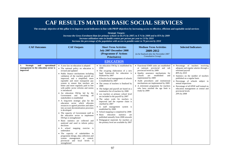| <b>CAF Outcomes</b>                                                                               | <b>CAF RESULTS MATRIX BASIC SOCIAL SERVICES</b><br>The strategic objective of this pillar is to improve social indicators in line with PRSP objectives by increasing access to effective, efficient and equitable social services<br><b>CAF Outputs</b>                                                                                                                                                                                                                                                                                                                                                                                                                                                                                                                                                                                                                                                                                                                                                                                                                                                          | <b>Strategic Targets:</b><br>Increase the Gross Enrolment Rate for primary school: to 64.1% by 2007; to X % by 2008 and to 85% by 2009<br>Increase utilization rates in health centres per person per year to 1.0 by 2010<br>Increase the percentage of the population with access to potable water to 70 percent by 2010<br><b>Short Term Activities</b><br><b>July 2007-December 2008</b><br>(Programme d'Actions                                                                                                                                                                                                                                                                                                                                                                                                               | <b>Medium Term Activities</b><br>2009-2012<br>(to be finalized after the November 2007)                                                                                                                                                                                                                                                                                                   | <b>Selected Indicators</b>                                                                                                                                                                                                                                                                                                                                                     |
|---------------------------------------------------------------------------------------------------|------------------------------------------------------------------------------------------------------------------------------------------------------------------------------------------------------------------------------------------------------------------------------------------------------------------------------------------------------------------------------------------------------------------------------------------------------------------------------------------------------------------------------------------------------------------------------------------------------------------------------------------------------------------------------------------------------------------------------------------------------------------------------------------------------------------------------------------------------------------------------------------------------------------------------------------------------------------------------------------------------------------------------------------------------------------------------------------------------------------|-----------------------------------------------------------------------------------------------------------------------------------------------------------------------------------------------------------------------------------------------------------------------------------------------------------------------------------------------------------------------------------------------------------------------------------------------------------------------------------------------------------------------------------------------------------------------------------------------------------------------------------------------------------------------------------------------------------------------------------------------------------------------------------------------------------------------------------|-------------------------------------------------------------------------------------------------------------------------------------------------------------------------------------------------------------------------------------------------------------------------------------------------------------------------------------------------------------------------------------------|--------------------------------------------------------------------------------------------------------------------------------------------------------------------------------------------------------------------------------------------------------------------------------------------------------------------------------------------------------------------------------|
|                                                                                                   |                                                                                                                                                                                                                                                                                                                                                                                                                                                                                                                                                                                                                                                                                                                                                                                                                                                                                                                                                                                                                                                                                                                  | <b>Prioritaires</b> )                                                                                                                                                                                                                                                                                                                                                                                                                                                                                                                                                                                                                                                                                                                                                                                                             | <b>Consultative Group)</b>                                                                                                                                                                                                                                                                                                                                                                |                                                                                                                                                                                                                                                                                                                                                                                |
| <b>Strategic</b><br>and<br>operational<br>1.<br>management in the education sector is<br>improved | • A new law on education is adopted<br>• The national policy on education is<br>revised and updated<br>• Public finance mechanisms including<br>validation of the teachers payroll are<br>improved, and a simplified, more<br>equitable and more transparent pay<br>system to ensure that teachers are<br>better and more regularly paid in line<br>with public sector reforms and norms<br>is introduced<br>• An education SWAp led by the<br>Government and involving all<br>stakeholders is established<br>• A long-term strategic plan for the<br>education sector which allocates<br>resources to agreed priorities and takes<br>into account decentralization processes<br>is developed<br>• The capacity of Government staff in<br>the education sector to implement<br>SWAps is strengthened<br>• Basic statistics are collected and<br>analyzed and used to inform policy<br>decisions<br>• A school mapping exercise is<br>undertaken<br>• The capacity of stakeholders in<br>programme design, data collection and<br>system management at central,<br>provincial and local levels is<br>strengthened | <b>EDUCATION</b><br>• An education SWAp is established by<br>2008<br>• The on-going elaboration of a new<br>legal framework for education is<br>finalized by 2007<br>• Effective local management of schools<br>is established by 2007<br>• The census of teachers is finalized by<br>2008<br>• The budget and payroll are based on a<br>nominative list of teachers by 2008<br>• xxx teachers at primary school level<br>are included in the payroll by 2007<br>• The salary scale for teachers is<br>improved and the expense chain is<br>clarified by 2007<br>• A staff management system is<br>established by 2008<br>• School mapping is completed by 2008<br>· Basic education statistics are<br>published annually from 2008 onwards<br>· Pedagogical materials for teachers at<br>the primary level are available by 2007 | • Functional EMIS units are established<br>at national, provincial and sub<br>provincial levels by 2009<br>• Quality assurance mechanisms for<br>established<br>schools<br>are<br>and<br>implemented by 2009<br>• Audit procedures and institutional<br>mechanisms are implemented by 2009<br>• A retirement programme for teachers<br>who have reached the age limit is<br>ready by 2009 | • Percentage of teachers receiving<br>adequate and regular salaries through a<br>reformed payroll<br>80% by 2010<br>• Statistics on the number of teachers<br>published on a regular basis<br>• Percentage of schools subject to<br>annual inspections<br>• Percentage of all EPSP staff trained on<br>education management at central and<br>provincial levels<br>20% by 2008 |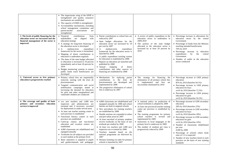| 2. The levels of public financing for the<br>education sector are increased and the<br>financial management of the sector is<br>improved | • The inspectorate wing of the EPSP is<br>strengthened and quality assurance<br>mechanisms are established<br>• The capacity of EMIS is strengthened<br>Accountability mechanisms, including<br>school management committees and<br>associations<br>parent-teacher<br>are<br>strengthened<br>• Financial<br>contributions<br>from<br>stakeholders<br>are<br>aligned<br>with<br>education strategy<br>• A strategy for long-term financing of<br>the education sector is developed<br>medium-term<br>$\bullet$ A<br>expenditure<br>framework for the sector is formulated<br>• Mapping of donor contributions to<br>education is undertaken regularly<br>The share of the state budget allocated<br>to education is increased to 10 percent<br>immediately and at least 20 percent by<br>2010<br>Budget monitoring systems to ensure<br>public funds reach beneficiaries are<br>developed | • Parent contributions to school fees are<br>reduced by 2007<br>• State budget allocations for the<br>education sector are increased by 10<br>per cent by 2007<br>$\bullet$ A<br>medium-term<br>expenditure<br>framework for the education sector is<br>launched by 2008<br>• A public expenditure tracking system<br>for education is established by 2008<br>• Reports on education are launched and<br>published by 2008<br>• Annual<br>mapping<br>of<br>donor<br>contributions and other sources of<br>financing are established by 2008                                                                                                 | • A review of public expenditure in the<br>education sector in undertaken in<br>2009-2010<br>• The portion of the state budget<br>allocated to the education sector is<br>increased by at least 20 percent by<br>2010                                                                                                                                                                                                             | • Percentage increase in allocations for<br>education sector by the central<br>Government<br>• Percentage of funds from the Ministry<br>reaching intended beneficiaries<br>70% by 2010<br>• Percentage increase in education<br>expenditures<br>the<br>by<br>central<br>Government<br>• Number of audits in the education<br>sector conducted                                                                                                                                                                            |
|------------------------------------------------------------------------------------------------------------------------------------------|------------------------------------------------------------------------------------------------------------------------------------------------------------------------------------------------------------------------------------------------------------------------------------------------------------------------------------------------------------------------------------------------------------------------------------------------------------------------------------------------------------------------------------------------------------------------------------------------------------------------------------------------------------------------------------------------------------------------------------------------------------------------------------------------------------------------------------------------------------------------------------------|---------------------------------------------------------------------------------------------------------------------------------------------------------------------------------------------------------------------------------------------------------------------------------------------------------------------------------------------------------------------------------------------------------------------------------------------------------------------------------------------------------------------------------------------------------------------------------------------------------------------------------------------|-----------------------------------------------------------------------------------------------------------------------------------------------------------------------------------------------------------------------------------------------------------------------------------------------------------------------------------------------------------------------------------------------------------------------------------|--------------------------------------------------------------------------------------------------------------------------------------------------------------------------------------------------------------------------------------------------------------------------------------------------------------------------------------------------------------------------------------------------------------------------------------------------------------------------------------------------------------------------|
| 3. Universal access to free primary<br>education is progressively reached                                                                | • Primary school fees are sequentially<br>removed, starting with the frais de<br>fonctionnement<br>Targeted communication and social<br>mobilization campaigns aimed at<br>increasing the demand for education<br>for girls and other marginalized and<br>vulnerable children are conducted                                                                                                                                                                                                                                                                                                                                                                                                                                                                                                                                                                                              | • Mechanisms for replacing parent<br>contributions to the frais de<br>fonctionnement are developed and<br>implemented by 2008<br>• The progressive elimination of school<br>fees is underway by 2007                                                                                                                                                                                                                                                                                                                                                                                                                                        | • The strategy for financing the<br>elimination of all primary school fees<br>is implemented and fees<br>are<br>successfully eliminated by 2010                                                                                                                                                                                                                                                                                   | • Percentage increase in GER primary<br>education<br>85% by 2010 (baseline 64.1%)<br>• Percentage increase in GER primary<br>education for boys<br>xxx% by 2010 (baseline 72.3%)<br>• Percentage increase in GER primary<br>education for girls<br>xxx% by 2010 (baseline 56.2%)                                                                                                                                                                                                                                         |
| 4. The coverage and quality of basic<br>primary and secondary education<br>services is improved                                          | • xxx new teachers and 1,000 new<br>inspectors and administrators are<br>retrained and, if necessary, recruited<br>for deployment in under-served areas<br>At least one teacher training centre in<br>each province is established<br>Functional literacy centers in each<br>province are established<br>• Catch-up classes and non-formal<br>education and vocation centers are<br>established<br>• 4,000 classrooms are rehabilitated and<br>equipped annually<br>• Textbooks for all subjects are provided<br>to each student at the primary level<br>• Basic stationery is supplied to pupils<br>and guides/manuals and pedagogic                                                                                                                                                                                                                                                    | • 4,000 classrooms are rehabilitated and<br>equipped annually by 2008 and school<br>latrines are built in targeted schools<br>• New procedures for training teachers<br>are established by 2008<br>• Double sessions are expanded in urban<br>and peri-urban areas by 2007<br>• At least one-third of primary students<br>receive textbooks on the basis of one<br>textbook per student by 2008<br>• At least xxx teachers and 1,000 new<br>inspectors are re-trained by 2008<br>• Teachers manuals based on the<br>national programme are delivered by<br>2007<br>• Distance learning via radio for primary<br>schools is launched by 2007 | • A national policy on production of<br>school textbooks is adopted by 2009<br>• At least one provincial teacher training<br>center per province is established by<br>2009<br>• The training programme for primary<br>school teachers is revised and<br>implemented by 2009<br>Instruction in local languages at the<br>primary level is underway by 2009<br>The number of students per class is<br>progressively reduced by 2009 | • Percentage increase in GER secondary<br>education<br>28% by 2010 (baseline 23%)<br>• Percentage increase in GER secondary<br>education for boys<br>xxx% by 2010 (baseline 28%)<br>• Percentage increase in GER secondary<br>education for girls<br>xxx% by 2010 (baseline 16%)<br>• Number of classrooms rehabilitated<br>per year<br>4,000 by 2008<br>• Percentage of schools where book<br>ratio of 1:2 is respected<br>• Number of new teachers hired in each<br>province on the basis of new training<br>standards |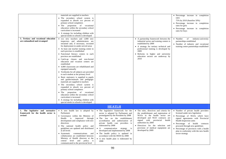| 5. Tertiary and vocational education<br>are rationalized and revamped             | materials are supplied to teachers<br>The secondary school system is<br>expanded to absorb xxx percent of<br>primary school completers<br>The proportion of vocational<br>education within the secondary school<br>curriculum is increased<br>• A strategy for including children with<br>special needs in schools is developed<br>• xxx new teachers and 1,000 new<br>inspectors and administrators are<br>retrained and, if necessary, recruited<br>for deployment in under-served areas<br>• At least one teacher training centre in<br>each province is established<br>· Functional literacy centers in each<br>province are established<br>• Catch-up classes and non-formal<br>education and vocation centers are<br>established<br>• 4,000 classrooms are rehabilitated and<br>equipped annually<br>• Textbooks for all subjects are provided<br>to each student at the primary level<br>• Basic stationery is supplied to pupils<br>and guides/manuals and pedagogic<br>materials are supplied to teachers<br>• The secondary school system is<br>expanded to absorb xxx percent of<br>primary school completers<br>The proportion of vocational<br>education within the secondary school<br>curriculum is increased |                                                                                                                                                                                                                                                                                                                                                                                                                                                     | • A partnership framework between the<br>industrial sector and training centers is<br>established by 2009<br>• A strategy for tertiary technical and<br>professional training is developed by<br>2009<br>• Reforms in higher and university<br>education sectors are underway by<br>2010                          | • Percentage increase in completion<br>rates<br>75% by 2010 (baseline 50%)<br>· Percentage increase in completion<br>rates for girls<br>• Percentage increase in completion<br>rates for boys<br>• Number<br>of<br>industry-university<br>partnerships established<br>• Number of industry and vocational<br>training centre partnerships established    |
|-----------------------------------------------------------------------------------|------------------------------------------------------------------------------------------------------------------------------------------------------------------------------------------------------------------------------------------------------------------------------------------------------------------------------------------------------------------------------------------------------------------------------------------------------------------------------------------------------------------------------------------------------------------------------------------------------------------------------------------------------------------------------------------------------------------------------------------------------------------------------------------------------------------------------------------------------------------------------------------------------------------------------------------------------------------------------------------------------------------------------------------------------------------------------------------------------------------------------------------------------------------------------------------------------------------------------|-----------------------------------------------------------------------------------------------------------------------------------------------------------------------------------------------------------------------------------------------------------------------------------------------------------------------------------------------------------------------------------------------------------------------------------------------------|-------------------------------------------------------------------------------------------------------------------------------------------------------------------------------------------------------------------------------------------------------------------------------------------------------------------|----------------------------------------------------------------------------------------------------------------------------------------------------------------------------------------------------------------------------------------------------------------------------------------------------------------------------------------------------------|
|                                                                                   | • A strategy for including children with<br>special needs in schools is developed                                                                                                                                                                                                                                                                                                                                                                                                                                                                                                                                                                                                                                                                                                                                                                                                                                                                                                                                                                                                                                                                                                                                            |                                                                                                                                                                                                                                                                                                                                                                                                                                                     |                                                                                                                                                                                                                                                                                                                   |                                                                                                                                                                                                                                                                                                                                                          |
|                                                                                   |                                                                                                                                                                                                                                                                                                                                                                                                                                                                                                                                                                                                                                                                                                                                                                                                                                                                                                                                                                                                                                                                                                                                                                                                                              | <b>HEATLH</b>                                                                                                                                                                                                                                                                                                                                                                                                                                       |                                                                                                                                                                                                                                                                                                                   |                                                                                                                                                                                                                                                                                                                                                          |
| 1. The legislative and normative<br>framework for the health sector is<br>revised | • A new health law is adopted by<br>Parliament<br>· Governance within the Ministry of<br>Health is improved through<br>development and compliance with new<br>directives<br>The national health policy and<br>guidelines are updated and distributed<br>at all levels<br>communications<br>• Systematic<br>and<br>collaboration are established between<br>Ministry of Health directors at the<br>central level and policy<br>is<br>communicated to the provincial level                                                                                                                                                                                                                                                                                                                                                                                                                                                                                                                                                                                                                                                                                                                                                     | • The legislative framework for the<br>sector is adopted by Parliament and<br>promulgated by the President by 2008<br>• The law on the establishment<br>accreditation and authorization of<br>private health care providers is<br>elaborated by 2008<br>• A communication strategy is<br>developed and implemented by 2008<br>• The health policy is updated in<br>accordance with the HSSS by 2008<br>• A new health plan is elaborated by<br>2008 | • The rules, directives and criteria for<br>the establishment and registration of<br>NGOs in the health sector are<br>developed and NGO contracts are<br>signed with provincial<br>health<br>authorities by 2009<br>• Directives for the selection and<br>provision of medical equipment are<br>developed by 2009 | • Number of private health providers<br>licensed under new legislation<br>• Percentage of NGOs which have<br>signed agreements with Provincial<br>Health Inspection units<br>· Percentage of health contracts<br>procured through new guidelines<br>• Percentage of provinces with a health<br>plan in conformity with the new health<br>sector strategy |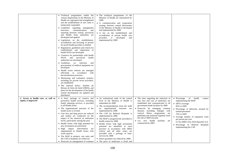|                                                             | • Technical programmes within the<br>various departments in the Ministry of<br>Health are regrouped and strengthened<br>and the establishment of new units is<br>temporarily suspended<br>• Guidelines regarding management<br>communications<br>functions,<br>and<br>reporting between central, provincial<br>and Health Zone authorities are<br>developed and applied<br>• Legislation on the establishment,<br>accreditation and licensing of private<br>for-profit health providers is drafted<br>• Regulations, guidelines and criteria for<br>establishment and registration of<br>health NGOs are developed<br>• Contracts for partnerships with health<br>provincial<br>NGOs<br>and<br>health<br>authorities are developed<br>• Guidelines<br>on selection<br>and<br>procurement of medical equipment are<br>developed<br>• Health sector reforms are managed<br>efficiently in accordance with<br>decentralization processes<br>• Monitoring and evaluation systems,<br>including for private sector providers,<br>are established<br>The national policy, Système du<br>Réseau de Soins de Santé (SRSS), and<br>plans for the development of the health<br>system development are updated and<br>distributed | • The technical programmes of the<br>Ministry of Health are rationalized by<br>2008<br>• A communication and cooperation<br>strategy between central directorates<br>of the Ministry of Health is developed<br>and implemented by 2008<br>• A law on the establishment and<br>accreditation of private health care<br>providers<br>is<br>developed<br>and<br>implemented by 2008                                                                                                                                                                                                                                                     |                                                                                                                                                                                                                                                                                                                                                                                                      |                                                                                                                                                                                                                                                                                                                                                                 |
|-------------------------------------------------------------|------------------------------------------------------------------------------------------------------------------------------------------------------------------------------------------------------------------------------------------------------------------------------------------------------------------------------------------------------------------------------------------------------------------------------------------------------------------------------------------------------------------------------------------------------------------------------------------------------------------------------------------------------------------------------------------------------------------------------------------------------------------------------------------------------------------------------------------------------------------------------------------------------------------------------------------------------------------------------------------------------------------------------------------------------------------------------------------------------------------------------------------------------------------------------------------------------------------------|--------------------------------------------------------------------------------------------------------------------------------------------------------------------------------------------------------------------------------------------------------------------------------------------------------------------------------------------------------------------------------------------------------------------------------------------------------------------------------------------------------------------------------------------------------------------------------------------------------------------------------------|------------------------------------------------------------------------------------------------------------------------------------------------------------------------------------------------------------------------------------------------------------------------------------------------------------------------------------------------------------------------------------------------------|-----------------------------------------------------------------------------------------------------------------------------------------------------------------------------------------------------------------------------------------------------------------------------------------------------------------------------------------------------------------|
| 2. Access to health care, as well as<br>equity, is improved | • A basic package of curative and<br>preventive health services, including<br>family planning services, is provided<br>in all Health Zones<br>The organizational structure of the<br>health sector is revised<br>• User fees and drug prices are reduced<br>and studies are conducted on the<br>impact of fee removal on utilization<br>levels, particularly among the poor<br>• Health Zones with high potential for<br>new investment are prioritized<br>• High impact interventions<br>are<br>implemented in Health Zones with<br>weak capacity<br>• The MAP in primary care units and<br>the CAP in hospitals are rolled out<br>• Protocols on management of common                                                                                                                                                                                                                                                                                                                                                                                                                                                                                                                                                | • An institutional audit of the central<br>level of the Ministry of Health is<br>undertaken by 2008<br>• The recommendations from the audit<br>on organizational structure are<br>implemented by 2008<br>• The CAP for Referral Hospitals is<br>implemented by 2008<br>• The MAP is progressively provided in<br>health centers by 2008<br>· Health Zones with high investment<br>potential are identified in each<br>province in accordance with SRSS<br>criteria and all other zones are<br>provided with a package of basic<br>services by 2008<br>• Direct payments are reduced by 2008<br>• The price of medicines is fixed and | • The rules regarding the reduction of<br>user fees and cost of medicines are<br>established and communicated to all<br>government heath facilities by 2009<br>Protocols for managing common<br>diseases including linkages with<br>vertical illness programmes are<br>published and analyzed regularly from<br>the end of 2009 onwards<br>• xxx new health facilities<br>are<br>constructed by 2009 | $\bullet$ Percentage<br>of<br>health<br>centers<br>implementing the MAP<br>• DPT3 coverage<br>83% in 2009<br>• Percentage of deliveries assisted by<br>trained personnel<br>75% in 2009<br>• Average number of outpatient visits<br>per person per year<br>0.5 by 2009/1.0 by 2010 (baseline 0.2)<br>• Percentage of Referral Hospitals<br>implementing the CAP |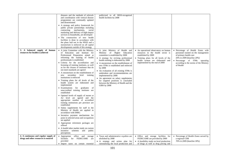|                                                                               | diseases and the methods of referrals<br>and coordination with vertical disease<br>programmes are continually updated<br>and disseminated<br>• A strategy and policy framework for<br>public private partnerships including<br>contracting mechanisms,<br>social<br>marketing and delivery of high-impact<br>services to households, are developed<br>• The construction of new health                                                                                                                                                                                                                                                                                                                                                                                                                                                                                                                                                                                                                                                                                                                                                                                                     | publicized to all SRSS-recognized<br>health facilities by 2008                                                                                                                                                                                                                                                                                                                                                                                                                                                                                  |                                                                                                                                                                                                                   |                                                                                                                                                                                                                           |
|-------------------------------------------------------------------------------|--------------------------------------------------------------------------------------------------------------------------------------------------------------------------------------------------------------------------------------------------------------------------------------------------------------------------------------------------------------------------------------------------------------------------------------------------------------------------------------------------------------------------------------------------------------------------------------------------------------------------------------------------------------------------------------------------------------------------------------------------------------------------------------------------------------------------------------------------------------------------------------------------------------------------------------------------------------------------------------------------------------------------------------------------------------------------------------------------------------------------------------------------------------------------------------------|-------------------------------------------------------------------------------------------------------------------------------------------------------------------------------------------------------------------------------------------------------------------------------------------------------------------------------------------------------------------------------------------------------------------------------------------------------------------------------------------------------------------------------------------------|-------------------------------------------------------------------------------------------------------------------------------------------------------------------------------------------------------------------|---------------------------------------------------------------------------------------------------------------------------------------------------------------------------------------------------------------------------|
|                                                                               | facilities is done in accordance with<br>the plans laid out in the HSSS and a<br>moratorium is enforced on all capital<br>developments outside of this strategy                                                                                                                                                                                                                                                                                                                                                                                                                                                                                                                                                                                                                                                                                                                                                                                                                                                                                                                                                                                                                            |                                                                                                                                                                                                                                                                                                                                                                                                                                                                                                                                                 |                                                                                                                                                                                                                   |                                                                                                                                                                                                                           |
| 3. A balanced supply of human<br>resources for health is achieved             | A joint Committee with the Ministry<br>of Education and Institute for<br>Professional Preparation aimed at<br>reforming the training of health<br>professionals is established<br>Criteria for the accreditation and<br>licensing of training institutes, as well<br>as for the closure of institutes that do<br>not meet standards are agreed<br>• A moratorium on the establishment of<br>secondary level<br>training<br>new<br>institutions is enforced<br>• Training plans for all levels of the<br>health system are elaborated and<br>implemented<br>• Examinations<br>for graduates<br>of<br>unaccredited training institutes are<br>established<br>• Optimal levels of supply of nurses at<br>A2 level are agreed and the<br>appropriate number of accredited<br>training institutions per province are<br>established<br>• Salary supplements for staff in the<br>Ministry of Health are applied in<br>accordance with SMIG<br>Incentive payment mechanisms for<br>posts in selected areas and occupations<br>are applied<br>• Appropriate retirement packages are<br>offered<br>• A health labor market study on current<br>schemes<br>incentive<br>and<br>public<br>perceptions | • A joint Ministry of Health and<br>Ministry of Higher<br>Education<br>committee is established by 2008<br>• A strategy for revising professional<br>health training is elaborated by 2008<br>• A moratorium on the establishment of<br>new ITMs is established and enforced<br>by 2008<br>• An evaluation of all existing ITMs is<br>undertaken and recommendations are<br>implemented by 2008<br>• An agreement on salary supplements<br>for targeted positions is concluded<br>between the Ministry of Health and the<br><b>GIBS</b> by 2008 | • An operational observatory on human<br>resources in the health sector is<br>established by 2009<br>• Training plans for all levels of the<br>health system are elaborated and<br>implemented by the end of 2009 | · Percentage of Health Zones with<br>personnel trained on the management<br>of primary health care<br>50% in 2009 (baseline 20%)<br>• Percentage of ITMs operating<br>according to the norms of the Ministry<br>of Health |
| 4. A continuous and regular supply of<br>drugs and other resources is ensured | • Appropriate<br>office<br>and<br>storage<br>facilities<br>for FEDECAME<br>are<br>provided<br>· Import taxes on certain essential                                                                                                                                                                                                                                                                                                                                                                                                                                                                                                                                                                                                                                                                                                                                                                                                                                                                                                                                                                                                                                                          | • Taxes and administrative royalties are<br>abolished by 2008<br>• A strategy and action plan for<br>rationalizing the local production and                                                                                                                                                                                                                                                                                                                                                                                                     | • Office and storage facilities for<br>FEDECAME are provided by 2009<br>• A feasibility study on local production<br>of drugs as well as drug pricing and                                                         | • Percentage of Health Zones served by<br>a regional CDR<br>70% in 2009 (baseline 30%)                                                                                                                                    |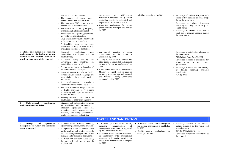|                                                                                                                                                              | pharmaceuticals are removed<br>• The ordering of drugs through<br>FEDECAME-CDR is rationalized<br>• The capacity of CDRs is strengthened<br>and certain CDRs are relocated<br>• Mechanisms for controlling the quality<br>of pharmaceuticals are reinforced<br>• Mechanisms for inspecting pharmacies<br>are reinforced and rationalized<br>• Drug acquisition by public health units<br>in the private sector is regulated<br>• A feasibility study on the local<br>production of drugs as well as drug<br>pricing and subsidies is conducted                                                                                                                                                                                            | <b>Médicaments</b><br>of<br>procurement<br>Essentiels Génériques (MEG) and for<br>controlling quality is elaborated and<br>implemented from 2008 onwards<br>• Inspection mechanisms for private<br>pharmacies are developed and applied<br>by 2008                                                                                                                                                                    | subsidies is conducted by 2009                                                                                                                       | · Percentage of Referral Hospitals with<br>stocks of five required essential drugs<br>during the last trimester<br>• Percentage of private drugstores<br>operating according to Ministry of<br>Health norms<br>• Percentage of Health Zones with a<br>stock-out of measles vaccines during<br>the last trimester |
|--------------------------------------------------------------------------------------------------------------------------------------------------------------|-------------------------------------------------------------------------------------------------------------------------------------------------------------------------------------------------------------------------------------------------------------------------------------------------------------------------------------------------------------------------------------------------------------------------------------------------------------------------------------------------------------------------------------------------------------------------------------------------------------------------------------------------------------------------------------------------------------------------------------------|-----------------------------------------------------------------------------------------------------------------------------------------------------------------------------------------------------------------------------------------------------------------------------------------------------------------------------------------------------------------------------------------------------------------------|------------------------------------------------------------------------------------------------------------------------------------------------------|------------------------------------------------------------------------------------------------------------------------------------------------------------------------------------------------------------------------------------------------------------------------------------------------------------------|
| 5. Stable and sustainable financing<br>mechanisms for the health sector are<br>established and financial barriers to<br>health care are sequentially removed | Financial<br>contributions<br>from<br>stakeholders are aligned with the<br>health strategy<br>• A health SWAp led by<br>the<br>Government and involving<br>all<br>stakeholders is established<br>• A strategy for long-term financing of<br>the health sector is developed<br>· Financial barriers for selected health<br>services and/or population groups are<br>sequentially reduced and possibly<br>eliminated<br>medium-term<br>expenditure<br>$\bullet$ A<br>framework for the sector is developed<br>• The share of the state budget allocated<br>to health increases to 7 percent<br>immediately and 15 percent by the end<br>of the CAF period<br>Mapping of donor contributions to the<br>health sector is undertaken regularly | mapping<br>of donor<br>• An annual<br>contributions for the HSSS is<br>undertaken by 2008<br>• A step-by-step study of salaries and<br>other inputs is conducted and specific<br>recommendations are implemented by<br>2008<br>• Consultation mechanisms between the<br>Ministry of Health and its partners<br>including joint meetings and National<br>and Provincial Steering Committees<br>are operational by 2008 |                                                                                                                                                      | • Percentage of state budget allocated to<br>the health sector<br>10% in 2009 (baseline 4% 2006)<br>• Percentage increase in allocations for<br>health sector by the central<br>government<br>• Percentage of funds from the Ministry<br>Health<br>reaching<br>of<br>intended<br>beneficiaries<br>70% by 2010    |
| Multi-sectoral<br>coordination<br>6.<br>mechanisms are established                                                                                           | Linkages and collaborative networks<br>are established with institutions in<br>education, agriculture, water and<br>sanitation, roads, communications,<br>transport, community participation,<br>gender, environment and nutrition                                                                                                                                                                                                                                                                                                                                                                                                                                                                                                        |                                                                                                                                                                                                                                                                                                                                                                                                                       |                                                                                                                                                      |                                                                                                                                                                                                                                                                                                                  |
|                                                                                                                                                              |                                                                                                                                                                                                                                                                                                                                                                                                                                                                                                                                                                                                                                                                                                                                           | <b>WATER AND SANITATION</b>                                                                                                                                                                                                                                                                                                                                                                                           |                                                                                                                                                      |                                                                                                                                                                                                                                                                                                                  |
| <b>Strategic</b><br>and<br>operational<br>1.<br>management in water and sanitation<br>sector is improved                                                     | • A sector reform roadmap, including<br>agency reorganization, is implemented<br>• A regulatory body to control water<br>tariffs, quality, and service standards<br>for community-managed and state-<br>managed water systems is operational<br>• A Water and Sanitation Code using<br>the proposed code as a base is<br>implemented                                                                                                                                                                                                                                                                                                                                                                                                      | • An action plan for sector reform,<br>including<br>reorganization<br>of<br>management institutions, is approved<br>by the Government by 2008<br>• A national water and sanitation code,<br>in conformity with international<br>standards with special attention for<br>heave metal contamination is adopted<br>by 2008                                                                                               | • A database and an information system<br>for sectoral monitoring is established<br>by 2009<br>• Quality control mechanisms are<br>developed by 2009 | • Percentage increase in the national<br>budget allocated to the water and<br>sanitation sector<br>13% by 2010 (baseline 11%)<br>• Percentage increase in expenditures at<br>the central level                                                                                                                   |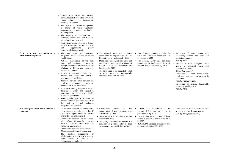|                                                                 | • National standards for water quality,<br>paying special attention to heavy metal<br>contamination and mapping/database<br>creation, are applied<br>The capacity of government agencies<br>in charge of water regulation,<br>management contracts and tariff policy<br>is strengthened<br>• The capacity of REGIDESO in<br>technical, commercial and financial<br>operations is strengthened<br>Pilot private sector schemes to deliver<br>potable water services are evaluated<br>and<br>appropriate<br>policy<br>recommendations are made                                                                                                                                                                                                                                                    |                                                                                                                                                                                                                                                                                                                                                                           |                                                                                                                                                                                                                                                                       |                                                                                                                                                                                                                                                                                                                                                                                                                                            |
|-----------------------------------------------------------------|-------------------------------------------------------------------------------------------------------------------------------------------------------------------------------------------------------------------------------------------------------------------------------------------------------------------------------------------------------------------------------------------------------------------------------------------------------------------------------------------------------------------------------------------------------------------------------------------------------------------------------------------------------------------------------------------------------------------------------------------------------------------------------------------------|---------------------------------------------------------------------------------------------------------------------------------------------------------------------------------------------------------------------------------------------------------------------------------------------------------------------------------------------------------------------------|-----------------------------------------------------------------------------------------------------------------------------------------------------------------------------------------------------------------------------------------------------------------------|--------------------------------------------------------------------------------------------------------------------------------------------------------------------------------------------------------------------------------------------------------------------------------------------------------------------------------------------------------------------------------------------------------------------------------------------|
| 2. Access to water and sanitation in<br>rural areas is expanded | The rural water and sanitation<br>programme is expanded to cover 200<br><b>Health Zones</b><br>• National coordination of the rural<br>water and sanitation programme<br>through appropriate directorates of the<br>Ministry of Health and provincial<br>bureaus is supported<br>• A specific national budget for a<br>national rural water and sanitation<br>programme is established<br>Technical referral links between the<br>rural water and sanitation programme<br>and the SNHR are formalized<br>• A national training program of Health<br>Zone-based water and sanitation<br>supervisors in all targeted Health<br>Zones is implemented<br>Training and support to SNHR and the<br>private sector in technical support of<br>the rural water and sanitation<br>programme are provided | • The national water and sanitation<br>programme is implemented in 100<br>Health Zones in rural areas by 2008<br>• Directorates responsible for water and<br>sanitation in the central Ministry of<br>Health and in the Provinces are<br>functional by 2008<br>• The percentage of the budget allocated<br>to rural water is progressively<br>increased from 2008 onwards | Four different training modules for<br>water and sanitation supervisors are<br>developed by 2009<br>• The national water and sanitation<br>programme is implemented in rural<br>areas by 185 health agents by 2010                                                    | · Percentage of Health Zones with<br>functioning national rural water and<br>sanitation program<br>46% by 2010<br>• Number of rural Congolese with<br>access to improved water and<br>sanitation facilities<br>4.7. million by 2010<br>• Percentage of Health Zones where<br>rural water and sanitation program is<br>functional<br>23% by 2008 (100/435)<br>• Percentage of targeted households<br>practicing good hygiene<br>70% by 2010 |
| 3. Coverage of urban water services is<br>expanded              | A national standard for community-<br>run water systems and a standard tariff<br>system that targets access for all (life-<br>line tariffs) are implemented<br>Community-managed water system<br>pilots in South Kivu and the peri-urban<br>areas of Kinshasa, Mbuji-Mayi and<br>Kindu are implemented<br>• Community-managed water systems in<br>20 secondary cities are implemented<br>existing programme<br>of<br>$\bullet$ The<br>rehabilitation of REGIDESO-managed<br>water systems in Kinshasa and<br>Lubumbashi is continued                                                                                                                                                                                                                                                            | for<br>• Government<br>norms<br>the<br>management of water infrastructures<br>are defined by 2008<br>• Water projects in 20 urban areas are<br>launched by 2008<br>• Temporary measures to ensure the<br>provision of potable water in three<br>urban centers are established by 2007                                                                                     | 150,000 poor households in the<br>vicinity of Kinshasa have access to<br>potable water by 2009<br>• Three million urban households have<br>access to potable water in three cities<br>by 2009<br>REGIDESO-managed systems in five<br>cities are rehabilitated by 2009 | • Percentage of urban households with<br>access to improved water services<br>50% by 2010 (baseline 37%)                                                                                                                                                                                                                                                                                                                                   |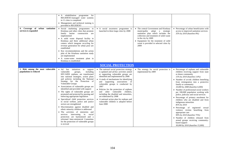| 4. Coverage of urban sanitation<br>services is expanded     | • A rehabilitation<br>programme for<br>REGIDESO-managed water systems<br>in 11 cities is completed<br>• Management and technical training is<br>provided to REGIDESO<br>• Social marketing programmes in<br>Kinshasa and other cities that promote<br>family latrine construction are<br>implemented<br>• A solid waste disposal facility in<br>Kinshasa and three additional urban<br>centers which integrate recycling for<br>revenue generation for urban poor are<br>established<br>• Key recommendations and the action<br>plan of the Kinshasa sanitation study<br>are implemented<br>• A waste-water treatment plant in<br>Kinshasa is established                                                                                                                                                                                                                                          | • A social awareness programme is<br>launched in three large cities by 2008                                                                                                                                                                                                                                                                                                                                                                                                                                                                       | • The central Government and Kinshasa<br>municipality adopt a strategic<br>sanitation plan which includes the<br>collection and treatment of solid waste<br>in the city by 2009<br>• Equipment for the treatment of solid<br>waste is provided in selected cities by<br>2009 | • Percentage of urban beneficiaries with<br>access to improved sanitation services<br>35% by 2010 (baseline 8%)                                                                                                                                                                                                                                                                                                                                                                                                                                                                                                                                                                                                                                                                                   |
|-------------------------------------------------------------|----------------------------------------------------------------------------------------------------------------------------------------------------------------------------------------------------------------------------------------------------------------------------------------------------------------------------------------------------------------------------------------------------------------------------------------------------------------------------------------------------------------------------------------------------------------------------------------------------------------------------------------------------------------------------------------------------------------------------------------------------------------------------------------------------------------------------------------------------------------------------------------------------|---------------------------------------------------------------------------------------------------------------------------------------------------------------------------------------------------------------------------------------------------------------------------------------------------------------------------------------------------------------------------------------------------------------------------------------------------------------------------------------------------------------------------------------------------|------------------------------------------------------------------------------------------------------------------------------------------------------------------------------------------------------------------------------------------------------------------------------|---------------------------------------------------------------------------------------------------------------------------------------------------------------------------------------------------------------------------------------------------------------------------------------------------------------------------------------------------------------------------------------------------------------------------------------------------------------------------------------------------------------------------------------------------------------------------------------------------------------------------------------------------------------------------------------------------------------------------------------------------------------------------------------------------|
|                                                             |                                                                                                                                                                                                                                                                                                                                                                                                                                                                                                                                                                                                                                                                                                                                                                                                                                                                                                    | <b>SOCIAL PROTECTION</b>                                                                                                                                                                                                                                                                                                                                                                                                                                                                                                                          |                                                                                                                                                                                                                                                                              |                                                                                                                                                                                                                                                                                                                                                                                                                                                                                                                                                                                                                                                                                                                                                                                                   |
| 1. Risk among the most vulnerable<br>populations is reduced | $\bullet$ Ad<br>hoc<br>initiatives<br>to<br>support<br>vulnerable<br>including<br>groups,<br>HIV/AIDS orphans, are transformed<br>into national strategies, action plans<br>and policies including the National<br>Strategy for the Protection of<br>Vulnerable Groups<br>• Associations of vulnerable groups are<br>identified and provided with support<br>• The rights of vulnerable groups are<br>promoted and protected by passing and<br>enforcing appropriate legislation<br>• Specialized child protection services<br>in social welfare, police and justice<br>sectors are strengthened<br>· Discrimination against disabled and<br>ethnic minority children is addressed<br>The activities of ministries and<br>intervening in<br>services<br>social<br>protection are harmonized and a<br>reformed Inter-ministerial Committee<br>for the protection of vulnerable groups<br>is revived | • The national social protection strategy<br>is updated and ad-hoc activities aimed<br>at supporting vulnerable groups are<br>identified and implemented by 2008<br>• A study of mechanisms for identifying<br>and supporting associations of<br>vulnerable groups is conducted by<br>2007<br>• Policies for the protection of orphans<br>other vulnerable children,<br>and<br>including the disabled and minorities,<br>are elaborated by 2008<br>• A national action plan for orphans and<br>vulnerable children is adopted before<br>June 2008 | • The strategy for social protection is<br>implemented by 2009                                                                                                                                                                                                               | • Percentage of orphans and vulnerable<br>children receiving support from state<br>or donor community<br>15% by 2010 (baseline 3.4%)<br>• Number of at-risk children benefiting<br>from reintegration into a protective<br>family or community<br>10,000 by 2008 (baseline 6,000)<br>• Number of professional social workers<br>per 100,000 population working with<br>police, judiciary and social services<br>• Percentage of primary enrolment for<br>children who are disabled and from<br>indigenous minorities<br>85% by 2010<br>• Percentage of registered<br>sexual<br>violence victims benefiting from<br>appropriate care<br>90% by 2010 (baseline 75%)<br>· Number of children released from<br>armed groups receiving community-<br>based support<br>30,000 by 2010 (baseline 15,000) |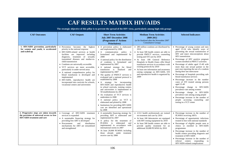| <b>CAF RESULTS MATRIX HIV/AIDS</b><br>The strategic objective of this pillar is to prevent the spread of the HIV virus, particularly among high-risk groups |                                                                                                                                                                                                                                                                                                                                                                                                                                                                                                                                                                                                   |                                                                                                                                                                                                                                                                                                                                                                                                                                                                                                                                                                                                                                                                                                                                                                                                                                                            |                                                                                                                                                                                                                                                                                                                                                                                                                                                               |                                                                                                                                                                                                                                                                                                                                                                                                                                                                                                                                                                                                                                                                                                                                                                                                                                                |  |
|-------------------------------------------------------------------------------------------------------------------------------------------------------------|---------------------------------------------------------------------------------------------------------------------------------------------------------------------------------------------------------------------------------------------------------------------------------------------------------------------------------------------------------------------------------------------------------------------------------------------------------------------------------------------------------------------------------------------------------------------------------------------------|------------------------------------------------------------------------------------------------------------------------------------------------------------------------------------------------------------------------------------------------------------------------------------------------------------------------------------------------------------------------------------------------------------------------------------------------------------------------------------------------------------------------------------------------------------------------------------------------------------------------------------------------------------------------------------------------------------------------------------------------------------------------------------------------------------------------------------------------------------|---------------------------------------------------------------------------------------------------------------------------------------------------------------------------------------------------------------------------------------------------------------------------------------------------------------------------------------------------------------------------------------------------------------------------------------------------------------|------------------------------------------------------------------------------------------------------------------------------------------------------------------------------------------------------------------------------------------------------------------------------------------------------------------------------------------------------------------------------------------------------------------------------------------------------------------------------------------------------------------------------------------------------------------------------------------------------------------------------------------------------------------------------------------------------------------------------------------------------------------------------------------------------------------------------------------------|--|
| <b>CAF Outcomes</b>                                                                                                                                         | <b>CAF Outputs</b>                                                                                                                                                                                                                                                                                                                                                                                                                                                                                                                                                                                | <b>Short Term Activities</b><br>July 2007-December 2008<br>(Programme d'Actions<br><b>Prioritaires</b> )                                                                                                                                                                                                                                                                                                                                                                                                                                                                                                                                                                                                                                                                                                                                                   | <b>Medium Term Activities</b><br>2009-2012<br>(to be finalized after the November 2007<br><b>Consultative Group)</b>                                                                                                                                                                                                                                                                                                                                          | <b>Selected Indicators</b>                                                                                                                                                                                                                                                                                                                                                                                                                                                                                                                                                                                                                                                                                                                                                                                                                     |  |
| 1. HIV/AIDS prevention, particularly<br>for women and youth, is accelerated<br>and scaled up                                                                | • Prevention becomes the highest<br>priority in the national response<br>• HIV/AIDS-related services at health<br>facilities are improved including<br>diagnosis, treatment of sexually<br>transmitted diseases and mother-to-<br>child transmission<br>• Condoms are universally accessible<br>• VCT services are more accessible,<br>particularly in under-served areas<br>• A national comprehensive policy for<br>blood transfusion is developed and<br>implemented<br>• HIV/AIDS, reproductive health are<br>incorporated into curricula for schools,<br>vocational centers and universities | • A prevention policy is elaborated<br>and implemented by 2008<br>• A communication policy<br>is<br>formulated and implemented by<br>2008<br>• A national policy for the distribution<br>of condoms is formulated and<br>implemented by 2007<br>• A national strategy for blood<br>transfusion is finalized<br>and<br>implemented by 2007<br>• The quality of PMTCT services is<br>evaluated and a national protocol is<br>established by 2008<br>• A strategy for incorporating<br>HIV/AIDS and reproductive health<br>in school curricula, training centers<br>and universities is implemented in<br>50 establishments by 2007<br>• An evaluation of VCT services is<br>undertaken in 2008<br>• A national policy on VCT is<br>elaborated and piloted by 2008<br>• Institutions for providing HIV/AIDS<br>care are identified and operational<br>by 2008 | • 280 million condoms are distributed by<br>2010<br>• At least 500 health centers are able to<br>provide PMTCT services, counseling<br>testing and STI care by 2010<br>· At least 100 General Reference<br>Hospitals in Health Zones offer blood<br>transfusion services in accordance with<br>existing protocols by 2010<br>• At least one information and awareness<br>raising campaign on HIV/AIDS, STI<br>and reproductive health is organized by<br>2009 | • Percentage of young women and men<br>aged 15-24 who identify ways of<br>preventing the sexual transmission of<br>HIV and reject misconceptions about<br>HIV transmission<br>• Percentage of HIV positive pregnant<br>women enrolled in PMTCT activities<br>• Percentage of adults aged 15-49 with<br>more than one sexual partner in the<br>past year reporting the use of a condom<br>during their last intercourse<br>• Percentage of hospitals providing safe<br>blood transfusion services<br>• Percentage increase in the number<br>cases of STI treated among persons<br>aged 15-49<br>• Percentage change in HIV/AIDS<br>prevalence rate among women<br>• Percentage change in HIV/AIDS<br>prevalence rate among young people<br>• Percentage increase in the number of<br>people accessing counseling and<br>testing in a VCT center |  |
| 2. Progressive steps are taken towards<br>the provision of universal access to free<br><b>HIV/AIDS</b> treatment and care                                   | • Coverage of HIV/AIDS treatment<br>services is expanded<br>• A sustainable financing strategy for<br>providing free ART is developed<br>and<br>• Procurement<br>distribution<br>mechanisms for ART are streamlined<br>and strengthened                                                                                                                                                                                                                                                                                                                                                           | • A sustainable financing strategy for<br>providing ART is elaborated and<br>implemented by 2007<br>• A policy for the treatment of<br>PLWHA is elaborated<br>and<br>implemented in accordance with<br>international norms in 2007<br>• At least 20,000 PLWHA including<br>those already under treatment<br>receive care by 2008                                                                                                                                                                                                                                                                                                                                                                                                                                                                                                                           | • 2,512 health professionals are trained<br>on treatment and care by 2010<br>• At least 100 laboratories are equipped<br>with HIV testing equipment by 2010<br>• At least 500 health centers are able to<br>provide quality treatment for an<br>additional 20,000 PLWHA by 2010                                                                                                                                                                               | • Percentage increase in the number of<br>PLWHA receiving ARTs<br>• Percentage of opportunistic infections<br>treated in line with national standards<br>• Percentage of eligible people seen at<br>clinics or enrolled in HIV/AIDS<br>programmes<br>• Percentage increase in the number of<br>health centers providing diagnosis and<br>treatment of HIV/AIDS<br>• Percentage increase in the number of<br>referral centers responding<br>to<br>HIV/AIDS-related complications                                                                                                                                                                                                                                                                                                                                                                |  |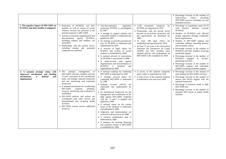|                                                                                                                               |                                                                                                                                                                                                                                                                                                                                                                                                                                                                                                                                                                       |                                                                                                                                                                                                                                                                                                                                                                                                                                                                                                                                                                                                                                                                                                                                                                  |                                                                                                                                                                                                                                                                                                                                                                                                                                                                           | • Percentage increase in the number of<br>Tuberculosis<br>clinics<br>providing<br>HIV/AIDS services including care and<br>treatment services                                                                                                                                                                                                                                                                                                                                                                                                                                                                                 |
|-------------------------------------------------------------------------------------------------------------------------------|-----------------------------------------------------------------------------------------------------------------------------------------------------------------------------------------------------------------------------------------------------------------------------------------------------------------------------------------------------------------------------------------------------------------------------------------------------------------------------------------------------------------------------------------------------------------------|------------------------------------------------------------------------------------------------------------------------------------------------------------------------------------------------------------------------------------------------------------------------------------------------------------------------------------------------------------------------------------------------------------------------------------------------------------------------------------------------------------------------------------------------------------------------------------------------------------------------------------------------------------------------------------------------------------------------------------------------------------------|---------------------------------------------------------------------------------------------------------------------------------------------------------------------------------------------------------------------------------------------------------------------------------------------------------------------------------------------------------------------------------------------------------------------------------------------------------------------------|------------------------------------------------------------------------------------------------------------------------------------------------------------------------------------------------------------------------------------------------------------------------------------------------------------------------------------------------------------------------------------------------------------------------------------------------------------------------------------------------------------------------------------------------------------------------------------------------------------------------------|
| 3. The negative impact of HIV/AIDS on<br>PLWHAs and their families is mitigated                                               | • Protection of PLWHAs and their<br>families, as well as victims of sexual<br>violence, become key priorities in the<br>national response to HIV/AIDS<br>• Actions to minimize stigmatization and<br>discrimination against PLWHAs,<br>including orphans and children, are<br>intensified<br>Partnerships with the private sector,<br>including mining and parastatal<br>companies are launched                                                                                                                                                                       | legislation<br>• Anti-discrimination<br>protecting PLWHA is promulgated<br>by 2007<br>• A strategy to support orphans and<br>vulnerable children is elaborated and<br>applied by 2007<br>• An strategy to provide psychosocial<br>care for PLWHA is elaborated and<br>implemented by 2007<br>• A network of legal clinics for<br>PLWHA and victims of sexual<br>violence is established by 2008<br>• A national network of associations<br>for PLWHA is operational in 2008<br>• A multi-sectoral plan against<br>stigmatization and discrimination of<br>PLWHAs is<br>finalized<br>and<br>implemented by 2008                                                                                                                                                   | • 1,100 community initiatives for<br>PLWHA are supported by 2010<br>• Partnerships with the private sector<br>focused on prevention, protection and<br>job opportunities are developed by<br>2009<br>• At least 100 legal clinics are<br>established and operational by 2010<br>• At least 75 per cent of the Association<br>Nationale des Entreprises du Congo<br>(ANEP) and FEC members have<br>adopted policies and programmes on<br>HIV/AIDS in the workplace by 2010 | • Percentage of population aged $10-70$<br>with positive attitudes towards<br><b>PLWHAs</b><br>• Number of PLWHAs and affected<br>people supported through community<br>based organizations<br>• Number of HIV/AIDS orphans and<br>vulnerable children attending primary<br>and secondary school<br>• Percentage increase in the number of<br>PLWHAs and their families receiving<br>nutritional support<br>• Percentage increase in the number of<br>PLWHAs engaged in income-<br>generating activities<br>• Percentage increase in the number of<br>HIV/AIDS orphans and vulnerable<br>children receiving economic support |
| 4. A common strategic vision, with<br>improved coordination and funding<br>mechanisms,<br>is<br>defined<br>and<br>implemented | strategic<br>$\bullet$ The<br>management<br>of<br>HIV/AIDS activities complies with the<br>"3 ones" principles of one coordination<br>body, one strategic national framework<br>and one monitoring and evaluation<br>framework<br>• A national mechanism for coordinating<br><b>HIV/AIDS</b><br>response,<br>planning,<br>research, monitoring and evaluation is<br>established<br>• HIV/AIDS policies and actions are<br>coordinated with other sectors and<br>mainstreamed into on-going health<br>activities<br>• HIV/AIDS actions receive additional<br>resources | • A national roadmap for combating<br>HIV/AIDS is elaborated by 2007<br>• A strategic sectoral policy for<br>combating HIV/AIDS is elaborated<br>by 2008<br>• Strategic sectoral policies are<br>elaborated and implemented by<br>2008<br>• An institutional framework for the<br>management and coordination of the<br>fight against HIV/AIDS compliant<br>with the "3 ones" is adopted and<br>applied by 2008<br>• A national report on the current<br>status of the epidemic is elaborated<br>and published in 2008<br>• Alignment and harmonization are<br>reviewed in all provinces by 2008<br>· A resource mobilization plan is<br>elaborated by 2008<br>• A database for tracking financing<br>and expenses related to HIV/AIDS<br>is established by 2008 | • A survey of the national composite<br>policy index is undertaken by 2010<br>• A joint review of the national response<br>is undertaken each year from 2009                                                                                                                                                                                                                                                                                                              | • Percentage increase in the amount of<br>state funding for HIV/AIDS activities<br>• Percentage increase in the number of<br>donors and NGOs aligned with the<br>national framework<br>• Percentage of financial needs to fight<br>HIV/AIDS met<br>• Percentage increase in the number of<br>minimal ART stocks in public health<br>facilities                                                                                                                                                                                                                                                                               |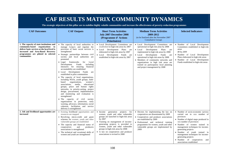# **CAF RESULTS MATRIX COMMUNITY DYNAMICS**

**The strategic objectives of this pillar are to stabilise highly volatile communities and increase the effectiveness of poverty-reduction programmes** 

| <b>CAF Outcomes</b>                                                                                                                                                                                                     | <b>CAF Outputs</b>                                                                                                                                                                                                                                                                                                                                                                                                                                                                                                                                                                                                                                                                                                                                                                                                                                                                                                                                                         | <b>Short Term Activities</b><br><b>July 2007-December 2008</b><br>(Programme d'Actions<br><b>Prioritaires</b> )                                                                                                                                                                                                                                                         | <b>Medium Term Activities</b><br>2009-2012<br>(to be finalized after the November 2007<br><b>Consultative Group)</b>                                                                                                                                                                                                                                                                                                          | <b>Selected Indicators</b>                                                                                                                                                                                                                                                                                                                                                                             |
|-------------------------------------------------------------------------------------------------------------------------------------------------------------------------------------------------------------------------|----------------------------------------------------------------------------------------------------------------------------------------------------------------------------------------------------------------------------------------------------------------------------------------------------------------------------------------------------------------------------------------------------------------------------------------------------------------------------------------------------------------------------------------------------------------------------------------------------------------------------------------------------------------------------------------------------------------------------------------------------------------------------------------------------------------------------------------------------------------------------------------------------------------------------------------------------------------------------|-------------------------------------------------------------------------------------------------------------------------------------------------------------------------------------------------------------------------------------------------------------------------------------------------------------------------------------------------------------------------|-------------------------------------------------------------------------------------------------------------------------------------------------------------------------------------------------------------------------------------------------------------------------------------------------------------------------------------------------------------------------------------------------------------------------------|--------------------------------------------------------------------------------------------------------------------------------------------------------------------------------------------------------------------------------------------------------------------------------------------------------------------------------------------------------------------------------------------------------|
| 1. The capacity of state institutions and<br>community-based organizations to<br>deliver basic services at the local level is<br>increased and Area-Based Recovery<br>programmes are piloted in selected<br>communities | • The capacity of local authorities to<br>manage budgets and regulate the<br>provision of basic social services is<br>strengthened<br>Strategic partnerships between civil<br>society and local authorities are<br>promoted<br>Legal frameworks<br>for<br>Local<br>Development<br>Funds<br>including<br>measures for ensuring financial<br>accountability are established<br>• Local Development Funds<br>are<br>established in pilot communities<br>• The capacity of local organizations,<br>including NGOs, youth groups, faith-<br>organizations,<br>women's<br>based<br>associations, media,<br>educational<br>groups, peace and human rights<br>networks, in priority-setting, project<br>design, procurement, implementation<br>and monitoring and evaluation is<br>strengthened<br>The capacity of civil society<br>organizations in protection, early<br>warning, advocacy, information, social<br>cohesion, facilitation and service<br>delivery is strengthened | • Local Development Committees are<br>established in high-risk areas by 2007<br>• Local Development Plans are<br>elaborated in high-risk areas by 2007<br>• Local Development Funds are<br>established in high-risk areas by 2007                                                                                                                                       | • Local Development Committees are<br>operational in high risk areas by 2008<br>$\bullet$ Local<br>Development<br>Plans<br>are<br>implemented in high risk areas by 2008<br>$\bullet$ Local<br>Development Funds<br>are<br>operational in high risk areas by 2008<br>• Members of community networks and<br>organizations in high risk areas are<br>trained on participatory local planning<br>and project management by 2008 | • Number of Local Development<br>Committees established in high-risk<br>areas<br>80 by 2009<br>• Number of Local Development<br>Plans elaborated in high-risk areas<br>• Number of Local Development<br>Funds established in high-risk areas                                                                                                                                                           |
| 2. Job and livelihood opportunities are<br>increased                                                                                                                                                                    | • Existing livelihood opportunities and<br>resources are mapped<br>• Revolving micro-credit and grant<br>schemes for women, youth and other<br>vulnerable groups are established<br>• The capacity and financial status of<br>cooperatives<br>and<br>producers<br>associations is strengthened<br>• The technical and vocational skills of<br>women and youth are strengthened                                                                                                                                                                                                                                                                                                                                                                                                                                                                                                                                                                                             | generation projects for<br>$\bullet$ Income<br>women, youth and other vulnerable<br>groups are launched in high-risk areas<br>by 2007<br>• Training on management of income-<br>generating projects is provided to<br>women, youth and other vulnerable<br>groups in high-risk areas by 2008<br>• A law on cooperatives and producer<br>associations is revised in 2008 | • Decrees for implementing the law on<br>cooperatives are disseminated by 2009<br>• Cooperatives and producer associations<br>are established by 2009<br>• Professional and technical training<br>programmes for women, youth and other<br>vulnerable groups are implemented by<br>2009                                                                                                                                       | • Number of socio-economic surveys<br>carried out in xxx number of<br>provinces<br>• Number of digital maps produced in<br>xxx number of provinces<br>· Number of women trained in<br>management techniques for income-<br>generating projects<br>• Number of youth trained in<br>management techniques for income-<br>generating projects<br>• Number of cooperatives and<br>associations established |